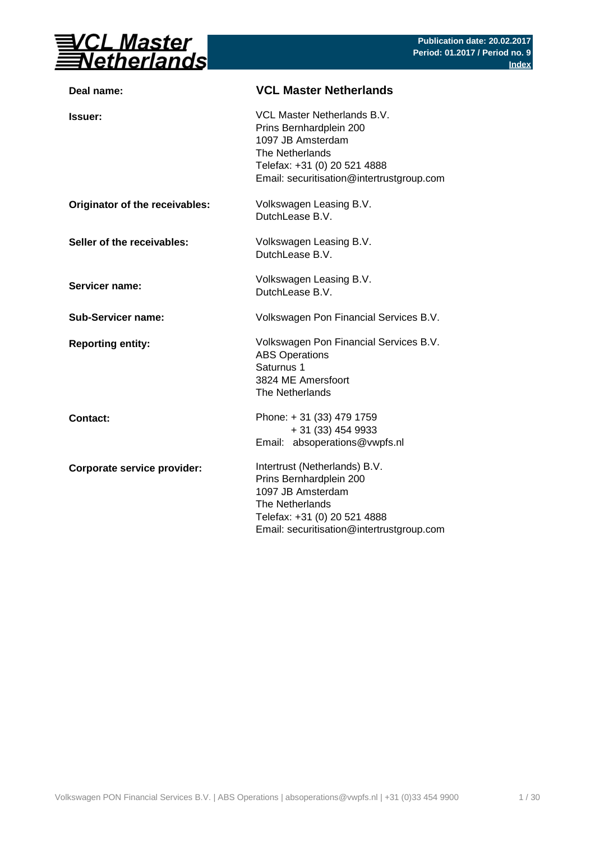

| Deal name:                     | <b>VCL Master Netherlands</b>                                                                                                                                                 |
|--------------------------------|-------------------------------------------------------------------------------------------------------------------------------------------------------------------------------|
| Issuer:                        | VCL Master Netherlands B.V.<br>Prins Bernhardplein 200<br>1097 JB Amsterdam<br>The Netherlands<br>Telefax: +31 (0) 20 521 4888<br>Email: securitisation@intertrustgroup.com   |
| Originator of the receivables: | Volkswagen Leasing B.V.<br>DutchLease B.V.                                                                                                                                    |
| Seller of the receivables:     | Volkswagen Leasing B.V.<br>DutchLease B.V.                                                                                                                                    |
| Servicer name:                 | Volkswagen Leasing B.V.<br>DutchLease B.V.                                                                                                                                    |
| <b>Sub-Servicer name:</b>      | Volkswagen Pon Financial Services B.V.                                                                                                                                        |
| <b>Reporting entity:</b>       | Volkswagen Pon Financial Services B.V.<br><b>ABS Operations</b><br>Saturnus 1<br>3824 ME Amersfoort<br>The Netherlands                                                        |
| <b>Contact:</b>                | Phone: + 31 (33) 479 1759<br>+ 31 (33) 454 9933<br>Email: absoperations@vwpfs.nl                                                                                              |
| Corporate service provider:    | Intertrust (Netherlands) B.V.<br>Prins Bernhardplein 200<br>1097 JB Amsterdam<br>The Netherlands<br>Telefax: +31 (0) 20 521 4888<br>Email: securitisation@intertrustgroup.com |
|                                |                                                                                                                                                                               |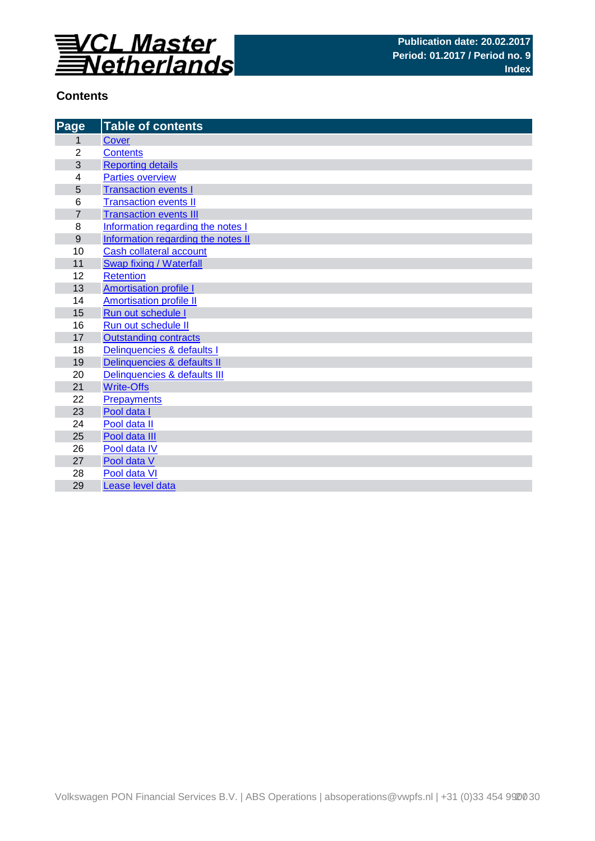

## **Contents**

| Page             | <b>Table of contents</b>           |
|------------------|------------------------------------|
| 1                | Cover                              |
| $\overline{2}$   | <b>Contents</b>                    |
| 3                | <b>Reporting details</b>           |
| 4                | <b>Parties overview</b>            |
| 5                | <b>Transaction events I</b>        |
| 6                | <b>Transaction events II</b>       |
| $\overline{7}$   | <b>Transaction events III</b>      |
| 8                | Information regarding the notes I  |
| $\boldsymbol{9}$ | Information regarding the notes II |
| 10               | <b>Cash collateral account</b>     |
| 11               | Swap fixing / Waterfall            |
| 12               | <b>Retention</b>                   |
| 13               | <b>Amortisation profile I</b>      |
| 14               | <b>Amortisation profile II</b>     |
| 15               | Run out schedule I                 |
| 16               | Run out schedule II                |
| 17               | <b>Outstanding contracts</b>       |
| 18               | Delinquencies & defaults I         |
| 19               | Delinquencies & defaults II        |
| 20               | Delinquencies & defaults III       |
| 21               | <b>Write-Offs</b>                  |
| 22               | Prepayments                        |
| 23               | Pool data I                        |
| 24               | Pool data II                       |
| 25               | Pool data III                      |
| 26               | Pool data IV                       |
| 27               | Pool data V                        |
| 28               | Pool data VI                       |
| 29               | Lease level data                   |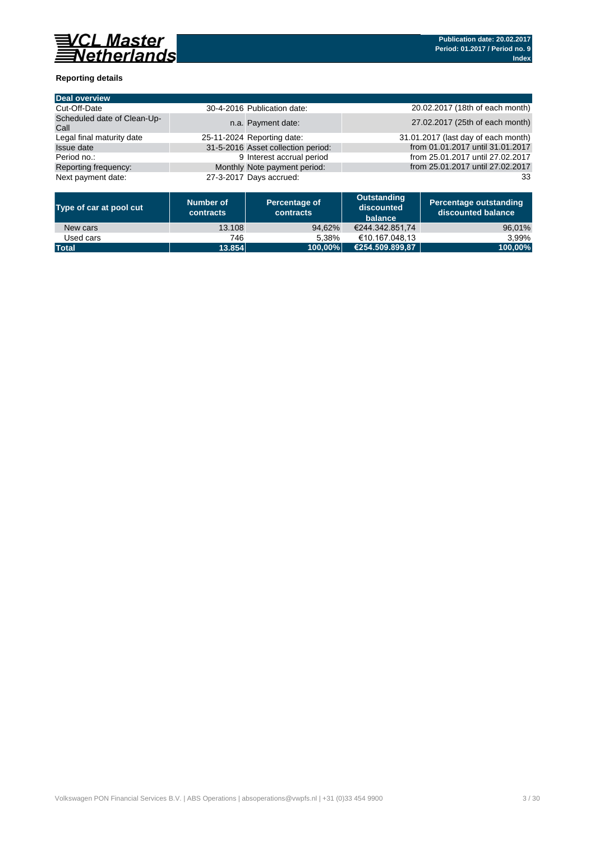

### **Reporting details**

| <b>Deal overview</b>                |                                    |                                     |
|-------------------------------------|------------------------------------|-------------------------------------|
| Cut-Off-Date                        | 30-4-2016 Publication date:        | 20.02.2017 (18th of each month)     |
| Scheduled date of Clean-Up-<br>Call | n.a. Payment date:                 | 27.02.2017 (25th of each month)     |
| Legal final maturity date           | 25-11-2024 Reporting date:         | 31.01.2017 (last day of each month) |
| <b>Issue date</b>                   | 31-5-2016 Asset collection period: | from 01.01.2017 until 31.01.2017    |
| Period no.:                         | 9 Interest accrual period          | from 25.01.2017 until 27.02.2017    |
| Reporting frequency:                | Monthly Note payment period:       | from 25.01.2017 until 27.02.2017    |
| Next payment date:                  | 27-3-2017 Days accrued:            | 33                                  |

| Type of car at pool cut | Number of<br>contracts | Percentage of<br>contracts | Outstanding<br>discounted<br>balance | Percentage outstanding<br>discounted balance |
|-------------------------|------------------------|----------------------------|--------------------------------------|----------------------------------------------|
| New cars                | 13.108                 | 94.62%                     | €244.342.851.74                      | 96,01%                                       |
| Used cars               | 746                    | 5.38%                      | €10.167.048.13                       | 3.99%                                        |
| <b>Total</b>            | 13.854                 | 100.00%                    | €254.509.899.87                      | 100.00%                                      |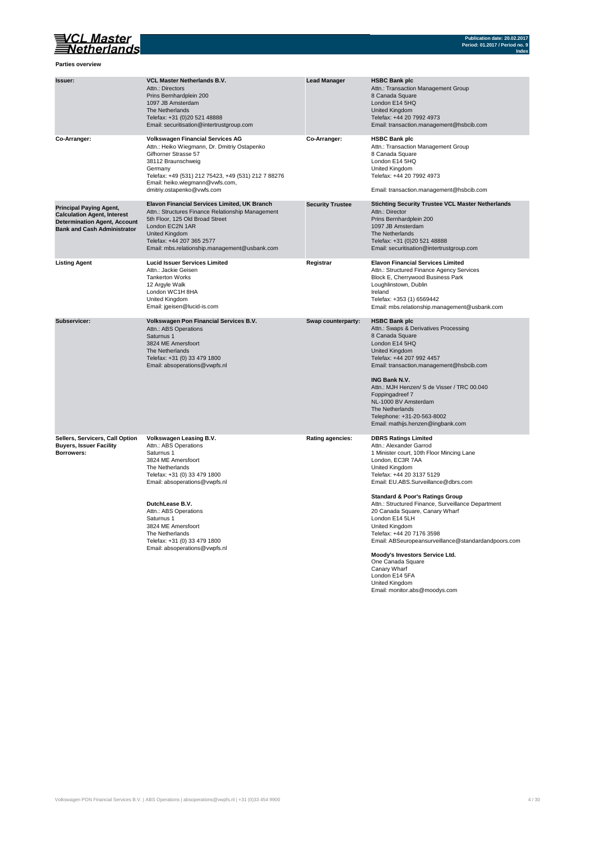

**Parties overview**

| Issuer:                                                                                                                                           | VCL Master Netherlands B.V.<br>Attn.: Directors<br>Prins Bernhardplein 200<br>1097 JB Amsterdam<br>The Netherlands<br>Telefax: +31 (0)20 521 48888<br>Email: securitisation@intertrustgroup.com                                                                                                                                              | <b>Lead Manager</b>     | <b>HSBC Bank plc</b><br>Attn.: Transaction Management Group<br>8 Canada Square<br>London E14 5HQ<br>United Kingdom<br>Telefax: +44 20 7992 4973<br>Email: transaction.management@hsbcib.com                                                                                                                                                                                                                                                                                                                                                                                                                             |
|---------------------------------------------------------------------------------------------------------------------------------------------------|----------------------------------------------------------------------------------------------------------------------------------------------------------------------------------------------------------------------------------------------------------------------------------------------------------------------------------------------|-------------------------|-------------------------------------------------------------------------------------------------------------------------------------------------------------------------------------------------------------------------------------------------------------------------------------------------------------------------------------------------------------------------------------------------------------------------------------------------------------------------------------------------------------------------------------------------------------------------------------------------------------------------|
| Co-Arranger:                                                                                                                                      | <b>Volkswagen Financial Services AG</b><br>Attn.: Heiko Wiegmann, Dr. Dmitriy Ostapenko<br>Gifhorner Strasse 57<br>38112 Braunschweig<br>Germany<br>Telefax: +49 (531) 212 75423, +49 (531) 212 7 88276<br>Email: heiko.wiegmann@vwfs.com,<br>dmitriy.ostapenko@vwfs.com                                                                     | Co-Arranger:            | <b>HSBC Bank plc</b><br>Attn.: Transaction Management Group<br>8 Canada Square<br>London E14 5HQ<br>United Kingdom<br>Telefax: +44 20 7992 4973<br>Email: transaction.management@hsbcib.com                                                                                                                                                                                                                                                                                                                                                                                                                             |
| <b>Principal Paying Agent,</b><br><b>Calculation Agent, Interest</b><br><b>Determination Agent, Account</b><br><b>Bank and Cash Administrator</b> | <b>Elavon Financial Services Limited, UK Branch</b><br>Attn.: Structures Finance Relationship Management<br>5th Floor, 125 Old Broad Street<br>London EC2N 1AR<br>United Kingdom<br>Telefax: +44 207 365 2577<br>Email: mbs.relationship.management@usbank.com                                                                               | <b>Security Trustee</b> | <b>Stichting Security Trustee VCL Master Netherlands</b><br>Attn.: Director<br>Prins Bernhardplein 200<br>1097 JB Amsterdam<br>The Netherlands<br>Telefax: +31 (0)20 521 48888<br>Email: securitisation@intertrustgroup.com                                                                                                                                                                                                                                                                                                                                                                                             |
| <b>Listing Agent</b>                                                                                                                              | <b>Lucid Issuer Services Limited</b><br>Attn.: Jackie Geisen<br><b>Tankerton Works</b><br>12 Argyle Walk<br>London WC1H 8HA<br>United Kingdom<br>Email: jgeisen@lucid-is.com                                                                                                                                                                 | Registrar               | <b>Elavon Financial Services Limited</b><br>Attn.: Structured Finance Agency Services<br>Block E, Cherrywood Business Park<br>Loughlinstown, Dublin<br>Ireland<br>Telefax: +353 (1) 6569442<br>Email: mbs.relationship.management@usbank.com                                                                                                                                                                                                                                                                                                                                                                            |
| Subservicer:                                                                                                                                      | Volkswagen Pon Financial Services B.V.<br>Attn.: ABS Operations<br>Saturnus 1<br>3824 ME Amersfoort<br>The Netherlands<br>Telefax: +31 (0) 33 479 1800<br>Email: absoperations@vwpfs.nl                                                                                                                                                      | Swap counterparty:      | <b>HSBC Bank plc</b><br>Attn.: Swaps & Derivatives Processing<br>8 Canada Square<br>London E14 5HQ<br>United Kingdom<br>Telefax: +44 207 992 4457<br>Email: transaction.management@hsbcib.com<br><b>ING Bank N.V.</b><br>Attn.: MJH Henzen/ S de Visser / TRC 00.040<br>Foppingadreef 7<br>NL-1000 BV Amsterdam<br>The Netherlands<br>Telephone: +31-20-563-8002<br>Email: mathijs.henzen@ingbank.com                                                                                                                                                                                                                   |
| Sellers, Servicers, Call Option<br><b>Buyers, Issuer Facility</b><br>Borrowers:                                                                   | Volkswagen Leasing B.V.<br>Attn.: ABS Operations<br>Saturnus 1<br>3824 ME Amersfoort<br>The Netherlands<br>Telefax: +31 (0) 33 479 1800<br>Email: absoperations@vwpfs.nl<br>DutchLease B.V.<br>Attn.: ABS Operations<br>Saturnus 1<br>3824 ME Amersfoort<br>The Netherlands<br>Telefax: +31 (0) 33 479 1800<br>Email: absoperations@vwpfs.nl | <b>Rating agencies:</b> | <b>DBRS Ratings Limited</b><br>Attn.: Alexander Garrod<br>1 Minister court, 10th Floor Mincing Lane<br>London, EC3R 7AA<br>United Kingdom<br>Telefax: +44 20 3137 5129<br>Email: EU.ABS.Surveillance@dbrs.com<br><b>Standard &amp; Poor's Ratings Group</b><br>Attn.: Structured Finance, Surveillance Department<br>20 Canada Square, Canary Wharf<br>London E14 5LH<br>United Kingdom<br>Telefax: +44 20 7176 3598<br>Email: ABSeuropeansurveillance@standardandpoors.com<br>Moody's Investors Service Ltd.<br>One Canada Square<br>Canary Wharf<br>London E14 5FA<br>United Kingdom<br>Email: monitor.abs@moodys.com |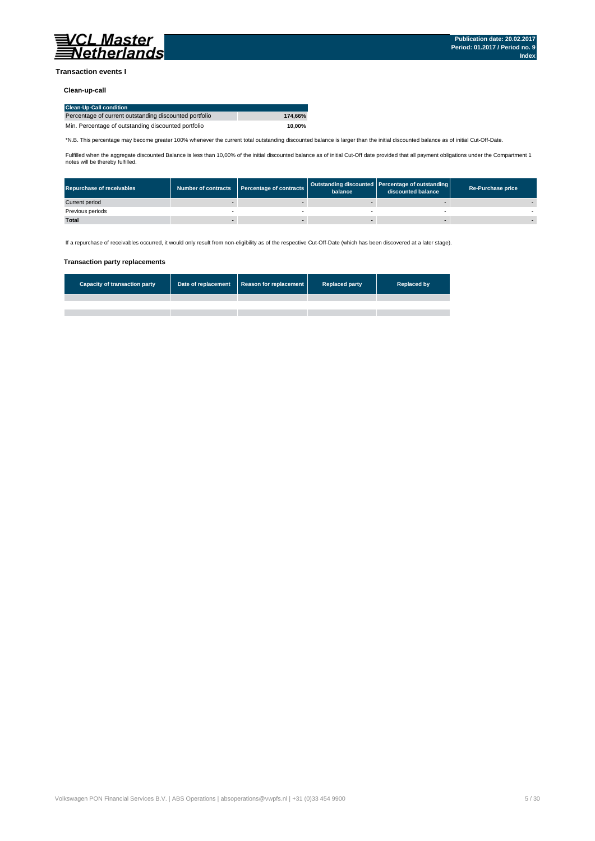

#### **Transaction events I**

### **Clean-up-call**

| <b>Clean-Up-Call condition</b>                         |         |
|--------------------------------------------------------|---------|
| Percentage of current outstanding discounted portfolio | 174.66% |
| Min. Percentage of outstanding discounted portfolio    | 10.00%  |

\*N.B. This percentage may become greater 100% whenever the current total outstanding discounted balance is larger than the initial discounted balance as of initial Cut-Off-Date.

Fulfilled when the aggregate discounted Balance is less than 10,00% of the initial discounted balance as of initial Cut-Off date provided that all payment obligations under the Compartment 1 notes will be thereby fulfilled.

| <b>Repurchase of receivables</b> | Number of contracts   Percentage of contracts | balance | Outstanding discounted Percentage of outstanding<br>discounted balance | <b>Re-Purchase price</b> |
|----------------------------------|-----------------------------------------------|---------|------------------------------------------------------------------------|--------------------------|
| Current period                   |                                               |         |                                                                        |                          |
| Previous periods                 |                                               |         |                                                                        |                          |
| <b>Total</b>                     |                                               |         |                                                                        |                          |

If a repurchase of receivables occurred, it would only result from non-eligibility as of the respective Cut-Off-Date (which has been discovered at a later stage).

#### **Transaction party replacements**

| <b>Capacity of transaction party</b> | Date of replacement   Reason for replacement | <b>Replaced party</b> | <b>Replaced by</b> |
|--------------------------------------|----------------------------------------------|-----------------------|--------------------|
|                                      |                                              |                       |                    |
|                                      |                                              |                       |                    |
|                                      |                                              |                       |                    |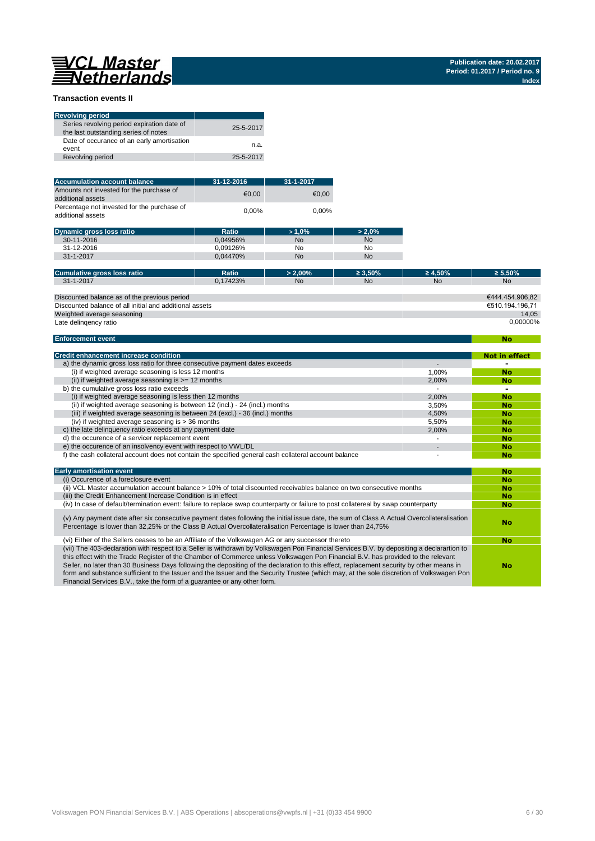# 

**No**

#### **Transaction events II**

| <b>Revolving period</b>                                                            |           |
|------------------------------------------------------------------------------------|-----------|
| Series revolving period expiration date of<br>the last outstanding series of notes | 25-5-2017 |
| Date of occurance of an early amortisation<br>event                                | n.a.      |
| Revolving period                                                                   | 25-5-2017 |

| <b>Accumulation account balance</b>                              | 31-12-2016 | 31-1-2017 |
|------------------------------------------------------------------|------------|-----------|
| Amounts not invested for the purchase of<br>additional assets    | €0.00      | €0.00     |
| Percentage not invested for the purchase of<br>additional assets | $0.00\%$   | $0.00\%$  |

| <b>Dynamic gross loss ratio</b> | Ratio    | >1.0% | $> 2.0\%$ |
|---------------------------------|----------|-------|-----------|
| 30-11-2016                      | 0.04956% | No    | No        |
| 31-12-2016                      | 0.09126% | No    | No        |
| 31-1-2017                       | 0.04470% | No    | No        |

| Cumulative gross loss ratio                             | Ratio    | $> 2.00\%$ | $\geq 3.50\%$ | $\geq 4.50\%$ | $\geq 5.50\%$   |
|---------------------------------------------------------|----------|------------|---------------|---------------|-----------------|
| 31-1-2017                                               | 0.17423% | <b>No</b>  | <b>No</b>     | <b>No</b>     | <b>No</b>       |
|                                                         |          |            |               |               |                 |
| Discounted balance as of the previous period            |          |            |               |               | €444.454.906.82 |
| Discounted balance of all initial and additional assets |          |            |               |               | €510.194.196.71 |
| Weighted average seasoning                              |          |            |               |               | 14.05           |
| Late delingency ratio                                   |          |            |               |               | 0.00000%        |

#### **Enforcement event**

| <b>Credit enhancement increase condition</b>                                                          |       | <b>Not in effect</b> |
|-------------------------------------------------------------------------------------------------------|-------|----------------------|
| a) the dynamic gross loss ratio for three consecutive payment dates exceeds                           |       |                      |
| (i) if weighted average seasoning is less 12 months                                                   | 1.00% | <b>No</b>            |
| (ii) if weighted average seasoning is $\geq$ = 12 months                                              | 2,00% | <b>No</b>            |
| b) the cumulative gross loss ratio exceeds                                                            |       |                      |
| (i) if weighted average seasoning is less then 12 months                                              | 2.00% | <b>No</b>            |
| (ii) if weighted average seasoning is between 12 (incl.) - 24 (incl.) months                          | 3.50% | <b>No</b>            |
| (iii) if weighted average seasoning is between 24 (excl.) - 36 (incl.) months                         | 4.50% | <b>No</b>            |
| (iv) if weighted average seasoning is $>$ 36 months                                                   | 5.50% | <b>No</b>            |
| c) the late delinguency ratio exceeds at any payment date                                             | 2.00% | <b>No</b>            |
| d) the occurence of a servicer replacement event                                                      |       | <b>No</b>            |
| e) the occurence of an insolvency event with respect to VWL/DL                                        |       | <b>No</b>            |
| f) the cash collateral account does not contain the specified general cash collateral account balance |       | No                   |

| <b>Early amortisation event</b>                                                                                                                                                                                                                                                                                                                                                                                                                                                                                                                                                                                                                    | No        |
|----------------------------------------------------------------------------------------------------------------------------------------------------------------------------------------------------------------------------------------------------------------------------------------------------------------------------------------------------------------------------------------------------------------------------------------------------------------------------------------------------------------------------------------------------------------------------------------------------------------------------------------------------|-----------|
| (i) Occurence of a foreclosure event                                                                                                                                                                                                                                                                                                                                                                                                                                                                                                                                                                                                               | <b>No</b> |
| (ii) VCL Master accumulation account balance > 10% of total discounted receivables balance on two consecutive months                                                                                                                                                                                                                                                                                                                                                                                                                                                                                                                               | <b>No</b> |
| (iii) the Credit Enhancement Increase Condition is in effect                                                                                                                                                                                                                                                                                                                                                                                                                                                                                                                                                                                       | <b>No</b> |
| (iv) In case of default/termination event: failure to replace swap counterparty or failure to post collatereal by swap counterparty                                                                                                                                                                                                                                                                                                                                                                                                                                                                                                                | <b>No</b> |
| (v) Any payment date after six consecutive payment dates following the initial issue date, the sum of Class A Actual Overcollateralisation<br>Percentage is lower than 32,25% or the Class B Actual Overcollateralisation Percentage is lower than 24,75%                                                                                                                                                                                                                                                                                                                                                                                          | No        |
| (vi) Either of the Sellers ceases to be an Affiliate of the Volkswagen AG or any successor thereto                                                                                                                                                                                                                                                                                                                                                                                                                                                                                                                                                 | <b>No</b> |
| (vii) The 403-declaration with respect to a Seller is withdrawn by Volkswagen Pon Financial Services B.V. by depositing a declarartion to<br>this effect with the Trade Register of the Chamber of Commerce unless Volkswagen Pon Financial B.V. has provided to the relevant<br>Seller, no later than 30 Business Days following the depositing of the declaration to this effect, replacement security by other means in<br>form and substance sufficient to the Issuer and the Issuer and the Security Trustee (which may, at the sole discretion of Volkswagen Pon<br>Financial Services B.V., take the form of a quarantee or any other form. | No        |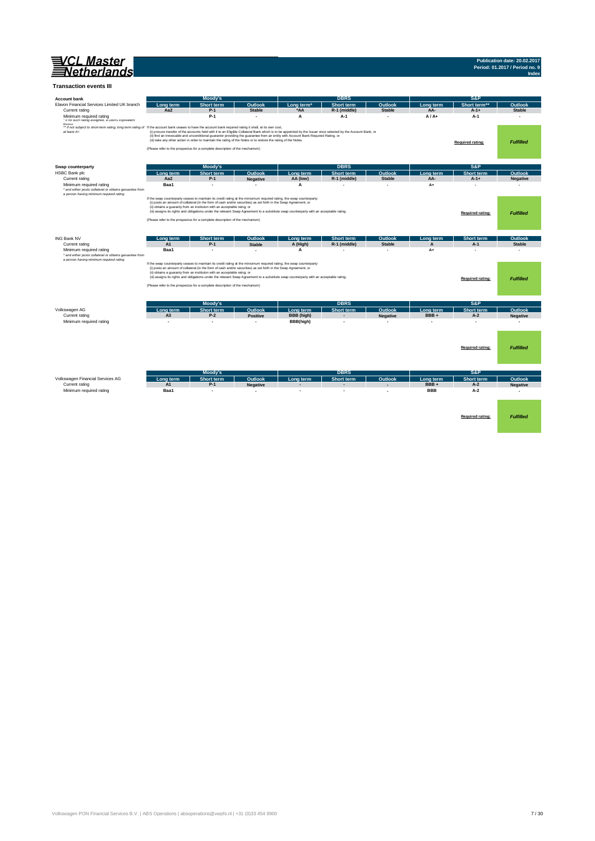| VCL Master<br>Netherlands                                                                                                                                                           |                  |                                                                                                                                                                                                                                                                                                                                                                                                                                                                                                                                                 |                            |                                                                                                                                         |                                                                                                                                                               |                          |                          |                             | Publication date: 20.02.2017<br>Period: 01.2017 / Period no. 9<br>Index |
|-------------------------------------------------------------------------------------------------------------------------------------------------------------------------------------|------------------|-------------------------------------------------------------------------------------------------------------------------------------------------------------------------------------------------------------------------------------------------------------------------------------------------------------------------------------------------------------------------------------------------------------------------------------------------------------------------------------------------------------------------------------------------|----------------------------|-----------------------------------------------------------------------------------------------------------------------------------------|---------------------------------------------------------------------------------------------------------------------------------------------------------------|--------------------------|--------------------------|-----------------------------|-------------------------------------------------------------------------|
| <b>Transaction events III</b>                                                                                                                                                       |                  |                                                                                                                                                                                                                                                                                                                                                                                                                                                                                                                                                 |                            |                                                                                                                                         |                                                                                                                                                               |                          |                          |                             |                                                                         |
| <b>Account bank</b>                                                                                                                                                                 |                  | Moody's                                                                                                                                                                                                                                                                                                                                                                                                                                                                                                                                         |                            |                                                                                                                                         | <b>DBRS</b>                                                                                                                                                   |                          |                          | S&P                         |                                                                         |
| Elavon Financial Services Limited UK branch                                                                                                                                         | Long term        | Short term                                                                                                                                                                                                                                                                                                                                                                                                                                                                                                                                      | Outlook                    | Long term <sup>*</sup>                                                                                                                  | Short term                                                                                                                                                    | Outlook                  | Long term                | Short term                  | Outlook                                                                 |
| Current rating                                                                                                                                                                      | Aa2              | $P-1$                                                                                                                                                                                                                                                                                                                                                                                                                                                                                                                                           | <b>Stable</b>              | *AA                                                                                                                                     | R-1 (middle)                                                                                                                                                  | <b>Stable</b>            | AA-                      | $A-1+$                      | <b>Stable</b>                                                           |
| Minimum required rating<br>· it no such rating assigned, a UBRS Equivalent                                                                                                          |                  | $P-1$                                                                                                                                                                                                                                                                                                                                                                                                                                                                                                                                           |                            | А                                                                                                                                       | A-1                                                                                                                                                           |                          | $A/A+$                   | A-1                         | ٠                                                                       |
| Doting<br>** If not subject to short-term rating, long term rating of If the account bank ceases to have the account bank required rating it shall, at its own cost,<br>at least A+ |                  | (iii) take any other action in order to maintain the rating of the Notes or to restore the rating of the Notes.<br>(Please refer to the prospectus for a complete description of the mechanism)                                                                                                                                                                                                                                                                                                                                                 |                            | (ii) find an irrevocable and unconditional guarantor providing the guarantee from an entity with Account Bank Required Rating, or       | (i) procure transfer of the accounts held with it to an Eligible Collateral Bank which is to be appointed by the Issuer once selected by the Account Bank, or |                          |                          | Required rating:            | <b>Fulfilled</b>                                                        |
|                                                                                                                                                                                     |                  |                                                                                                                                                                                                                                                                                                                                                                                                                                                                                                                                                 |                            |                                                                                                                                         |                                                                                                                                                               |                          |                          |                             |                                                                         |
| Swap counterparty                                                                                                                                                                   |                  | <b>Moody's</b>                                                                                                                                                                                                                                                                                                                                                                                                                                                                                                                                  |                            |                                                                                                                                         | <b>DBRS</b>                                                                                                                                                   |                          |                          | S&P                         |                                                                         |
| HSBC Bank plc<br>Current rating                                                                                                                                                     | Long term<br>Aa2 | <b>Short term</b><br>$P-1$                                                                                                                                                                                                                                                                                                                                                                                                                                                                                                                      | Outlook<br><b>Negative</b> | Long term<br>AA (low)                                                                                                                   | Short term<br>R-1 (middle)                                                                                                                                    | Outlool<br><b>Stable</b> | Long term<br>AA-         | <b>Short term</b><br>$A-1+$ | Outlool<br><b>Negative</b>                                              |
| Minimum required rating                                                                                                                                                             | Baa1             |                                                                                                                                                                                                                                                                                                                                                                                                                                                                                                                                                 |                            | A                                                                                                                                       |                                                                                                                                                               |                          | $A+$                     |                             |                                                                         |
| * and either posts collateral or obtains garuantee from<br>a person having minimum required rating                                                                                  |                  | If the swap counterparty ceases to maintain its credit rating at the miniumum required rating, the swap counterparty:<br>(i) posts an amount of collateral (in the form of cash and/or securities) as set forth in the Swap Agreement; or<br>(ii) obtains a guaranty from an instituton with an acceptable ratng; or<br>(Please refer to the prospectus for a complete description of the mechanism)                                                                                                                                            |                            | (iii) assigns its rights and obligations under the relevant Swap Agreement to a substitute swap counterparty with an acceptable rating. |                                                                                                                                                               |                          |                          | <b>Required rating:</b>     | <b>Fulfilled</b>                                                        |
| <b>ING Bank NV</b>                                                                                                                                                                  | ong term         | Short term                                                                                                                                                                                                                                                                                                                                                                                                                                                                                                                                      | Outlook                    | ong term                                                                                                                                | Short term                                                                                                                                                    | Outlook                  | Long term                | Short term                  | Outlook                                                                 |
| Current rating                                                                                                                                                                      | A1               | $P-1$                                                                                                                                                                                                                                                                                                                                                                                                                                                                                                                                           | <b>Stable</b>              | A (High)                                                                                                                                | R-1 (middle)                                                                                                                                                  | <b>Stable</b>            |                          | $A-1$                       | <b>Stable</b>                                                           |
| Minimum required rating<br>* and either posts collateral or obtains garuantee from                                                                                                  | Baa1             | ×.                                                                                                                                                                                                                                                                                                                                                                                                                                                                                                                                              | $\sim$                     | А                                                                                                                                       |                                                                                                                                                               | - 1                      | $A+$                     | ÷                           | - 1                                                                     |
| a person having minimum required rating                                                                                                                                             |                  | If the swap counterparty ceases to maintain its credit rating at the miniumum required rating, the swap counterparty:<br>(i) posts an amount of collateral (in the form of cash and/or securities) as set forth in the Swap Agreement; or<br>(ii) obtains a guaranty from an instituton with an acceptable ratng; or<br>(iii) assigns its rights and obligations under the relevant Swap Agreement to a substitute swap counterparty with an acceptable rating.<br>(Please refer to the prospectus for a complete description of the mechanism) |                            | Required rating:                                                                                                                        | <b>Fulfilled</b>                                                                                                                                              |                          |                          |                             |                                                                         |
|                                                                                                                                                                                     |                  | Moody's                                                                                                                                                                                                                                                                                                                                                                                                                                                                                                                                         |                            |                                                                                                                                         | <b>DBRS</b>                                                                                                                                                   |                          |                          | S&P                         |                                                                         |
| Volkswagen AG                                                                                                                                                                       | Long term        | Short term                                                                                                                                                                                                                                                                                                                                                                                                                                                                                                                                      | Outlook                    | Long term                                                                                                                               | Short term                                                                                                                                                    | Outlook                  | Long term                | Short term                  | Outlook                                                                 |
| Current rating                                                                                                                                                                      | A3               | $P-2$                                                                                                                                                                                                                                                                                                                                                                                                                                                                                                                                           | <b>Positive</b>            | BBB (high)                                                                                                                              |                                                                                                                                                               | <b>Negative</b>          | BBB+                     | $A-2$                       | <b>Negative</b>                                                         |
| Minimum required rating                                                                                                                                                             | $\overline{a}$   | ٠                                                                                                                                                                                                                                                                                                                                                                                                                                                                                                                                               | $\sim$                     | BBB(high)                                                                                                                               | $\overline{a}$                                                                                                                                                | $\sim$                   | $\overline{\phantom{a}}$ | $\blacksquare$              | ٠                                                                       |
|                                                                                                                                                                                     |                  |                                                                                                                                                                                                                                                                                                                                                                                                                                                                                                                                                 |                            |                                                                                                                                         |                                                                                                                                                               |                          |                          | <b>Required rating:</b>     | <b>Fulfilled</b>                                                        |
|                                                                                                                                                                                     |                  | <b>Moody's</b>                                                                                                                                                                                                                                                                                                                                                                                                                                                                                                                                  |                            |                                                                                                                                         | <b>DBRS</b>                                                                                                                                                   |                          |                          | S&P                         |                                                                         |
| Volkswagen Financial Services AG                                                                                                                                                    | Long term        | Short term                                                                                                                                                                                                                                                                                                                                                                                                                                                                                                                                      | Outlook                    | Long term                                                                                                                               | Short term                                                                                                                                                    | Outlook                  | ong term                 | Short term                  | Outlook                                                                 |
| Current rating                                                                                                                                                                      | A1               | $P-1$                                                                                                                                                                                                                                                                                                                                                                                                                                                                                                                                           | <b>Negative</b>            |                                                                                                                                         |                                                                                                                                                               |                          | BBB+                     | $A-2$                       | <b>Negative</b>                                                         |
| Minimum required rating                                                                                                                                                             | Baa1             |                                                                                                                                                                                                                                                                                                                                                                                                                                                                                                                                                 |                            |                                                                                                                                         |                                                                                                                                                               |                          | <b>BBB</b>               | $A-2$                       | $\sim$                                                                  |
|                                                                                                                                                                                     |                  |                                                                                                                                                                                                                                                                                                                                                                                                                                                                                                                                                 |                            |                                                                                                                                         |                                                                                                                                                               |                          |                          | Required rating:            | <b>Fulfilled</b>                                                        |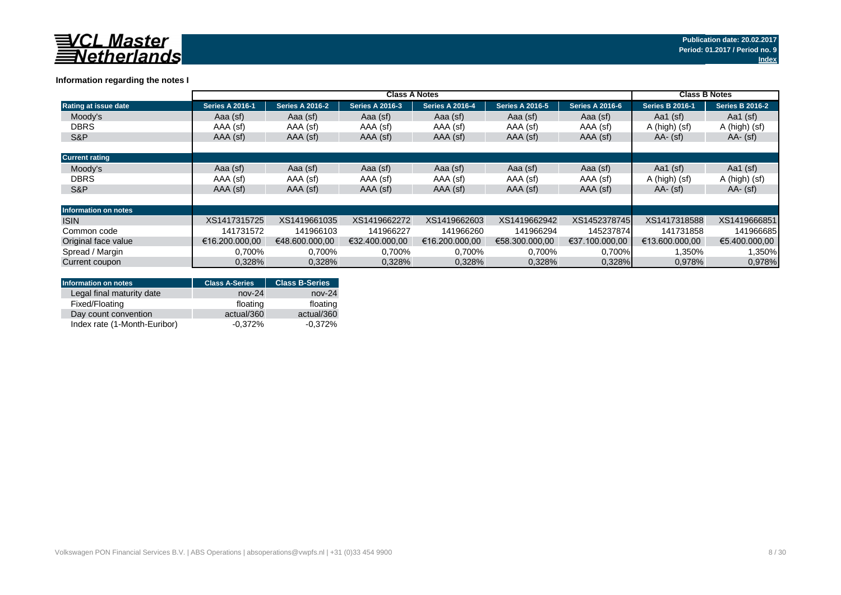

|                       |                        | <b>Class B Notes</b>   |                        |                        |                        |                        |                        |                        |
|-----------------------|------------------------|------------------------|------------------------|------------------------|------------------------|------------------------|------------------------|------------------------|
| Rating at issue date  | <b>Series A 2016-1</b> | <b>Series A 2016-2</b> | <b>Series A 2016-3</b> | <b>Series A 2016-4</b> | <b>Series A 2016-5</b> | <b>Series A 2016-6</b> | <b>Series B 2016-1</b> | <b>Series B 2016-2</b> |
| Moody's               | Aaa (sf)               | Aaa (sf)               | Aaa (sf)               | Aaa (sf)               | Aaa (sf)               | Aaa (sf)               | Aa1 (sf)               | Aa1 $(sf)$             |
| <b>DBRS</b>           | AAA (sf)               | AAA (sf)               | AAA (sf)               | AAA (sf)               | AAA (sf)               | AAA (sf)               | A (high) (sf)          | A (high) (sf)          |
| S&P                   | AAA (sf)               | AAA (sf)               | AAA (sf)               | AAA (sf)               | AAA (sf)               | AAA (sf)               | $AA - (sf)$            | $AA - (sf)$            |
|                       |                        |                        |                        |                        |                        |                        |                        |                        |
| <b>Current rating</b> |                        |                        |                        |                        |                        |                        |                        |                        |
| Moody's               | Aaa (sf)               | Aaa (sf)               | Aaa (sf)               | Aaa (sf)               | Aaa (sf)               | Aaa (sf)               | Aa1 $(sf)$             | Aa1 $(sf)$             |
| <b>DBRS</b>           | AAA (sf)               | AAA (sf)               | AAA (sf)               | AAA (sf)               | AAA (sf)               | AAA (sf)               | A (high) (sf)          | A (high) (sf)          |
| S&P                   | AAA (sf)               | AAA (sf)               | AAA (sf)               | AAA (sf)               | AAA (sf)               | AAA (sf)               | $AA - (sf)$            | $AA - (sf)$            |
|                       |                        |                        |                        |                        |                        |                        |                        |                        |
| Information on notes  |                        |                        |                        |                        |                        |                        |                        |                        |
| <b>ISIN</b>           | XS1417315725           | XS1419661035           | XS1419662272           | XS1419662603           | XS1419662942           | XS1452378745           | XS1417318588           | XS1419666851           |
| Common code           | 141731572              | 141966103              | 141966227              | 141966260              | 141966294              | 145237874              | 141731858              | 141966685              |
| Original face value   | €16.200.000.00         | €48.600.000.00         | €32.400.000.00         | €16.200.000.00         | €58.300.000.00         | €37.100.000.00         | €13.600.000.00         | €5.400.000.00          |
| Spread / Margin       | 0.700%                 | 0,700%                 | 0,700%                 | 0,700%                 | 0,700%                 | $0,700\%$              | 1,350%                 | 1,350%                 |
| Current coupon        | 0,328%                 | 0,328%                 | 0,328%                 | 0,328%                 | 0,328%                 | 0.328%                 | 0,978%                 | 0.978%                 |

### **Information regarding the notes I**

| Information on notes         | <b>Class A-Series</b> | <b>Class B-Series</b> |
|------------------------------|-----------------------|-----------------------|
| Legal final maturity date    | $nov-24$              | $nov-24$              |
| Fixed/Floating               | floating              | floating              |
| Day count convention         | actual/360            | actual/360            |
| Index rate (1-Month-Euribor) | $-0.372%$             | $-0.372\%$            |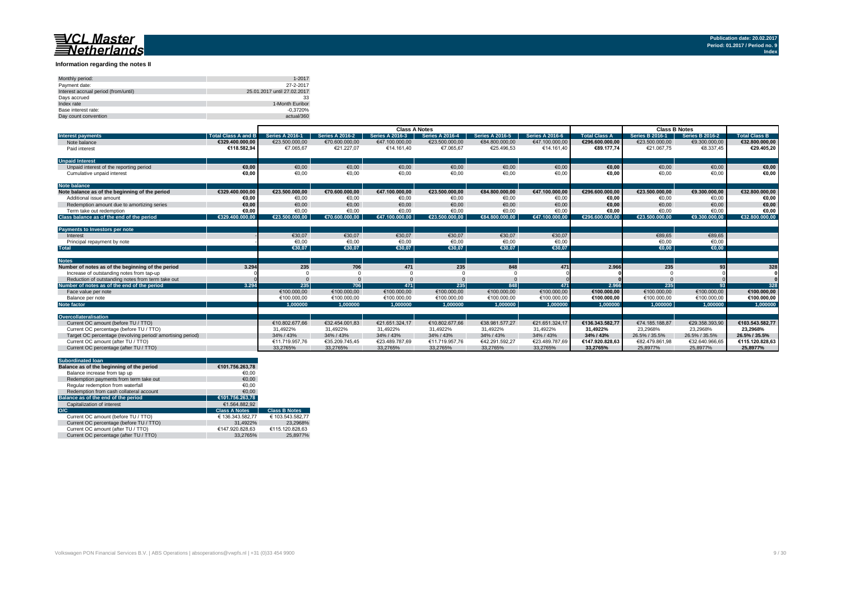#### **Information regarding the notes II**

| Monthly period:                      | 1-2017                      |
|--------------------------------------|-----------------------------|
| Payment date:                        | 27-2-2017                   |
| Interest accrual period (from/until) | 25.01.2017 until 27.02.2017 |
| Days accrued                         | 33                          |
| Index rate                           | 1-Month Euribor             |
| Base interest rate:                  | $-0.3720%$                  |
| Day count convention                 | actual/360                  |

|                                                           |                            | <b>Class A Notes</b>   |                        |                        |                        |                        |                        | <b>Class B Notes</b> |                        |                        |                      |
|-----------------------------------------------------------|----------------------------|------------------------|------------------------|------------------------|------------------------|------------------------|------------------------|----------------------|------------------------|------------------------|----------------------|
| <b>Interest payments</b>                                  | <b>Total Class A and B</b> | <b>Series A 2016-1</b> | <b>Series A 2016-2</b> | <b>Series A 2016-3</b> | <b>Series A 2016-4</b> | <b>Series A 2016-5</b> | <b>Series A 2016-6</b> | <b>Total Class A</b> | <b>Series B 2016-1</b> | <b>Series B 2016-2</b> | <b>Total Class B</b> |
| Note balance                                              | €329.400.000.00            | €23.500.000.00         | €70.600.000.00         | €47.100.000.00         | €23.500.000.00         | €84,800,000,00         | €47.100.000,00         | €296.600.000.00      | €23.500.000.00         | €9.300.000.00          | €32.800.000.00       |
| Paid interest                                             | €118.582.94                | €7.065.67              | €21.227.07             | €14.161,40             | €7.065.67              | €25.496.53             | €14.161.40             | €89.177.74           | €21.067,75             | €8.337,45              | €29.405,20           |
| <b>Unpaid Interest</b>                                    |                            |                        |                        |                        |                        |                        |                        |                      |                        |                        |                      |
| Unpaid interest of the reporting period                   | €0.00                      | €0,00                  | €0,00                  | €0,00                  | €0,00                  | €0,00                  | €0,00                  | €0,00                | €0,00                  | €0,00                  | €0,00                |
| Cumulative unpaid interest                                | €0.00                      | €0,00                  | €0,00                  | €0,00                  | €0,00                  | €0,00                  | €0,00                  | €0.00                | €0.00                  | €0,00                  | €0,00                |
| <b>Note balance</b>                                       |                            |                        |                        |                        |                        |                        |                        |                      |                        |                        |                      |
| Note balance as of the beginning of the period            | €329.400.000.00            | €23.500.000.00         | €70.600.000,00         | €47.100.000.00         | €23.500.000.00         | €84.800.000.00         | €47.100.000,00         | €296.600.000.00      | €23.500.000.00         | €9.300.000,00          | €32.800.000,00       |
| Additional issue amount                                   | €0.00                      | €0.00                  | €0,00                  | €0,00                  | €0,00                  | €0.00                  | €0,00                  | €0.00                | €0.00                  | €0,00                  | €0,00                |
| Redemption amount due to amortizing series                | €0.00                      | €0,00                  | €0,00                  | €0,00                  | €0,00                  | €0.00                  | €0,00                  | €0,00                | €0.00                  | €0,00                  | €0,00                |
| Term take out redemption                                  | €0.00                      | €0.00                  | €0.00                  | €0.00                  | €0.00                  | €0.00                  | €0.00                  | €0.00                | €0.00                  | €0.00                  | €0.00                |
| Class balance as of the end of the period                 | €329.400.000.00            | €23.500.000.00         | €70.600.000.00         | €47.100.000.00         | €23.500.000.00         | €84.800.000.00         | €47.100.000.00         | €296.600.000.00      | €23.500.000.00         | €9.300.000.00          | €32.800.000.00       |
| Payments to Investors per note                            |                            |                        |                        |                        |                        |                        |                        |                      |                        |                        |                      |
| Interest                                                  |                            | €30.07                 | €30.07                 | €30.07                 | €30.07                 | €30.07                 | €30.07                 |                      | €89.65                 | €89,65                 |                      |
| Principal repayment by note                               |                            | €0.00                  | €0,00                  | €0.00                  | €0,00                  | €0,00                  | €0,00                  |                      | €0.00                  | €0,00                  |                      |
| <b>Total</b>                                              |                            | €30.07                 | €30.07                 | €30.07                 | €30.07                 | €30.07                 | €30.07                 |                      | €0.00                  | €0.00                  |                      |
|                                                           |                            |                        |                        |                        |                        |                        |                        |                      |                        |                        |                      |
| <b>Notes</b>                                              |                            |                        |                        |                        |                        |                        |                        |                      |                        |                        |                      |
| Number of notes as of the beginning of the period         | 3.294                      | 235                    | 706                    | 471                    | 235                    | 848                    | 471                    | 2.966                | 235                    | 93                     | 328                  |
| Increase of outstanding notes from tap-up                 |                            |                        |                        |                        |                        |                        |                        |                      |                        |                        |                      |
| Reduction of outstanding notes from term take out         |                            |                        |                        |                        |                        |                        |                        |                      |                        |                        |                      |
| Number of notes as of the end of the period               | 3.294                      | 235                    | 706                    | 471                    | 235                    | 848                    | 471                    | 2.966                | 235                    | 93                     | 328                  |
| Face value per note                                       |                            | €100.000.00            | €100.000,00            | €100.000,00            | €100,000,00            | €100.000.00            | €100,000,00            | €100.000.00          | €100,000,00            | €100,000,00            | €100.000.00          |
| Balance per note                                          |                            | €100.000,00            | €100.000,00            | €100.000,00            | €100.000,00            | €100.000,00            | €100.000,00            | €100.000,00          | €100.000.00            | €100.000,00            | €100.000,00          |
| Note factor                                               |                            | 1.000000               | 1.000000               | 1.000000               | 1.000000               | 1.000000               | 1.000000               | 1.000000             | 1.000000               | 1.000000               | 1.000000             |
| Overcollateralisation                                     |                            |                        |                        |                        |                        |                        |                        |                      |                        |                        |                      |
| Current OC amount (before TU / TTO)                       |                            | €10.802.677.66         | €32.454.001.83         | €21.651.324.17         | €10.802.677.66         | €38.981.577.27         | €21.651.324.17         | €136.343.582.77      | €74.185.188,87         | €29.358.393.90         | €103.543.582.77      |
| Current OC percentage (before TU / TTO)                   |                            | 31,4922%               | 31,4922%               | 31,4922%               | 31,4922%               | 31,4922%               | 31,4922%               | 31.4922%             | 23,2968%               | 23.2968%               | 23.2968%             |
| Target OC percentage (revolving period/amortising period) |                            | 34% / 43%              | 34% / 43%              | 34% / 43%              | 34% / 43%              | 34% / 43%              | 34% / 43%              | 34% / 43%            | 26.5% / 35.5%          | 26.5% / 35.5%          | 26.5% / 35.5%        |
| Current OC amount (after TU / TTO)                        |                            | €11.719.957.76         | €35.209.745,45         | €23.489.787,69         | €11.719.957,76         | €42.291.592,27         | €23.489.787,69         | €147.920.828,63      | €82.479.861.98         | €32.640.966,65         | €115.120.828,63      |
| Current OC percentage (after TU / TTO)                    |                            | 33.2765%               | 33.2765%               | 33.2765%               | 33.2765%               | 33.2765%               | 33.2765%               | 33.2765%             | 25.8977%               | 25.8977%               | 25.8977%             |

| <b>Subordinated loan</b>                  |                      |                      |
|-------------------------------------------|----------------------|----------------------|
| Balance as of the beginning of the period | €101.756.263.78      |                      |
| Balance increase from tap up              | €0.00                |                      |
| Redemption payments from term take out    | €0.00                |                      |
| Regular redemption from waterfall         | €0.00                |                      |
| Redemption from cash collateral account   | €0.00                |                      |
| Balance as of the end of the period       | €101.756.263.78      |                      |
| Capitalization of interest                | €1.564.882.92        |                      |
| O/C                                       | <b>Class A Notes</b> | <b>Class B Notes</b> |
| Current OC amount (before TU / TTO)       | € 136.343.582.77     | € 103.543.582.77     |
| Current OC percentage (before TU / TTO)   | 31.4922%             | 23.2968%             |
| Current OC amount (after TU / TTO)        | €147.920.828.63      | €115.120.828.63      |
| Current OC percentage (after TU / TTO)    | 33.2765%             | 25.8977%             |
|                                           |                      |                      |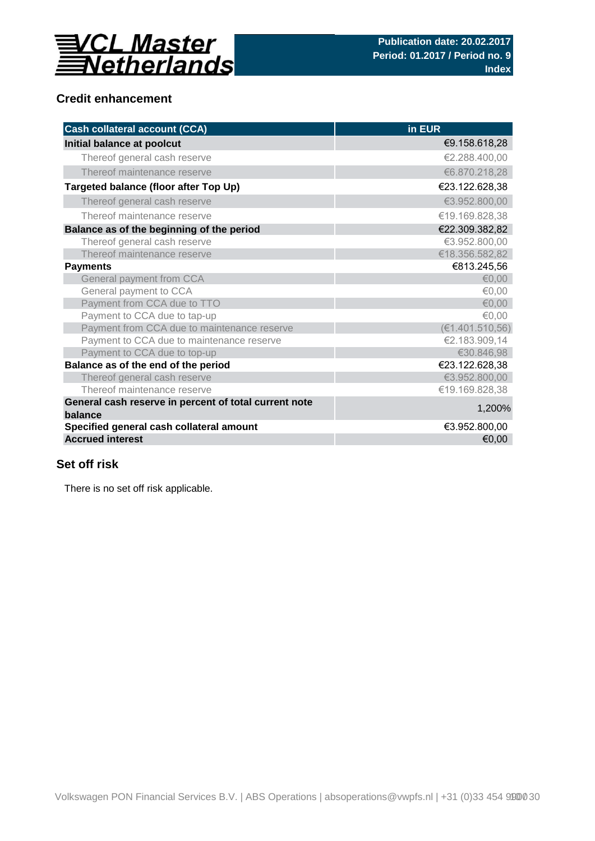

## **Credit enhancement**

| <b>Cash collateral account (CCA)</b>                             | in EUR           |
|------------------------------------------------------------------|------------------|
| Initial balance at poolcut                                       | €9.158.618,28    |
| Thereof general cash reserve                                     | €2.288.400,00    |
| Thereof maintenance reserve                                      | €6.870.218,28    |
| Targeted balance (floor after Top Up)                            | €23.122.628,38   |
| Thereof general cash reserve                                     | €3.952.800,00    |
| Thereof maintenance reserve                                      | €19.169.828,38   |
| Balance as of the beginning of the period                        | €22.309.382,82   |
| Thereof general cash reserve                                     | €3.952.800,00    |
| Thereof maintenance reserve                                      | €18.356.582,82   |
| <b>Payments</b>                                                  | €813.245,56      |
| General payment from CCA                                         | € $0,00$         |
| General payment to CCA                                           | €0,00            |
| Payment from CCA due to TTO                                      | € $0,00$         |
| Payment to CCA due to tap-up                                     | €0,00            |
| Payment from CCA due to maintenance reserve                      | (E1.401.510, 56) |
| Payment to CCA due to maintenance reserve                        | €2.183.909,14    |
| Payment to CCA due to top-up                                     | €30.846,98       |
| Balance as of the end of the period                              | €23.122.628,38   |
| Thereof general cash reserve                                     | €3.952.800,00    |
| Thereof maintenance reserve                                      | €19.169.828,38   |
| General cash reserve in percent of total current note<br>balance | 1,200%           |
| Specified general cash collateral amount                         | €3.952.800,00    |
| <b>Accrued interest</b>                                          | €0,00            |

## **Set off risk**

There is no set off risk applicable.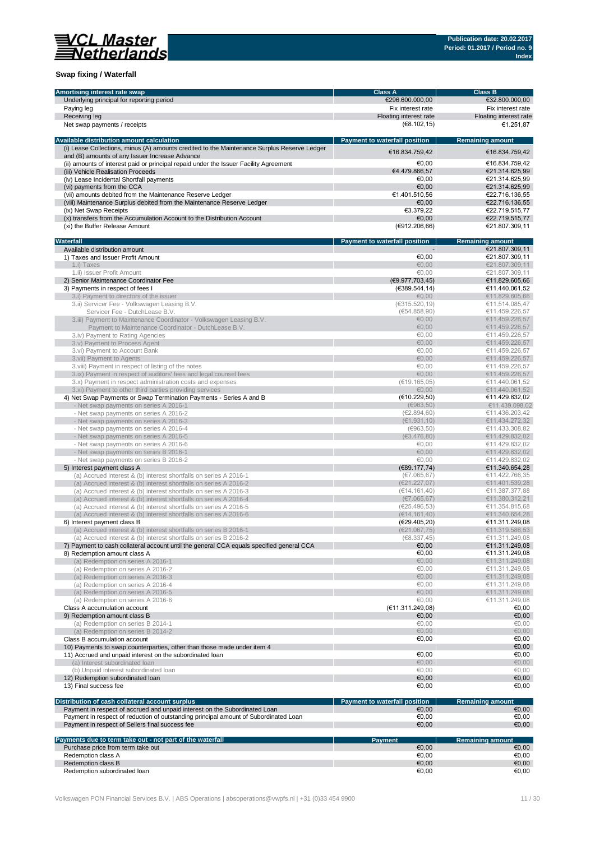

### **Swap fixing / Waterfall**

| Amortising interest rate swap                                                               | <b>Class A</b>                       | <b>Class B</b>          |
|---------------------------------------------------------------------------------------------|--------------------------------------|-------------------------|
| Underlying principal for reporting period                                                   | €296.600.000,00                      | €32.800.000,00          |
| Paying leg                                                                                  | Fix interest rate                    | Fix interest rate       |
| Receiving leg                                                                               | Floating interest rate               | Floating interest rate  |
|                                                                                             |                                      |                         |
| Net swap payments / receipts                                                                | (€8.102, 15)                         | €1.251,87               |
|                                                                                             |                                      |                         |
| Available distribution amount calculation                                                   | <b>Payment to waterfall position</b> | <b>Remaining amount</b> |
| (i) Lease Collections, minus (A) amounts credited to the Maintenance Surplus Reserve Ledger | €16.834.759,42                       | €16.834.759,42          |
| and (B) amounts of any Issuer Increase Advance                                              |                                      |                         |
| (ii) amounts of interest paid or principal repaid under the Issuer Facility Agreement       | €0.00                                | €16.834.759,42          |
| (iii) Vehicle Realisation Proceeds                                                          | €4.479.866,57                        | €21.314.625,99          |
| (iv) Lease Incidental Shortfall payments                                                    | €0.00                                | €21.314.625,99          |
| (vi) payments from the CCA                                                                  | €0.00                                | €21.314.625,99          |
| (vii) amounts debited from the Maintenance Reserve Ledger                                   | €1.401.510,56                        | €22.716.136,55          |
|                                                                                             |                                      |                         |
| (viii) Maintenance Surplus debited from the Maintenance Reserve Ledger                      | €0,00                                | €22.716.136,55          |
| (ix) Net Swap Receipts                                                                      | €3.379.22                            | €22.719.515.77          |
| (x) transfers from the Accumulation Account to the Distribution Account                     | €0,00                                | €22.719.515.77          |
| (xi) the Buffer Release Amount                                                              | (6912.206.66)                        | €21.807.309,11          |
|                                                                                             |                                      |                         |
| Waterfall                                                                                   | Payment to waterfall position        | <b>Remaining amount</b> |
| Available distribution amount                                                               |                                      | €21.807.309,11          |
|                                                                                             | €0,00                                | €21.807.309,11          |
| 1) Taxes and Issuer Profit Amount                                                           |                                      |                         |
| 1.i) Taxes                                                                                  | €0.00                                | €21.807.309,11          |
| 1.ii) Issuer Profit Amount                                                                  | €0,00                                | €21.807.309,11          |
| 2) Senior Maintenance Coordinator Fee                                                       | (€9.977.703,45)                      | €11.829.605,66          |
| 3) Payments in respect of fees I                                                            | (€389.544,14)                        | €11.440.061,52          |
| 3.i) Payment to directors of the issuer                                                     | €0,00                                | €11.829.605,66          |
| 3.ii) Servicer Fee - Volkswagen Leasing B.V.                                                | (€315.520, 19)                       | €11.514.085,47          |
|                                                                                             |                                      |                         |
| Servicer Fee - DutchLease B.V.                                                              | (€54.858,90)                         | €11.459.226,57          |
| 3.iii) Payment to Maintenance Coordinator - Volkswagen Leasing B.V.                         | €0,00                                | €11.459.226,57          |
| Payment to Maintenance Coordinator - DutchLease B.V.                                        | €0,00                                | €11.459.226,57          |
| 3.iv) Payment to Rating Agencies                                                            | €0.00                                | €11.459.226,57          |
| 3.v) Payment to Process Agent                                                               | €0,00                                | €11.459.226,57          |
| 3.vi) Payment to Account Bank                                                               | €0,00                                | €11.459.226,57          |
| 3. vii) Payment to Agents                                                                   | €0.00                                | €11.459.226,57          |
| 3. viii) Payment in respect of listing of the notes                                         | €0.00                                |                         |
|                                                                                             |                                      | €11.459.226,57          |
| 3.ix) Payment in respect of auditors' fees and legal counsel fees                           | €0,00                                | €11.459.226.57          |
| 3.x) Payment in respect administration costs and expenses                                   | (€19.165,05)                         | €11.440.061,52          |
| 3.xi) Payment to other third parties providing services                                     | €0,00                                | €11.440.061,52          |
| 4) Net Swap Payments or Swap Termination Payments - Series A and B                          | (E10.229, 50)                        | €11.429.832,02          |
| - Net swap payments on series A 2016-1                                                      | (6963, 50)                           | €11.439.098,02          |
| - Net swap payments on series A 2016-2                                                      | (E2.894, 60)                         | €11.436.203,42          |
|                                                                                             |                                      |                         |
| - Net swap payments on series A 2016-3                                                      | (E1.931, 10)                         | €11.434.272,32          |
| - Net swap payments on series A 2016-4                                                      | (6963, 50)                           | €11.433.308,82          |
| - Net swap payments on series A 2016-5                                                      | (€3.476,80)                          | €11.429.832,02          |
| - Net swap payments on series A 2016-6                                                      | €0,00                                | €11.429.832,02          |
| - Net swap payments on series B 2016-1                                                      | €0,00                                | €11.429.832,02          |
| - Net swap payments on series B 2016-2                                                      | €0,00                                | €11.429.832,02          |
|                                                                                             |                                      |                         |
| 5) Interest payment class A                                                                 | (€89.177,74)                         | €11.340.654,28          |
| (a) Accrued interest & (b) interest shortfalls on series A 2016-1                           | (E7.065, 67)                         | €11.422.766,35          |
| (a) Accrued interest & (b) interest shortfalls on series A 2016-2                           | (E21.227,07)                         | €11.401.539,28          |
| (a) Accrued interest & (b) interest shortfalls on series A 2016-3                           | (€14.161,40)                         | €11.387.377,88          |
| (a) Accrued interest & (b) interest shortfalls on series A 2016-4                           | (E7.065, 67)                         | €11.380.312,21          |
| (a) Accrued interest & (b) interest shortfalls on series A 2016-5                           | (E25.496,53)                         | €11.354.815,68          |
| (a) Accrued interest & (b) interest shortfalls on series A 2016-6                           | (E14.161, 40)                        | €11.340.654,28          |
|                                                                                             |                                      |                         |
| 6) Interest payment class B                                                                 | (E29.405, 20)                        | €11.311.249,08          |
| (a) Accrued interest & (b) interest shortfalls on series B 2016-1                           | (E21.067,75)                         | €11.319.586,53          |
| (a) Accrued interest & (b) interest shortfalls on series B 2016-2                           | (68.337, 45)                         | €11.311.249.08          |
| 7) Payment to cash collateral account until the general CCA equals specified general CCA    | €0,00                                | €11.311.249,08          |
| 8) Redemption amount class A                                                                | €0,00                                | €11.311.249,08          |
| (a) Redemption on series A 2016-1                                                           | €0,00                                | €11.311.249,08          |
| (a) Redemption on series A 2016-2                                                           | €0,00                                | €11.311.249,08          |
| (a) Redemption on series A 2016-3                                                           | €0,00                                | €11.311.249,08          |
|                                                                                             | €0,00                                |                         |
| (a) Redemption on series A 2016-4                                                           |                                      | €11.311.249,08          |
| (a) Redemption on series A 2016-5                                                           | €0,00                                | €11.311.249,08          |
| (a) Redemption on series A 2016-6                                                           | €0,00                                | €11.311.249,08          |
| Class A accumulation account                                                                | (€11.311.249,08)                     | €0,00                   |
| 9) Redemption amount class B                                                                | €0,00                                | €0,00                   |
| (a) Redemption on series B 2014-1                                                           | €0,00                                | €0,00                   |
| (a) Redemption on series B 2014-2                                                           | €0,00                                | €0,00                   |
|                                                                                             |                                      |                         |
| Class B accumulation account                                                                | €0,00                                | €0,00                   |
| 10) Payments to swap counterparties, other than those made under item 4                     |                                      | €0,00                   |
| 11) Accrued and unpaid interest on the subordinated loan                                    | €0,00                                | €0,00                   |
| (a) Interest subordinated loan                                                              | €0,00                                | €0,00                   |
| (b) Unpaid interest subordinated loan                                                       | €0,00                                | €0,00                   |
| 12) Redemption subordinated loan                                                            | €0,00                                | €0,00                   |
|                                                                                             |                                      |                         |
| 13) Final success fee                                                                       | €0,00                                | €0,00                   |
|                                                                                             |                                      |                         |
| Distribution of cash collateral account surplus                                             | Payment to waterfall position        | <b>Remaining amount</b> |
| Payment in respect of accrued and unpaid interest on the Subordinated Loan                  | €0,00                                | €0,00                   |
| Payment in respect of reduction of outstanding principal amount of Subordinated Loan        | €0,00                                | €0,00                   |
| Payment in respect of Sellers final success fee                                             | €0,00                                | €0,00                   |
|                                                                                             |                                      |                         |
| Payments due to term take out - not part of the waterfall                                   | <b>Payment</b>                       | <b>Remaining amount</b> |
|                                                                                             |                                      |                         |
| Purchase price from term take out                                                           | €0,00                                | €0,00                   |
| Redemption class A                                                                          | €0,00                                | €0,00                   |
| Redemption class B                                                                          | €0,00                                | €0,00                   |
| Redemption subordinated loan                                                                | €0,00                                | €0,00                   |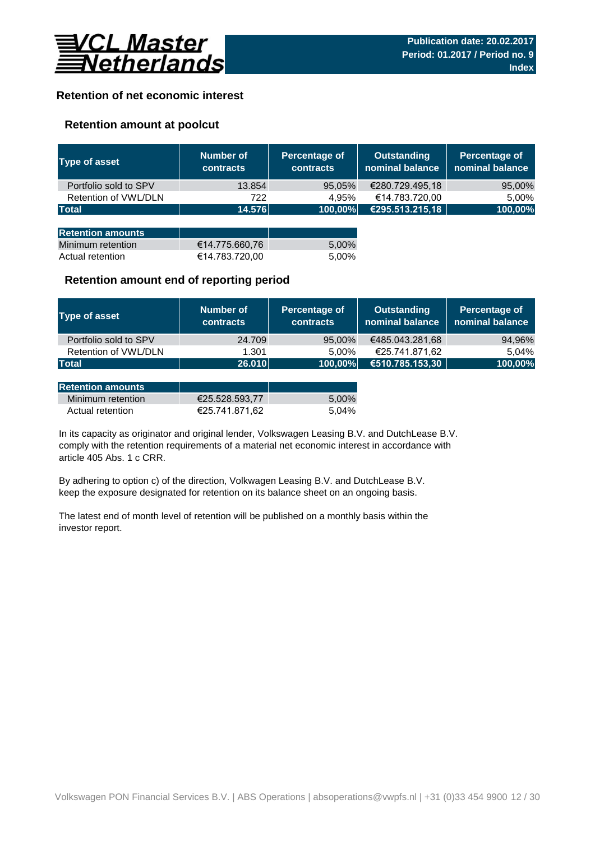

## **Retention of net economic interest**

## **Retention amount at poolcut**

| <b>Type of asset</b>     | Number of<br><b>contracts</b> | Percentage of<br><b>contracts</b> | <b>Outstanding</b><br>nominal balance | Percentage of<br>nominal balance |
|--------------------------|-------------------------------|-----------------------------------|---------------------------------------|----------------------------------|
| Portfolio sold to SPV    | 13.854                        | 95,05%                            | €280.729.495,18                       | 95,00%                           |
| Retention of VWL/DLN     | 722                           | 4.95%                             | €14.783.720,00                        | 5,00%                            |
| <b>Total</b>             | 14.576                        | 100,00%                           | €295.513.215,18                       | 100,00%                          |
|                          |                               |                                   |                                       |                                  |
| <b>Retention amounts</b> |                               |                                   |                                       |                                  |
| Minimum retention        | €14.775.660,76                | 5,00%                             |                                       |                                  |
| Actual retention         | €14.783.720,00                | 5.00%                             |                                       |                                  |

## **Retention amount end of reporting period**

| Type of asset         | Number of<br><b>contracts</b> | Percentage of<br><b>contracts</b> | <b>Outstanding</b><br>nominal balance | Percentage of<br>nominal balance |
|-----------------------|-------------------------------|-----------------------------------|---------------------------------------|----------------------------------|
| Portfolio sold to SPV | 24.709                        | 95,00%                            | €485.043.281,68                       | 94,96%                           |
| Retention of VWL/DLN  | 1.301                         | 5.00%                             | €25.741.871,62                        | 5.04%                            |
| <b>Total</b>          | 26.010                        | 100,00%                           | €510.785.153,30                       | 100,00%                          |

| <b>Retention amounts</b> |                |       |
|--------------------------|----------------|-------|
| Minimum retention        | €25.528.593.77 | 5.00% |
| Actual retention         | €25.741.871.62 | 5.04% |

article 405 Abs. 1 c CRR. In its capacity as originator and original lender, Volkswagen Leasing B.V. and DutchLease B.V. comply with the retention requirements of a material net economic interest in accordance with

By adhering to option c) of the direction, Volkwagen Leasing B.V. and DutchLease B.V. keep the exposure designated for retention on its balance sheet on an ongoing basis.

The latest end of month level of retention will be published on a monthly basis within the investor report.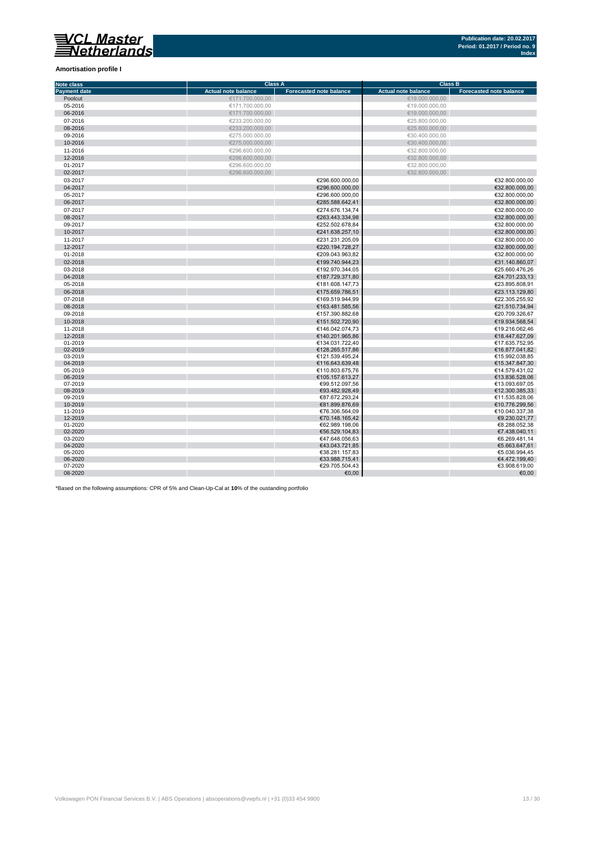## VCL Master<br>Netherlands

#### **Amortisation profile I**

| <b>Note class</b>   | <b>Class A</b>             |                                | <b>Class B</b>             |                                |  |  |
|---------------------|----------------------------|--------------------------------|----------------------------|--------------------------------|--|--|
| <b>Payment date</b> | <b>Actual note balance</b> | <b>Forecasted note balance</b> | <b>Actual note balance</b> | <b>Forecasted note balance</b> |  |  |
| Poolcut             | €171.700.000,00            |                                | €19.000.000,00             |                                |  |  |
| 05-2016             | €171.700.000.00            |                                | €19.000.000.00             |                                |  |  |
| 06-2016             | €171.700.000,00            |                                | €19.000.000,00             |                                |  |  |
| 07-2016             | €233.200.000,00            |                                | €25.800.000,00             |                                |  |  |
| 08-2016             | €233.200.000.00            |                                | €25.800.000.00             |                                |  |  |
| 09-2016             | €275.000.000,00            |                                | €30.400.000,00             |                                |  |  |
| 10-2016             | €275.000.000,00            |                                | €30.400.000,00             |                                |  |  |
| 11-2016             | €296.600.000,00            |                                | €32.800.000,00             |                                |  |  |
| 12-2016             | €296.600.000,00            |                                | €32.800.000,00             |                                |  |  |
| 01-2017             | €296.600.000,00            |                                | €32.800.000,00             |                                |  |  |
| 02-2017             | €296.600.000,00            |                                | €32.800.000,00             |                                |  |  |
| 03-2017             |                            | €296.600.000.00                |                            | €32.800.000.00                 |  |  |
| 04-2017             |                            | €296.600.000,00                |                            | €32.800.000,00                 |  |  |
|                     |                            |                                |                            |                                |  |  |
| 05-2017             |                            | €296.600.000,00                |                            | €32.800.000,00                 |  |  |
| 06-2017             |                            | €285.588.642,41                |                            | €32.800.000,00                 |  |  |
| 07-2017             |                            | €274.676.134,74                |                            | €32.800.000,00                 |  |  |
| 08-2017             |                            | €263.443.334,98                |                            | €32.800.000,00                 |  |  |
| 09-2017             |                            | €252.502.678,84                |                            | €32.800.000,00                 |  |  |
| 10-2017             |                            | €241.638.257,10                |                            | €32.800.000.00                 |  |  |
| 11-2017             |                            | €231.231.205,09                |                            | €32.800.000,00                 |  |  |
| 12-2017             |                            | €220.194.728,27                |                            | €32.800.000,00                 |  |  |
| 01-2018             |                            | €209.043.963.82                |                            | €32.800.000,00                 |  |  |
| 02-2018             |                            | €199.740.944,23                |                            | €31.140.860,07                 |  |  |
| 03-2018             |                            | €192.970.344,05                |                            | €25.660.476.26                 |  |  |
| 04-2018             |                            | €187.729.371,80                |                            | €24.701.233,13                 |  |  |
| 05-2018             |                            | €181.608.147,73                |                            | €23.895.808,91                 |  |  |
| 06-2018             |                            | €175.659.786,51                |                            | €23.113.129,80                 |  |  |
| 07-2018             |                            | €169.519.944,99                |                            | €22.305.255,92                 |  |  |
| 08-2018             |                            | €163.481.585,56                |                            | €21.510.734,94                 |  |  |
| 09-2018             |                            | €157.390.882,68                |                            | €20.709.326.67                 |  |  |
| 10-2018             |                            | €151.502.720,90                |                            | €19.934.568,54                 |  |  |
| 11-2018             |                            | €146.042.074.73                |                            | €19.216.062.46                 |  |  |
| 12-2018             |                            | €140.201.965,86                |                            | €18.447.627,09                 |  |  |
| 01-2019             |                            | €134.031.722.40                |                            | €17.635.752,95                 |  |  |
| 02-2019             |                            | €128.265.517,86                |                            | €16.877.041,82                 |  |  |
| 03-2019             |                            | €121.539.495,24                |                            | €15.992.038,85                 |  |  |
| 04-2019             |                            | €116.643.639.48                |                            | €15.347.847,30                 |  |  |
| 05-2019             |                            | €110.803.675,76                |                            | €14.579.431,02                 |  |  |
| 06-2019             |                            | €105.157.613,27                |                            | €13.836.528,06                 |  |  |
| 07-2019             |                            | €99.512.097,56                 |                            | €13.093.697,05                 |  |  |
| 08-2019             |                            | €93.482.928,49                 |                            | €12.300.385,33                 |  |  |
| 09-2019             |                            | €87.672.293.24                 |                            | €11.535.828,06                 |  |  |
| 10-2019             |                            | €81.899.876,69                 |                            | €10.776.299,56                 |  |  |
| 11-2019             |                            | €76.306.564,09                 |                            | €10.040.337,38                 |  |  |
| 12-2019             |                            | €70.148.165,42                 |                            | €9.230.021,77                  |  |  |
| 01-2020             |                            | €62.989.198,06                 |                            | €8.288.052,38                  |  |  |
| 02-2020             |                            | €56.529.104,83                 |                            | €7.438.040,11                  |  |  |
| 03-2020             |                            | €47.648.056,63                 |                            | €6.269.481,14                  |  |  |
| 04-2020             |                            | €43.043.721.85                 |                            | €5.663.647.61                  |  |  |
| 05-2020             |                            | €38.281.157.83                 |                            | €5.036.994,45                  |  |  |
| 06-2020             |                            | €33.988.715,41                 |                            | €4.472.199,40                  |  |  |
| 07-2020             |                            | €29.705.504.43                 |                            | €3.908.619.00                  |  |  |
| 08-2020             |                            | €0,00                          |                            | €0,00                          |  |  |

\*Based on the following assumptions: CPR of 5% and Clean-Up-Cal at **10**% of the oustanding portfolio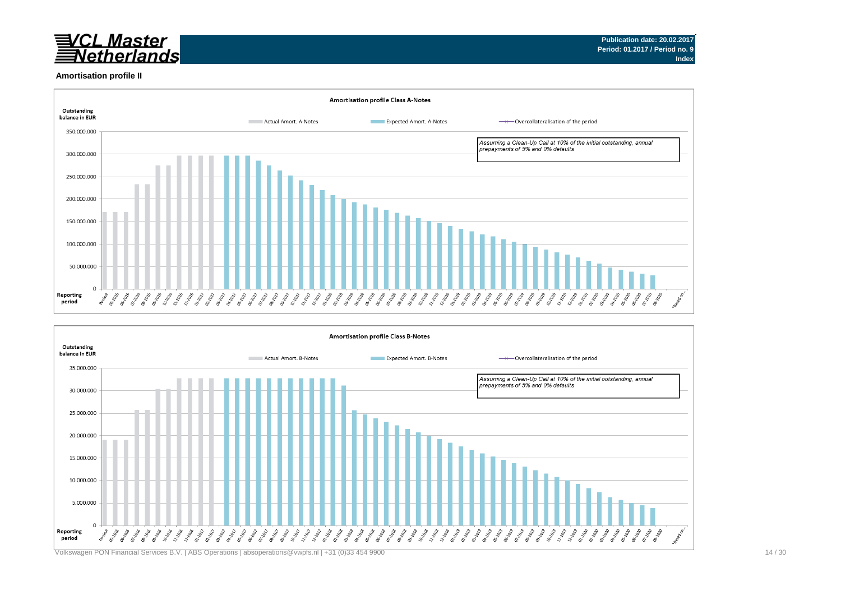

#### **Amortisation profile II**



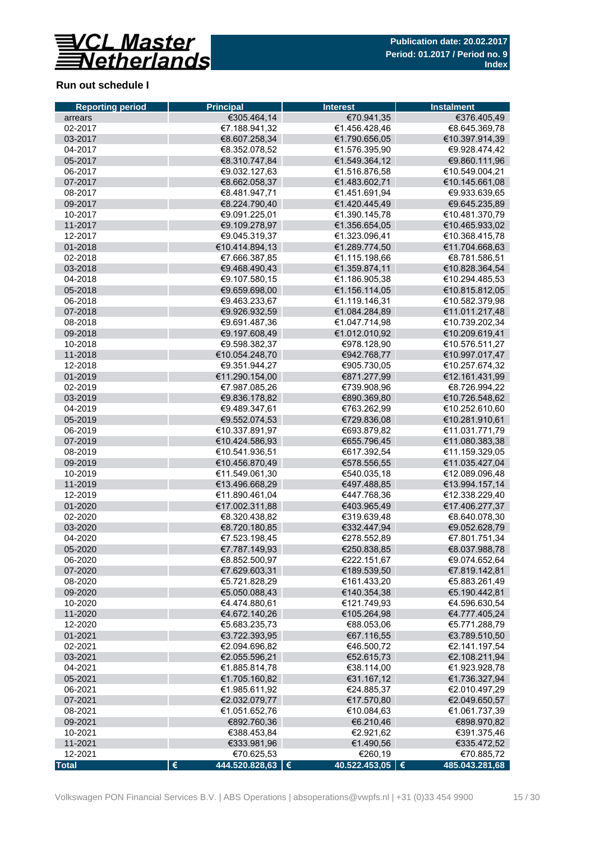

## **Run out schedule I**

| €305.464,14<br>€70.941,35<br>€376.405,49<br>arrears<br>02-2017<br>€7.188.941,32<br>€1.456.428,46<br>€8.645.369,78<br>€1.790.656,05<br>€10.397.914,39<br>03-2017<br>€8.607.258,34<br>€1.576.395,90<br>04-2017<br>€8.352.078,52<br>€9.928.474,42<br>05-2017<br>€8.310.747,84<br>€1.549.364,12<br>€9.860.111,96<br>€9.032.127,63<br>€1.516.876,58<br>06-2017<br>€10.549.004,21<br>07-2017<br>€8.662.058,37<br>€1.483.602,71<br>€10.145.661,08<br>€8.481.947,71<br>€1.451.691,94<br>€9.933.639,65<br>08-2017<br>09-2017<br>€8.224.790,40<br>€1.420.445,49<br>€9.645.235,89<br>10-2017<br>€9.091.225,01<br>€1.390.145,78<br>€10.481.370,79<br>11-2017<br>€9.109.278,97<br>€1.356.654,05<br>€10.465.933,02<br>€9.045.319,37<br>€1.323.096,41<br>12-2017<br>€10.368.415,78<br>€10.414.894,13<br>€1.289.774,50<br>€11.704.668,63<br>01-2018<br>02-2018<br>€7.666.387,85<br>€1.115.198,66<br>€8.781.586,51<br>03-2018<br>€1.359.874,11<br>€9.468.490,43<br>€10.828.364,54<br>04-2018<br>€9.107.580,15<br>€1.186.905,38<br>€10.294.485,53<br>05-2018<br>€9.659.698,00<br>€1.156.114,05<br>€10.815.812,05<br>06-2018<br>€9.463.233,67<br>€1.119.146,31<br>€10.582.379,98<br>07-2018<br>€9.926.932,59<br>€1.084.284,89<br>€11.011.217,48<br>08-2018<br>€9.691.487,36<br>€1.047.714,98<br>€10.739.202,34<br>09-2018<br>€9.197.608,49<br>€1.012.010,92<br>€10.209.619,41<br>10-2018<br>€9.598.382,37<br>€978.128,90<br>€10.576.511,27<br>€10.054.248,70<br>€10.997.017,47<br>11-2018<br>€942.768,77<br>12-2018<br>€9.351.944,27<br>€905.730,05<br>€10.257.674,32<br>01-2019<br>€11.290.154,00<br>€871.277,99<br>€12.161.431,99<br>02-2019<br>€7.987.085,26<br>€739.908,96<br>€8.726.994,22<br>03-2019<br>€9.836.178,82<br>€890.369,80<br>€10.726.548,62<br>€9.489.347,61<br>€763.262,99<br>€10.252.610,60<br>04-2019<br>05-2019<br>€9.552.074,53<br>€729.836,08<br>€10.281.910,61<br>€10.337.891,97<br>€11.031.771,79<br>06-2019<br>€693.879,82<br>07-2019<br>€10.424.586,93<br>€655.796,45<br>€11.080.383,38<br>08-2019<br>€10.541.936,51<br>€617.392,54<br>€11.159.329,05<br>€10.456.870,49<br>€578.556,55<br>€11.035.427,04<br>09-2019<br>€12.089.096,48<br>10-2019<br>€11.549.061,30<br>€540.035,18<br>11-2019<br>€13.496.668,29<br>€497.488,85<br>€13.994.157,14<br>€447.768,36<br>12-2019<br>€11.890.461,04<br>€12.338.229,40<br>01-2020<br>€17.002.311,88<br>€403.965,49<br>€17.406.277,37<br>02-2020<br>€8.320.438,82<br>€319.639,48<br>€8.640.078,30<br>€8.720.180,85<br>03-2020<br>€332.447,94<br>€9.052.628,79<br>04-2020<br>€7.523.198,45<br>€278.552,89<br>€7.801.751,34<br>05-2020<br>€7.787.149,93<br>€250.838,85<br>€8.037.988,78<br>06-2020<br>€8.852.500,97<br>€222.151,67<br>€9.074.652,64<br>07-2020<br>€7.629.603,31<br>€189.539,50<br>€7.819.142,81<br>€5.721.828,29<br>08-2020<br>€161.433,20<br>€5.883.261,49<br>€5.050.088,43<br>09-2020<br>€140.354,38<br>€5.190.442,81<br>€4.474.880,61<br>10-2020<br>€121.749,93<br>€4.596.630,54<br>11-2020<br>€4.672.140,26<br>€105.264,98<br>€4.777.405,24<br>12-2020<br>€5.683.235,73<br>€88.053,06<br>€5.771.288,79<br>01-2021<br>€3.722.393,95<br>€67.116,55<br>€3.789.510,50<br>02-2021<br>€2.094.696,82<br>€46.500,72<br>€2.141.197,54<br>€52.615,73<br>03-2021<br>€2.055.596,21<br>€2.108.211,94<br>04-2021<br>€1.885.814,78<br>€38.114,00<br>€1.923.928,78<br>05-2021<br>€1.705.160,82<br>€31.167,12<br>€1.736.327,94<br>€1.985.611,92<br>06-2021<br>€24.885,37<br>€2.010.497,29<br>€2.032.079,77<br>07-2021<br>€17.570,80<br>€2.049.650,57<br>€1.051.652,76<br>€10.084,63<br>€1.061.737,39<br>08-2021<br>09-2021<br>€892.760,36<br>€6.210,46<br>€898.970,82<br>10-2021<br>€388.453,84<br>€2.921,62<br>€391.375,46<br>11-2021<br>€333.981,96<br>€1.490,56<br>€335.472,52<br>12-2021<br>€70.625,53<br>€260,19<br>€70.885,72<br>444.520.828,63   €<br>40.522.453,05   € | <b>Reporting period</b> | <b>Principal</b> | <b>Interest</b> | <b>Instalment</b> |  |  |
|-------------------------------------------------------------------------------------------------------------------------------------------------------------------------------------------------------------------------------------------------------------------------------------------------------------------------------------------------------------------------------------------------------------------------------------------------------------------------------------------------------------------------------------------------------------------------------------------------------------------------------------------------------------------------------------------------------------------------------------------------------------------------------------------------------------------------------------------------------------------------------------------------------------------------------------------------------------------------------------------------------------------------------------------------------------------------------------------------------------------------------------------------------------------------------------------------------------------------------------------------------------------------------------------------------------------------------------------------------------------------------------------------------------------------------------------------------------------------------------------------------------------------------------------------------------------------------------------------------------------------------------------------------------------------------------------------------------------------------------------------------------------------------------------------------------------------------------------------------------------------------------------------------------------------------------------------------------------------------------------------------------------------------------------------------------------------------------------------------------------------------------------------------------------------------------------------------------------------------------------------------------------------------------------------------------------------------------------------------------------------------------------------------------------------------------------------------------------------------------------------------------------------------------------------------------------------------------------------------------------------------------------------------------------------------------------------------------------------------------------------------------------------------------------------------------------------------------------------------------------------------------------------------------------------------------------------------------------------------------------------------------------------------------------------------------------------------------------------------------------------------------------------------------------------------------------------------------------------------------------------------------------------------------------------------------------------------------------------------------------------------------------------------------------------------------------------------------------------------------------------------------------------------------------------------------------------------------------------------------------------------------------------------------------------------------------------------------------------------------------------------------------------------------------------------------------------------|-------------------------|------------------|-----------------|-------------------|--|--|
|                                                                                                                                                                                                                                                                                                                                                                                                                                                                                                                                                                                                                                                                                                                                                                                                                                                                                                                                                                                                                                                                                                                                                                                                                                                                                                                                                                                                                                                                                                                                                                                                                                                                                                                                                                                                                                                                                                                                                                                                                                                                                                                                                                                                                                                                                                                                                                                                                                                                                                                                                                                                                                                                                                                                                                                                                                                                                                                                                                                                                                                                                                                                                                                                                                                                                                                                                                                                                                                                                                                                                                                                                                                                                                                                                                                                                               |                         |                  |                 |                   |  |  |
|                                                                                                                                                                                                                                                                                                                                                                                                                                                                                                                                                                                                                                                                                                                                                                                                                                                                                                                                                                                                                                                                                                                                                                                                                                                                                                                                                                                                                                                                                                                                                                                                                                                                                                                                                                                                                                                                                                                                                                                                                                                                                                                                                                                                                                                                                                                                                                                                                                                                                                                                                                                                                                                                                                                                                                                                                                                                                                                                                                                                                                                                                                                                                                                                                                                                                                                                                                                                                                                                                                                                                                                                                                                                                                                                                                                                                               |                         |                  |                 |                   |  |  |
|                                                                                                                                                                                                                                                                                                                                                                                                                                                                                                                                                                                                                                                                                                                                                                                                                                                                                                                                                                                                                                                                                                                                                                                                                                                                                                                                                                                                                                                                                                                                                                                                                                                                                                                                                                                                                                                                                                                                                                                                                                                                                                                                                                                                                                                                                                                                                                                                                                                                                                                                                                                                                                                                                                                                                                                                                                                                                                                                                                                                                                                                                                                                                                                                                                                                                                                                                                                                                                                                                                                                                                                                                                                                                                                                                                                                                               |                         |                  |                 |                   |  |  |
|                                                                                                                                                                                                                                                                                                                                                                                                                                                                                                                                                                                                                                                                                                                                                                                                                                                                                                                                                                                                                                                                                                                                                                                                                                                                                                                                                                                                                                                                                                                                                                                                                                                                                                                                                                                                                                                                                                                                                                                                                                                                                                                                                                                                                                                                                                                                                                                                                                                                                                                                                                                                                                                                                                                                                                                                                                                                                                                                                                                                                                                                                                                                                                                                                                                                                                                                                                                                                                                                                                                                                                                                                                                                                                                                                                                                                               |                         |                  |                 |                   |  |  |
|                                                                                                                                                                                                                                                                                                                                                                                                                                                                                                                                                                                                                                                                                                                                                                                                                                                                                                                                                                                                                                                                                                                                                                                                                                                                                                                                                                                                                                                                                                                                                                                                                                                                                                                                                                                                                                                                                                                                                                                                                                                                                                                                                                                                                                                                                                                                                                                                                                                                                                                                                                                                                                                                                                                                                                                                                                                                                                                                                                                                                                                                                                                                                                                                                                                                                                                                                                                                                                                                                                                                                                                                                                                                                                                                                                                                                               |                         |                  |                 |                   |  |  |
|                                                                                                                                                                                                                                                                                                                                                                                                                                                                                                                                                                                                                                                                                                                                                                                                                                                                                                                                                                                                                                                                                                                                                                                                                                                                                                                                                                                                                                                                                                                                                                                                                                                                                                                                                                                                                                                                                                                                                                                                                                                                                                                                                                                                                                                                                                                                                                                                                                                                                                                                                                                                                                                                                                                                                                                                                                                                                                                                                                                                                                                                                                                                                                                                                                                                                                                                                                                                                                                                                                                                                                                                                                                                                                                                                                                                                               |                         |                  |                 |                   |  |  |
|                                                                                                                                                                                                                                                                                                                                                                                                                                                                                                                                                                                                                                                                                                                                                                                                                                                                                                                                                                                                                                                                                                                                                                                                                                                                                                                                                                                                                                                                                                                                                                                                                                                                                                                                                                                                                                                                                                                                                                                                                                                                                                                                                                                                                                                                                                                                                                                                                                                                                                                                                                                                                                                                                                                                                                                                                                                                                                                                                                                                                                                                                                                                                                                                                                                                                                                                                                                                                                                                                                                                                                                                                                                                                                                                                                                                                               |                         |                  |                 |                   |  |  |
|                                                                                                                                                                                                                                                                                                                                                                                                                                                                                                                                                                                                                                                                                                                                                                                                                                                                                                                                                                                                                                                                                                                                                                                                                                                                                                                                                                                                                                                                                                                                                                                                                                                                                                                                                                                                                                                                                                                                                                                                                                                                                                                                                                                                                                                                                                                                                                                                                                                                                                                                                                                                                                                                                                                                                                                                                                                                                                                                                                                                                                                                                                                                                                                                                                                                                                                                                                                                                                                                                                                                                                                                                                                                                                                                                                                                                               |                         |                  |                 |                   |  |  |
|                                                                                                                                                                                                                                                                                                                                                                                                                                                                                                                                                                                                                                                                                                                                                                                                                                                                                                                                                                                                                                                                                                                                                                                                                                                                                                                                                                                                                                                                                                                                                                                                                                                                                                                                                                                                                                                                                                                                                                                                                                                                                                                                                                                                                                                                                                                                                                                                                                                                                                                                                                                                                                                                                                                                                                                                                                                                                                                                                                                                                                                                                                                                                                                                                                                                                                                                                                                                                                                                                                                                                                                                                                                                                                                                                                                                                               |                         |                  |                 |                   |  |  |
|                                                                                                                                                                                                                                                                                                                                                                                                                                                                                                                                                                                                                                                                                                                                                                                                                                                                                                                                                                                                                                                                                                                                                                                                                                                                                                                                                                                                                                                                                                                                                                                                                                                                                                                                                                                                                                                                                                                                                                                                                                                                                                                                                                                                                                                                                                                                                                                                                                                                                                                                                                                                                                                                                                                                                                                                                                                                                                                                                                                                                                                                                                                                                                                                                                                                                                                                                                                                                                                                                                                                                                                                                                                                                                                                                                                                                               |                         |                  |                 |                   |  |  |
|                                                                                                                                                                                                                                                                                                                                                                                                                                                                                                                                                                                                                                                                                                                                                                                                                                                                                                                                                                                                                                                                                                                                                                                                                                                                                                                                                                                                                                                                                                                                                                                                                                                                                                                                                                                                                                                                                                                                                                                                                                                                                                                                                                                                                                                                                                                                                                                                                                                                                                                                                                                                                                                                                                                                                                                                                                                                                                                                                                                                                                                                                                                                                                                                                                                                                                                                                                                                                                                                                                                                                                                                                                                                                                                                                                                                                               |                         |                  |                 |                   |  |  |
|                                                                                                                                                                                                                                                                                                                                                                                                                                                                                                                                                                                                                                                                                                                                                                                                                                                                                                                                                                                                                                                                                                                                                                                                                                                                                                                                                                                                                                                                                                                                                                                                                                                                                                                                                                                                                                                                                                                                                                                                                                                                                                                                                                                                                                                                                                                                                                                                                                                                                                                                                                                                                                                                                                                                                                                                                                                                                                                                                                                                                                                                                                                                                                                                                                                                                                                                                                                                                                                                                                                                                                                                                                                                                                                                                                                                                               |                         |                  |                 |                   |  |  |
|                                                                                                                                                                                                                                                                                                                                                                                                                                                                                                                                                                                                                                                                                                                                                                                                                                                                                                                                                                                                                                                                                                                                                                                                                                                                                                                                                                                                                                                                                                                                                                                                                                                                                                                                                                                                                                                                                                                                                                                                                                                                                                                                                                                                                                                                                                                                                                                                                                                                                                                                                                                                                                                                                                                                                                                                                                                                                                                                                                                                                                                                                                                                                                                                                                                                                                                                                                                                                                                                                                                                                                                                                                                                                                                                                                                                                               |                         |                  |                 |                   |  |  |
|                                                                                                                                                                                                                                                                                                                                                                                                                                                                                                                                                                                                                                                                                                                                                                                                                                                                                                                                                                                                                                                                                                                                                                                                                                                                                                                                                                                                                                                                                                                                                                                                                                                                                                                                                                                                                                                                                                                                                                                                                                                                                                                                                                                                                                                                                                                                                                                                                                                                                                                                                                                                                                                                                                                                                                                                                                                                                                                                                                                                                                                                                                                                                                                                                                                                                                                                                                                                                                                                                                                                                                                                                                                                                                                                                                                                                               |                         |                  |                 |                   |  |  |
|                                                                                                                                                                                                                                                                                                                                                                                                                                                                                                                                                                                                                                                                                                                                                                                                                                                                                                                                                                                                                                                                                                                                                                                                                                                                                                                                                                                                                                                                                                                                                                                                                                                                                                                                                                                                                                                                                                                                                                                                                                                                                                                                                                                                                                                                                                                                                                                                                                                                                                                                                                                                                                                                                                                                                                                                                                                                                                                                                                                                                                                                                                                                                                                                                                                                                                                                                                                                                                                                                                                                                                                                                                                                                                                                                                                                                               |                         |                  |                 |                   |  |  |
|                                                                                                                                                                                                                                                                                                                                                                                                                                                                                                                                                                                                                                                                                                                                                                                                                                                                                                                                                                                                                                                                                                                                                                                                                                                                                                                                                                                                                                                                                                                                                                                                                                                                                                                                                                                                                                                                                                                                                                                                                                                                                                                                                                                                                                                                                                                                                                                                                                                                                                                                                                                                                                                                                                                                                                                                                                                                                                                                                                                                                                                                                                                                                                                                                                                                                                                                                                                                                                                                                                                                                                                                                                                                                                                                                                                                                               |                         |                  |                 |                   |  |  |
|                                                                                                                                                                                                                                                                                                                                                                                                                                                                                                                                                                                                                                                                                                                                                                                                                                                                                                                                                                                                                                                                                                                                                                                                                                                                                                                                                                                                                                                                                                                                                                                                                                                                                                                                                                                                                                                                                                                                                                                                                                                                                                                                                                                                                                                                                                                                                                                                                                                                                                                                                                                                                                                                                                                                                                                                                                                                                                                                                                                                                                                                                                                                                                                                                                                                                                                                                                                                                                                                                                                                                                                                                                                                                                                                                                                                                               |                         |                  |                 |                   |  |  |
|                                                                                                                                                                                                                                                                                                                                                                                                                                                                                                                                                                                                                                                                                                                                                                                                                                                                                                                                                                                                                                                                                                                                                                                                                                                                                                                                                                                                                                                                                                                                                                                                                                                                                                                                                                                                                                                                                                                                                                                                                                                                                                                                                                                                                                                                                                                                                                                                                                                                                                                                                                                                                                                                                                                                                                                                                                                                                                                                                                                                                                                                                                                                                                                                                                                                                                                                                                                                                                                                                                                                                                                                                                                                                                                                                                                                                               |                         |                  |                 |                   |  |  |
|                                                                                                                                                                                                                                                                                                                                                                                                                                                                                                                                                                                                                                                                                                                                                                                                                                                                                                                                                                                                                                                                                                                                                                                                                                                                                                                                                                                                                                                                                                                                                                                                                                                                                                                                                                                                                                                                                                                                                                                                                                                                                                                                                                                                                                                                                                                                                                                                                                                                                                                                                                                                                                                                                                                                                                                                                                                                                                                                                                                                                                                                                                                                                                                                                                                                                                                                                                                                                                                                                                                                                                                                                                                                                                                                                                                                                               |                         |                  |                 |                   |  |  |
|                                                                                                                                                                                                                                                                                                                                                                                                                                                                                                                                                                                                                                                                                                                                                                                                                                                                                                                                                                                                                                                                                                                                                                                                                                                                                                                                                                                                                                                                                                                                                                                                                                                                                                                                                                                                                                                                                                                                                                                                                                                                                                                                                                                                                                                                                                                                                                                                                                                                                                                                                                                                                                                                                                                                                                                                                                                                                                                                                                                                                                                                                                                                                                                                                                                                                                                                                                                                                                                                                                                                                                                                                                                                                                                                                                                                                               |                         |                  |                 |                   |  |  |
|                                                                                                                                                                                                                                                                                                                                                                                                                                                                                                                                                                                                                                                                                                                                                                                                                                                                                                                                                                                                                                                                                                                                                                                                                                                                                                                                                                                                                                                                                                                                                                                                                                                                                                                                                                                                                                                                                                                                                                                                                                                                                                                                                                                                                                                                                                                                                                                                                                                                                                                                                                                                                                                                                                                                                                                                                                                                                                                                                                                                                                                                                                                                                                                                                                                                                                                                                                                                                                                                                                                                                                                                                                                                                                                                                                                                                               |                         |                  |                 |                   |  |  |
|                                                                                                                                                                                                                                                                                                                                                                                                                                                                                                                                                                                                                                                                                                                                                                                                                                                                                                                                                                                                                                                                                                                                                                                                                                                                                                                                                                                                                                                                                                                                                                                                                                                                                                                                                                                                                                                                                                                                                                                                                                                                                                                                                                                                                                                                                                                                                                                                                                                                                                                                                                                                                                                                                                                                                                                                                                                                                                                                                                                                                                                                                                                                                                                                                                                                                                                                                                                                                                                                                                                                                                                                                                                                                                                                                                                                                               |                         |                  |                 |                   |  |  |
|                                                                                                                                                                                                                                                                                                                                                                                                                                                                                                                                                                                                                                                                                                                                                                                                                                                                                                                                                                                                                                                                                                                                                                                                                                                                                                                                                                                                                                                                                                                                                                                                                                                                                                                                                                                                                                                                                                                                                                                                                                                                                                                                                                                                                                                                                                                                                                                                                                                                                                                                                                                                                                                                                                                                                                                                                                                                                                                                                                                                                                                                                                                                                                                                                                                                                                                                                                                                                                                                                                                                                                                                                                                                                                                                                                                                                               |                         |                  |                 |                   |  |  |
|                                                                                                                                                                                                                                                                                                                                                                                                                                                                                                                                                                                                                                                                                                                                                                                                                                                                                                                                                                                                                                                                                                                                                                                                                                                                                                                                                                                                                                                                                                                                                                                                                                                                                                                                                                                                                                                                                                                                                                                                                                                                                                                                                                                                                                                                                                                                                                                                                                                                                                                                                                                                                                                                                                                                                                                                                                                                                                                                                                                                                                                                                                                                                                                                                                                                                                                                                                                                                                                                                                                                                                                                                                                                                                                                                                                                                               |                         |                  |                 |                   |  |  |
|                                                                                                                                                                                                                                                                                                                                                                                                                                                                                                                                                                                                                                                                                                                                                                                                                                                                                                                                                                                                                                                                                                                                                                                                                                                                                                                                                                                                                                                                                                                                                                                                                                                                                                                                                                                                                                                                                                                                                                                                                                                                                                                                                                                                                                                                                                                                                                                                                                                                                                                                                                                                                                                                                                                                                                                                                                                                                                                                                                                                                                                                                                                                                                                                                                                                                                                                                                                                                                                                                                                                                                                                                                                                                                                                                                                                                               |                         |                  |                 |                   |  |  |
|                                                                                                                                                                                                                                                                                                                                                                                                                                                                                                                                                                                                                                                                                                                                                                                                                                                                                                                                                                                                                                                                                                                                                                                                                                                                                                                                                                                                                                                                                                                                                                                                                                                                                                                                                                                                                                                                                                                                                                                                                                                                                                                                                                                                                                                                                                                                                                                                                                                                                                                                                                                                                                                                                                                                                                                                                                                                                                                                                                                                                                                                                                                                                                                                                                                                                                                                                                                                                                                                                                                                                                                                                                                                                                                                                                                                                               |                         |                  |                 |                   |  |  |
|                                                                                                                                                                                                                                                                                                                                                                                                                                                                                                                                                                                                                                                                                                                                                                                                                                                                                                                                                                                                                                                                                                                                                                                                                                                                                                                                                                                                                                                                                                                                                                                                                                                                                                                                                                                                                                                                                                                                                                                                                                                                                                                                                                                                                                                                                                                                                                                                                                                                                                                                                                                                                                                                                                                                                                                                                                                                                                                                                                                                                                                                                                                                                                                                                                                                                                                                                                                                                                                                                                                                                                                                                                                                                                                                                                                                                               |                         |                  |                 |                   |  |  |
|                                                                                                                                                                                                                                                                                                                                                                                                                                                                                                                                                                                                                                                                                                                                                                                                                                                                                                                                                                                                                                                                                                                                                                                                                                                                                                                                                                                                                                                                                                                                                                                                                                                                                                                                                                                                                                                                                                                                                                                                                                                                                                                                                                                                                                                                                                                                                                                                                                                                                                                                                                                                                                                                                                                                                                                                                                                                                                                                                                                                                                                                                                                                                                                                                                                                                                                                                                                                                                                                                                                                                                                                                                                                                                                                                                                                                               |                         |                  |                 |                   |  |  |
|                                                                                                                                                                                                                                                                                                                                                                                                                                                                                                                                                                                                                                                                                                                                                                                                                                                                                                                                                                                                                                                                                                                                                                                                                                                                                                                                                                                                                                                                                                                                                                                                                                                                                                                                                                                                                                                                                                                                                                                                                                                                                                                                                                                                                                                                                                                                                                                                                                                                                                                                                                                                                                                                                                                                                                                                                                                                                                                                                                                                                                                                                                                                                                                                                                                                                                                                                                                                                                                                                                                                                                                                                                                                                                                                                                                                                               |                         |                  |                 |                   |  |  |
|                                                                                                                                                                                                                                                                                                                                                                                                                                                                                                                                                                                                                                                                                                                                                                                                                                                                                                                                                                                                                                                                                                                                                                                                                                                                                                                                                                                                                                                                                                                                                                                                                                                                                                                                                                                                                                                                                                                                                                                                                                                                                                                                                                                                                                                                                                                                                                                                                                                                                                                                                                                                                                                                                                                                                                                                                                                                                                                                                                                                                                                                                                                                                                                                                                                                                                                                                                                                                                                                                                                                                                                                                                                                                                                                                                                                                               |                         |                  |                 |                   |  |  |
|                                                                                                                                                                                                                                                                                                                                                                                                                                                                                                                                                                                                                                                                                                                                                                                                                                                                                                                                                                                                                                                                                                                                                                                                                                                                                                                                                                                                                                                                                                                                                                                                                                                                                                                                                                                                                                                                                                                                                                                                                                                                                                                                                                                                                                                                                                                                                                                                                                                                                                                                                                                                                                                                                                                                                                                                                                                                                                                                                                                                                                                                                                                                                                                                                                                                                                                                                                                                                                                                                                                                                                                                                                                                                                                                                                                                                               |                         |                  |                 |                   |  |  |
|                                                                                                                                                                                                                                                                                                                                                                                                                                                                                                                                                                                                                                                                                                                                                                                                                                                                                                                                                                                                                                                                                                                                                                                                                                                                                                                                                                                                                                                                                                                                                                                                                                                                                                                                                                                                                                                                                                                                                                                                                                                                                                                                                                                                                                                                                                                                                                                                                                                                                                                                                                                                                                                                                                                                                                                                                                                                                                                                                                                                                                                                                                                                                                                                                                                                                                                                                                                                                                                                                                                                                                                                                                                                                                                                                                                                                               |                         |                  |                 |                   |  |  |
|                                                                                                                                                                                                                                                                                                                                                                                                                                                                                                                                                                                                                                                                                                                                                                                                                                                                                                                                                                                                                                                                                                                                                                                                                                                                                                                                                                                                                                                                                                                                                                                                                                                                                                                                                                                                                                                                                                                                                                                                                                                                                                                                                                                                                                                                                                                                                                                                                                                                                                                                                                                                                                                                                                                                                                                                                                                                                                                                                                                                                                                                                                                                                                                                                                                                                                                                                                                                                                                                                                                                                                                                                                                                                                                                                                                                                               |                         |                  |                 |                   |  |  |
|                                                                                                                                                                                                                                                                                                                                                                                                                                                                                                                                                                                                                                                                                                                                                                                                                                                                                                                                                                                                                                                                                                                                                                                                                                                                                                                                                                                                                                                                                                                                                                                                                                                                                                                                                                                                                                                                                                                                                                                                                                                                                                                                                                                                                                                                                                                                                                                                                                                                                                                                                                                                                                                                                                                                                                                                                                                                                                                                                                                                                                                                                                                                                                                                                                                                                                                                                                                                                                                                                                                                                                                                                                                                                                                                                                                                                               |                         |                  |                 |                   |  |  |
|                                                                                                                                                                                                                                                                                                                                                                                                                                                                                                                                                                                                                                                                                                                                                                                                                                                                                                                                                                                                                                                                                                                                                                                                                                                                                                                                                                                                                                                                                                                                                                                                                                                                                                                                                                                                                                                                                                                                                                                                                                                                                                                                                                                                                                                                                                                                                                                                                                                                                                                                                                                                                                                                                                                                                                                                                                                                                                                                                                                                                                                                                                                                                                                                                                                                                                                                                                                                                                                                                                                                                                                                                                                                                                                                                                                                                               |                         |                  |                 |                   |  |  |
|                                                                                                                                                                                                                                                                                                                                                                                                                                                                                                                                                                                                                                                                                                                                                                                                                                                                                                                                                                                                                                                                                                                                                                                                                                                                                                                                                                                                                                                                                                                                                                                                                                                                                                                                                                                                                                                                                                                                                                                                                                                                                                                                                                                                                                                                                                                                                                                                                                                                                                                                                                                                                                                                                                                                                                                                                                                                                                                                                                                                                                                                                                                                                                                                                                                                                                                                                                                                                                                                                                                                                                                                                                                                                                                                                                                                                               |                         |                  |                 |                   |  |  |
|                                                                                                                                                                                                                                                                                                                                                                                                                                                                                                                                                                                                                                                                                                                                                                                                                                                                                                                                                                                                                                                                                                                                                                                                                                                                                                                                                                                                                                                                                                                                                                                                                                                                                                                                                                                                                                                                                                                                                                                                                                                                                                                                                                                                                                                                                                                                                                                                                                                                                                                                                                                                                                                                                                                                                                                                                                                                                                                                                                                                                                                                                                                                                                                                                                                                                                                                                                                                                                                                                                                                                                                                                                                                                                                                                                                                                               |                         |                  |                 |                   |  |  |
|                                                                                                                                                                                                                                                                                                                                                                                                                                                                                                                                                                                                                                                                                                                                                                                                                                                                                                                                                                                                                                                                                                                                                                                                                                                                                                                                                                                                                                                                                                                                                                                                                                                                                                                                                                                                                                                                                                                                                                                                                                                                                                                                                                                                                                                                                                                                                                                                                                                                                                                                                                                                                                                                                                                                                                                                                                                                                                                                                                                                                                                                                                                                                                                                                                                                                                                                                                                                                                                                                                                                                                                                                                                                                                                                                                                                                               |                         |                  |                 |                   |  |  |
|                                                                                                                                                                                                                                                                                                                                                                                                                                                                                                                                                                                                                                                                                                                                                                                                                                                                                                                                                                                                                                                                                                                                                                                                                                                                                                                                                                                                                                                                                                                                                                                                                                                                                                                                                                                                                                                                                                                                                                                                                                                                                                                                                                                                                                                                                                                                                                                                                                                                                                                                                                                                                                                                                                                                                                                                                                                                                                                                                                                                                                                                                                                                                                                                                                                                                                                                                                                                                                                                                                                                                                                                                                                                                                                                                                                                                               |                         |                  |                 |                   |  |  |
|                                                                                                                                                                                                                                                                                                                                                                                                                                                                                                                                                                                                                                                                                                                                                                                                                                                                                                                                                                                                                                                                                                                                                                                                                                                                                                                                                                                                                                                                                                                                                                                                                                                                                                                                                                                                                                                                                                                                                                                                                                                                                                                                                                                                                                                                                                                                                                                                                                                                                                                                                                                                                                                                                                                                                                                                                                                                                                                                                                                                                                                                                                                                                                                                                                                                                                                                                                                                                                                                                                                                                                                                                                                                                                                                                                                                                               |                         |                  |                 |                   |  |  |
|                                                                                                                                                                                                                                                                                                                                                                                                                                                                                                                                                                                                                                                                                                                                                                                                                                                                                                                                                                                                                                                                                                                                                                                                                                                                                                                                                                                                                                                                                                                                                                                                                                                                                                                                                                                                                                                                                                                                                                                                                                                                                                                                                                                                                                                                                                                                                                                                                                                                                                                                                                                                                                                                                                                                                                                                                                                                                                                                                                                                                                                                                                                                                                                                                                                                                                                                                                                                                                                                                                                                                                                                                                                                                                                                                                                                                               |                         |                  |                 |                   |  |  |
|                                                                                                                                                                                                                                                                                                                                                                                                                                                                                                                                                                                                                                                                                                                                                                                                                                                                                                                                                                                                                                                                                                                                                                                                                                                                                                                                                                                                                                                                                                                                                                                                                                                                                                                                                                                                                                                                                                                                                                                                                                                                                                                                                                                                                                                                                                                                                                                                                                                                                                                                                                                                                                                                                                                                                                                                                                                                                                                                                                                                                                                                                                                                                                                                                                                                                                                                                                                                                                                                                                                                                                                                                                                                                                                                                                                                                               |                         |                  |                 |                   |  |  |
|                                                                                                                                                                                                                                                                                                                                                                                                                                                                                                                                                                                                                                                                                                                                                                                                                                                                                                                                                                                                                                                                                                                                                                                                                                                                                                                                                                                                                                                                                                                                                                                                                                                                                                                                                                                                                                                                                                                                                                                                                                                                                                                                                                                                                                                                                                                                                                                                                                                                                                                                                                                                                                                                                                                                                                                                                                                                                                                                                                                                                                                                                                                                                                                                                                                                                                                                                                                                                                                                                                                                                                                                                                                                                                                                                                                                                               |                         |                  |                 |                   |  |  |
|                                                                                                                                                                                                                                                                                                                                                                                                                                                                                                                                                                                                                                                                                                                                                                                                                                                                                                                                                                                                                                                                                                                                                                                                                                                                                                                                                                                                                                                                                                                                                                                                                                                                                                                                                                                                                                                                                                                                                                                                                                                                                                                                                                                                                                                                                                                                                                                                                                                                                                                                                                                                                                                                                                                                                                                                                                                                                                                                                                                                                                                                                                                                                                                                                                                                                                                                                                                                                                                                                                                                                                                                                                                                                                                                                                                                                               |                         |                  |                 |                   |  |  |
|                                                                                                                                                                                                                                                                                                                                                                                                                                                                                                                                                                                                                                                                                                                                                                                                                                                                                                                                                                                                                                                                                                                                                                                                                                                                                                                                                                                                                                                                                                                                                                                                                                                                                                                                                                                                                                                                                                                                                                                                                                                                                                                                                                                                                                                                                                                                                                                                                                                                                                                                                                                                                                                                                                                                                                                                                                                                                                                                                                                                                                                                                                                                                                                                                                                                                                                                                                                                                                                                                                                                                                                                                                                                                                                                                                                                                               |                         |                  |                 |                   |  |  |
|                                                                                                                                                                                                                                                                                                                                                                                                                                                                                                                                                                                                                                                                                                                                                                                                                                                                                                                                                                                                                                                                                                                                                                                                                                                                                                                                                                                                                                                                                                                                                                                                                                                                                                                                                                                                                                                                                                                                                                                                                                                                                                                                                                                                                                                                                                                                                                                                                                                                                                                                                                                                                                                                                                                                                                                                                                                                                                                                                                                                                                                                                                                                                                                                                                                                                                                                                                                                                                                                                                                                                                                                                                                                                                                                                                                                                               |                         |                  |                 |                   |  |  |
|                                                                                                                                                                                                                                                                                                                                                                                                                                                                                                                                                                                                                                                                                                                                                                                                                                                                                                                                                                                                                                                                                                                                                                                                                                                                                                                                                                                                                                                                                                                                                                                                                                                                                                                                                                                                                                                                                                                                                                                                                                                                                                                                                                                                                                                                                                                                                                                                                                                                                                                                                                                                                                                                                                                                                                                                                                                                                                                                                                                                                                                                                                                                                                                                                                                                                                                                                                                                                                                                                                                                                                                                                                                                                                                                                                                                                               |                         |                  |                 |                   |  |  |
|                                                                                                                                                                                                                                                                                                                                                                                                                                                                                                                                                                                                                                                                                                                                                                                                                                                                                                                                                                                                                                                                                                                                                                                                                                                                                                                                                                                                                                                                                                                                                                                                                                                                                                                                                                                                                                                                                                                                                                                                                                                                                                                                                                                                                                                                                                                                                                                                                                                                                                                                                                                                                                                                                                                                                                                                                                                                                                                                                                                                                                                                                                                                                                                                                                                                                                                                                                                                                                                                                                                                                                                                                                                                                                                                                                                                                               |                         |                  |                 |                   |  |  |
|                                                                                                                                                                                                                                                                                                                                                                                                                                                                                                                                                                                                                                                                                                                                                                                                                                                                                                                                                                                                                                                                                                                                                                                                                                                                                                                                                                                                                                                                                                                                                                                                                                                                                                                                                                                                                                                                                                                                                                                                                                                                                                                                                                                                                                                                                                                                                                                                                                                                                                                                                                                                                                                                                                                                                                                                                                                                                                                                                                                                                                                                                                                                                                                                                                                                                                                                                                                                                                                                                                                                                                                                                                                                                                                                                                                                                               |                         |                  |                 |                   |  |  |
|                                                                                                                                                                                                                                                                                                                                                                                                                                                                                                                                                                                                                                                                                                                                                                                                                                                                                                                                                                                                                                                                                                                                                                                                                                                                                                                                                                                                                                                                                                                                                                                                                                                                                                                                                                                                                                                                                                                                                                                                                                                                                                                                                                                                                                                                                                                                                                                                                                                                                                                                                                                                                                                                                                                                                                                                                                                                                                                                                                                                                                                                                                                                                                                                                                                                                                                                                                                                                                                                                                                                                                                                                                                                                                                                                                                                                               |                         |                  |                 |                   |  |  |
|                                                                                                                                                                                                                                                                                                                                                                                                                                                                                                                                                                                                                                                                                                                                                                                                                                                                                                                                                                                                                                                                                                                                                                                                                                                                                                                                                                                                                                                                                                                                                                                                                                                                                                                                                                                                                                                                                                                                                                                                                                                                                                                                                                                                                                                                                                                                                                                                                                                                                                                                                                                                                                                                                                                                                                                                                                                                                                                                                                                                                                                                                                                                                                                                                                                                                                                                                                                                                                                                                                                                                                                                                                                                                                                                                                                                                               |                         |                  |                 |                   |  |  |
|                                                                                                                                                                                                                                                                                                                                                                                                                                                                                                                                                                                                                                                                                                                                                                                                                                                                                                                                                                                                                                                                                                                                                                                                                                                                                                                                                                                                                                                                                                                                                                                                                                                                                                                                                                                                                                                                                                                                                                                                                                                                                                                                                                                                                                                                                                                                                                                                                                                                                                                                                                                                                                                                                                                                                                                                                                                                                                                                                                                                                                                                                                                                                                                                                                                                                                                                                                                                                                                                                                                                                                                                                                                                                                                                                                                                                               |                         |                  |                 |                   |  |  |
|                                                                                                                                                                                                                                                                                                                                                                                                                                                                                                                                                                                                                                                                                                                                                                                                                                                                                                                                                                                                                                                                                                                                                                                                                                                                                                                                                                                                                                                                                                                                                                                                                                                                                                                                                                                                                                                                                                                                                                                                                                                                                                                                                                                                                                                                                                                                                                                                                                                                                                                                                                                                                                                                                                                                                                                                                                                                                                                                                                                                                                                                                                                                                                                                                                                                                                                                                                                                                                                                                                                                                                                                                                                                                                                                                                                                                               |                         |                  |                 |                   |  |  |
|                                                                                                                                                                                                                                                                                                                                                                                                                                                                                                                                                                                                                                                                                                                                                                                                                                                                                                                                                                                                                                                                                                                                                                                                                                                                                                                                                                                                                                                                                                                                                                                                                                                                                                                                                                                                                                                                                                                                                                                                                                                                                                                                                                                                                                                                                                                                                                                                                                                                                                                                                                                                                                                                                                                                                                                                                                                                                                                                                                                                                                                                                                                                                                                                                                                                                                                                                                                                                                                                                                                                                                                                                                                                                                                                                                                                                               |                         |                  |                 |                   |  |  |
|                                                                                                                                                                                                                                                                                                                                                                                                                                                                                                                                                                                                                                                                                                                                                                                                                                                                                                                                                                                                                                                                                                                                                                                                                                                                                                                                                                                                                                                                                                                                                                                                                                                                                                                                                                                                                                                                                                                                                                                                                                                                                                                                                                                                                                                                                                                                                                                                                                                                                                                                                                                                                                                                                                                                                                                                                                                                                                                                                                                                                                                                                                                                                                                                                                                                                                                                                                                                                                                                                                                                                                                                                                                                                                                                                                                                                               |                         |                  |                 |                   |  |  |
|                                                                                                                                                                                                                                                                                                                                                                                                                                                                                                                                                                                                                                                                                                                                                                                                                                                                                                                                                                                                                                                                                                                                                                                                                                                                                                                                                                                                                                                                                                                                                                                                                                                                                                                                                                                                                                                                                                                                                                                                                                                                                                                                                                                                                                                                                                                                                                                                                                                                                                                                                                                                                                                                                                                                                                                                                                                                                                                                                                                                                                                                                                                                                                                                                                                                                                                                                                                                                                                                                                                                                                                                                                                                                                                                                                                                                               |                         |                  |                 |                   |  |  |
|                                                                                                                                                                                                                                                                                                                                                                                                                                                                                                                                                                                                                                                                                                                                                                                                                                                                                                                                                                                                                                                                                                                                                                                                                                                                                                                                                                                                                                                                                                                                                                                                                                                                                                                                                                                                                                                                                                                                                                                                                                                                                                                                                                                                                                                                                                                                                                                                                                                                                                                                                                                                                                                                                                                                                                                                                                                                                                                                                                                                                                                                                                                                                                                                                                                                                                                                                                                                                                                                                                                                                                                                                                                                                                                                                                                                                               |                         |                  |                 |                   |  |  |
|                                                                                                                                                                                                                                                                                                                                                                                                                                                                                                                                                                                                                                                                                                                                                                                                                                                                                                                                                                                                                                                                                                                                                                                                                                                                                                                                                                                                                                                                                                                                                                                                                                                                                                                                                                                                                                                                                                                                                                                                                                                                                                                                                                                                                                                                                                                                                                                                                                                                                                                                                                                                                                                                                                                                                                                                                                                                                                                                                                                                                                                                                                                                                                                                                                                                                                                                                                                                                                                                                                                                                                                                                                                                                                                                                                                                                               |                         |                  |                 |                   |  |  |
|                                                                                                                                                                                                                                                                                                                                                                                                                                                                                                                                                                                                                                                                                                                                                                                                                                                                                                                                                                                                                                                                                                                                                                                                                                                                                                                                                                                                                                                                                                                                                                                                                                                                                                                                                                                                                                                                                                                                                                                                                                                                                                                                                                                                                                                                                                                                                                                                                                                                                                                                                                                                                                                                                                                                                                                                                                                                                                                                                                                                                                                                                                                                                                                                                                                                                                                                                                                                                                                                                                                                                                                                                                                                                                                                                                                                                               |                         |                  |                 |                   |  |  |
|                                                                                                                                                                                                                                                                                                                                                                                                                                                                                                                                                                                                                                                                                                                                                                                                                                                                                                                                                                                                                                                                                                                                                                                                                                                                                                                                                                                                                                                                                                                                                                                                                                                                                                                                                                                                                                                                                                                                                                                                                                                                                                                                                                                                                                                                                                                                                                                                                                                                                                                                                                                                                                                                                                                                                                                                                                                                                                                                                                                                                                                                                                                                                                                                                                                                                                                                                                                                                                                                                                                                                                                                                                                                                                                                                                                                                               | <b>Total</b>            | €                |                 | 485.043.281,68    |  |  |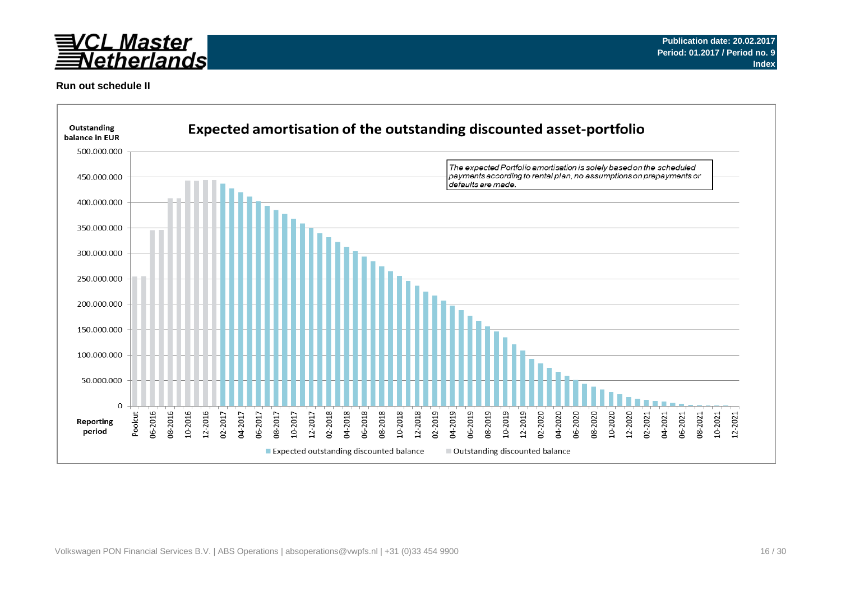

### **Run out schedule II**

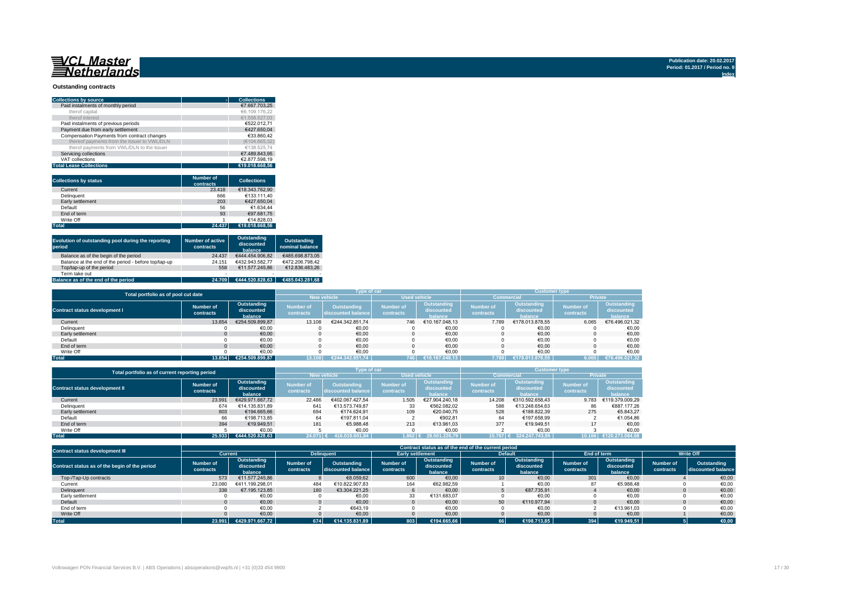## 

#### **Outstanding contracts**

| <b>Collections by source</b>                | <b>Collections</b> |
|---------------------------------------------|--------------------|
| Paid instalments of monthly period          | €7.667.703.25      |
| therof capital                              | €6.109.176.22      |
| therof interest                             | €1.558.527.03      |
| Paid instalments of previous periods        | €522.012.71        |
| Payment due from early settlement           | €427.650.04        |
| Compensation Payments from contract changes | €33.860.42         |
| thereof payments from the Issuer to VWL/DLN | (€104.665.32)      |
| therof payments from VWL/DLN to the Issuer  | €138.525.74        |
| Servicing collections                       | €7.489.843.95      |
| VAT collections                             | €2.877.598.19      |
| <b>Total Lease Collections</b>              | €19.018.668.56     |

| <b>Collections by status</b> | Number of<br>contracts | <b>Collections</b> |
|------------------------------|------------------------|--------------------|
| Current                      | 23.418                 | €18.343.762.90     |
| Delinguent                   | 666                    | €133.111.40        |
| Early settlement             | 203                    | €427.650.04        |
| Default                      | 56                     | €1.634.44          |
| End of term                  | 93                     | €97.681.75         |
| Write Off                    |                        | €14.828.03         |
| <b>Total</b>                 | 24.437                 | €19.018.668.56     |

| Evolution of outstanding pool during the reporting<br>period | <b>Number of active</b><br>contracts | Outstanding<br>discounted<br>balance | Outstanding<br>nominal balance |
|--------------------------------------------------------------|--------------------------------------|--------------------------------------|--------------------------------|
| Balance as of the begin of the period                        | 24.437                               | €444.454.906.82                      | €485.698.873.05                |
| Balance at the end of the period - before top/tap-up         | 24.151                               | €432.943.582.77                      | €472.206.798.42                |
| Top/tap-up of the period                                     | 558                                  | €11.577.245.86                       | €12.836.483.26                 |
| Term take out                                                | $\overline{\phantom{a}}$             | $\overline{\phantom{0}}$             |                                |
| Balance as of the end of the period                          | 24.709                               | €444.520.828.63                      | €485.043.281.68                |

|                                      | Total portfolio as of pool cut date |                                      |                               |                                          |                               |                                      | <b>Customer type</b>          |                                             |                               |                                      |
|--------------------------------------|-------------------------------------|--------------------------------------|-------------------------------|------------------------------------------|-------------------------------|--------------------------------------|-------------------------------|---------------------------------------------|-------------------------------|--------------------------------------|
|                                      |                                     |                                      | <b>New vehicle</b>            |                                          | <b>Used vehicle</b>           |                                      | <b>Commercial</b>             |                                             | Private                       |                                      |
| <b>Contract status development I</b> | Number of<br>contracts              | Outstanding<br>discounted<br>balance | <b>Number</b> of<br>contracts | <b>Outstanding</b><br>discounted balance | <b>Number of</b><br>contracts | Outstanding<br>discounted<br>halance | <b>Number of</b><br>contracts | <b>Outstanding</b><br>discounted<br>halance | <b>Number of</b><br>contracts | Outstanding<br>discounted<br>balance |
| Current                              | 13.854                              | €254.509.899.87                      | 13.108                        | €244.342.851.74                          | 746                           | €10.167.048.13                       | 7.789                         | €178.013.878.55                             | 6.065                         | €76.496.021,32                       |
| Delinquent                           |                                     | €0,00                                |                               | €0,00                                    |                               | €0,00                                |                               | €0,00                                       |                               | €0,00                                |
| Early settlement                     |                                     | €0,00                                |                               | €0,00                                    |                               | €0,00                                |                               | €0,00                                       |                               | €0,00                                |
| Default                              |                                     | €0.00                                |                               | €0,00                                    |                               | €0,00                                |                               | €0,00                                       |                               | €0,00                                |
| End of term                          |                                     | €0.00                                |                               | €0.00                                    |                               | €0.00                                |                               | €0.00                                       |                               | €0,00                                |
| Write Off                            |                                     | €0.00                                |                               | €0.00                                    |                               | €0.00                                |                               | €0.00                                       |                               | €0.00                                |
| <b>Total</b>                         | 13.854                              | €254.509.899.87                      | 13.108                        | €244.342.851.74                          | 746                           | €10.167.048.13                       | 7.789                         | €178.013.878.55                             | 6.065                         | €76.496.021,32                       |

|                                       | Total portfolio as of current reporting period |                                      |                               |                                          |                               |                                      | <b>Customer type</b>   |                                      |                               |                                      |
|---------------------------------------|------------------------------------------------|--------------------------------------|-------------------------------|------------------------------------------|-------------------------------|--------------------------------------|------------------------|--------------------------------------|-------------------------------|--------------------------------------|
|                                       |                                                |                                      |                               | <b>New vehicle</b>                       | <b>Used vehicle</b>           |                                      | <b>Commercial</b>      |                                      | <b>Private</b>                |                                      |
| <b>Contract status development II</b> | Number of<br>contracts                         | Outstanding<br>discounted<br>balance | <b>Number of</b><br>contracts | <b>Outstanding</b><br>discounted balance | <b>Number of</b><br>contracts | Outstanding<br>discounted<br>balance | Number of<br>contracts | Outstanding<br>discounted<br>halance | <b>Number of</b><br>contracts | Outstanding<br>discounted<br>balance |
| Current                               | 23.991                                         | €429.971.667.72                      | 22.486                        | €402.067.427.54                          | 1.505                         | €27.904.240.18                       | 14.208                 | €310.592.658.43                      | 9.783                         | €119.379.009.29                      |
| Delinquent                            | 674                                            | €14.135.831.89                       | 641                           | €13.573.749.87                           | 33                            | €562.082.02                          | 588                    | €13.248.654.63                       | 86                            | €887.177.26                          |
| Early settlement                      | 803                                            | €194.665.66                          | 694                           | €174.624.91                              | 109                           | €20.040.75                           | 528                    | €188,822.39                          | 275                           | €5.843.27                            |
| Default                               | 66                                             | €198.713.85                          | 64                            | €197.811.04                              |                               | €902.81                              | 64                     | €197.658.99                          |                               | €1.054.86                            |
| End of term                           | 394                                            | €19.949.51                           | 181                           | €5.988.48                                | 213                           | €13.961.03                           | 377                    | €19.949.51                           |                               | €0.00                                |
| Write Off                             |                                                | €0.00                                |                               | €0.00                                    |                               | €0.00                                |                        | €0.00                                |                               | €0.00                                |
| <b>Total</b>                          | 25.933                                         | €444.520.828.63                      | $24.071$ $\epsilon$           | 416.019.601.84                           | $.862 \in$                    | 28.501.226.79                        | 15.767                 | 324.247.743.95                       | 10.166                        | .273.084.68                          |

| <b>Contract status development III</b>        | Contract status as of the end of the current period |                                      |                               |                                   |                               |                                      |                               |                                      |                               |                                      |                        |                                   |
|-----------------------------------------------|-----------------------------------------------------|--------------------------------------|-------------------------------|-----------------------------------|-------------------------------|--------------------------------------|-------------------------------|--------------------------------------|-------------------------------|--------------------------------------|------------------------|-----------------------------------|
|                                               | Current                                             |                                      |                               | <b>Delinguent</b>                 | <b>Early settlement</b>       |                                      |                               | <b>Default</b>                       | End of term                   |                                      | <b>Write Off</b>       |                                   |
| Contract status as of the begin of the period | <b>Number of</b><br>contracts                       | Outstanding<br>discounted<br>balance | <b>Number of</b><br>contracts | Outstanding<br>discounted balance | <b>Number of</b><br>contracts | Outstanding<br>discounted<br>balance | <b>Number of</b><br>contracts | Outstanding<br>discounted<br>balance | <b>Number of</b><br>contracts | Outstanding<br>discounted<br>balance | Number of<br>contracts | Outstanding<br>discounted balance |
| Top-/Tap-Up contracts                         | 573                                                 | €11.577.245.86                       |                               | €8.059.62                         | 600                           | €0,00                                | 10 <sup>1</sup>               | €0,00                                | 301                           | €0,00                                |                        | €0,00                             |
| Current                                       | 23,080                                              | €411.199.298.01                      | 484                           | €10.822.907.83                    | 164                           | €62.982.59                           |                               | €0,00                                |                               | €5.988.48                            |                        | €0,00                             |
| Delinquent                                    | 338                                                 | €7.195.123.85                        | 180                           | €3.304.221.25                     |                               | €0.00                                |                               | €87.735.91                           |                               | €0.00                                |                        | €0,00                             |
| Early settlement                              |                                                     | €0,00                                |                               | €0,00                             | 33                            | €131.683.07                          |                               | €0,00                                |                               | €0,00                                |                        | €0,00                             |
| Default                                       |                                                     | €0.00                                |                               | €0.00                             |                               | €0.00                                | 50                            | €110.977.94                          |                               | €0.00                                |                        | €0,00                             |
| End of term                                   |                                                     | €0.00                                |                               | €643.19                           |                               | €0,00                                |                               | €0.00                                |                               | €13.961.03                           |                        | €0,00                             |
| Write Off                                     |                                                     | €0.00                                |                               | €0,00                             |                               | €0,00                                |                               | €0,00                                |                               | €0,00                                |                        | €0,00                             |
| <b>Total</b>                                  | 23.991                                              | €429.971.667.72                      | 674                           | €14.135.831,89                    | 803                           | €194.665.66                          | 66                            | €198.713.85                          | 394                           | €19.949.51                           |                        | €0,00                             |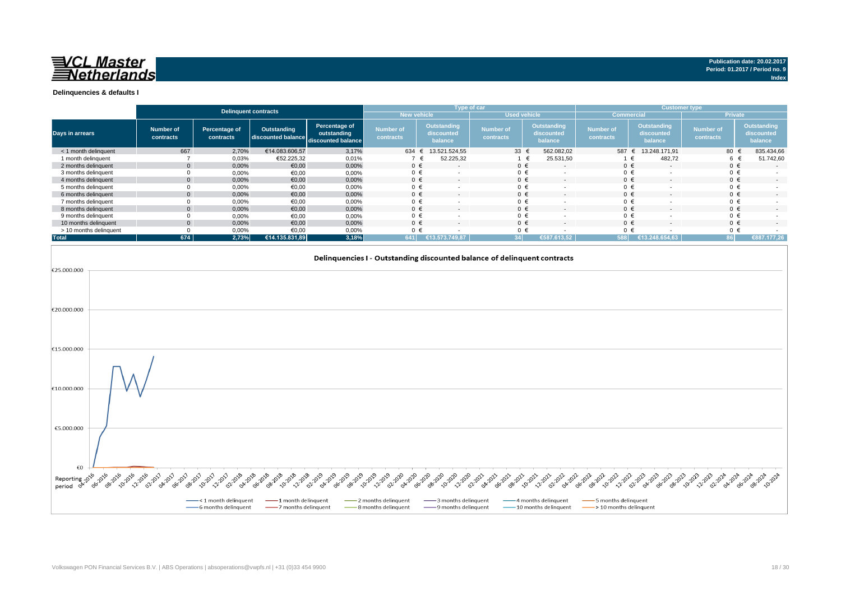

|                        |                               |                            | <b>Delinquent contracts</b>                          |                              |                               |                                      | Type of car                   |                                             | <b>Customer type</b>          |                                      |                               |                                      |
|------------------------|-------------------------------|----------------------------|------------------------------------------------------|------------------------------|-------------------------------|--------------------------------------|-------------------------------|---------------------------------------------|-------------------------------|--------------------------------------|-------------------------------|--------------------------------------|
|                        |                               |                            |                                                      |                              | <b>New vehicle</b>            |                                      | <b>Used vehicle</b>           |                                             | Commercial                    |                                      | <b>Private</b>                |                                      |
| <b>Days in arrears</b> | <b>Number of</b><br>contracts | Percentage of<br>contracts | Outstanding<br>discounted balance discounted balance | Percentage of<br>outstanding | <b>Number of</b><br>contracts | Outstanding<br>discounted<br>balance | <b>Number of</b><br>contracts | <b>Outstanding</b><br>discounted<br>balance | <b>Number of</b><br>contracts | Outstanding<br>discounted<br>balance | <b>Number of</b><br>contracts | Outstanding<br>discounted<br>balance |
| < 1 month delinguent   | 667                           | 2,70%                      | €14.083.606,57                                       | 3,17%                        | 634                           | 13.521.524.55                        | 33 $\epsilon$                 | 562.082.02                                  | 587 €                         | 13.248.171.91                        | 80 €                          | 835.434,66                           |
| 1 month delinquent     |                               | 0,03%                      | €52.225,32                                           | 0,01%                        |                               | 52.225,32                            |                               | 25.531,50<br>€                              |                               | 482,72                               | 6 €                           | 51.742,60                            |
| 2 months delinquent    |                               | 0,00%                      | €0,00                                                | 0,00%                        | $0 \in$                       | $\overline{a}$                       | $0 \in$                       | $\sim$                                      | $0 \in$                       | $\overline{a}$                       | $0 \in$                       |                                      |
| 3 months delinquent    |                               | 0,00%                      | €0,00                                                | 0,00%                        | $0 \in$                       |                                      | $0 \in$                       |                                             | $0 \in$                       |                                      | $0 \in$                       |                                      |
| 4 months delinquent    |                               | 0,00%                      | €0,00                                                | 0,00%                        | $0 \in$                       | $\overline{\phantom{a}}$             | $0 \in$                       | $\sim$                                      | $0 \in$                       |                                      | $0 \in$                       |                                      |
| 5 months delinquent    |                               | 0,00%                      | €0,00                                                | 0,00%                        | $0 \in$                       |                                      | $0 \in$                       | $\overline{\phantom{a}}$                    | $0 \in$                       |                                      | $0 \in$                       |                                      |
| 6 months delinguent    |                               | 0,00%                      | €0,00                                                | 0,00%                        | $0 \in$                       | $\overline{\phantom{a}}$             | $0 \in$                       | $\overline{\phantom{a}}$                    | $0 \in$                       |                                      | $0 \in$                       | $\overline{\phantom{0}}$             |
| 7 months delinquent    |                               | 0,00%                      | €0,00                                                | 0,00%                        | $0 \in$                       |                                      | $0 \in$                       | $\overline{\phantom{a}}$                    | $0 \in$                       |                                      | $0 \in$                       |                                      |
| 8 months delinquent    |                               | 0,00%                      | €0.00                                                | 0.00%                        | $0 \in$                       | $\overline{a}$                       | $0 \in$                       | $\sim$                                      | $0 \in$                       | $\overline{a}$                       | $0 \in$                       | $\sim$                               |
| 9 months delinquent    |                               | 0,00%                      | €0.00                                                | 0,00%                        | $0 \in$                       |                                      | $0 \in$                       | $\overline{\phantom{a}}$                    | $0 \in$                       |                                      | $0 \in$                       |                                      |
| 10 months delinquent   | $\Omega$                      | 0.00%                      | €0.00                                                | 0.00%                        | $0 \in$                       | $\overline{a}$                       | $0 \in$                       | $\sim$                                      | $0 \in$                       | $\overline{a}$                       | $0 \in$                       | $\sim$                               |
| > 10 months delinquent |                               | 0,00%                      | €0.00                                                | 0,00%                        | $0 \in$                       |                                      | $0 \in$                       |                                             | $0 \in$                       |                                      | $0 \in$                       |                                      |
| <b>Total</b>           | 674                           | 2.73%                      | €14.135.831.89                                       | 3,18%                        | 641                           | E13.573.749.87                       | 34                            | €587.613.52                                 | 588                           | €13.248.654.63                       | 86 P                          | £887.177,26                          |



**Publication date: 20.02.2017 Period: 01.2017 / Period no. 9**

**Index**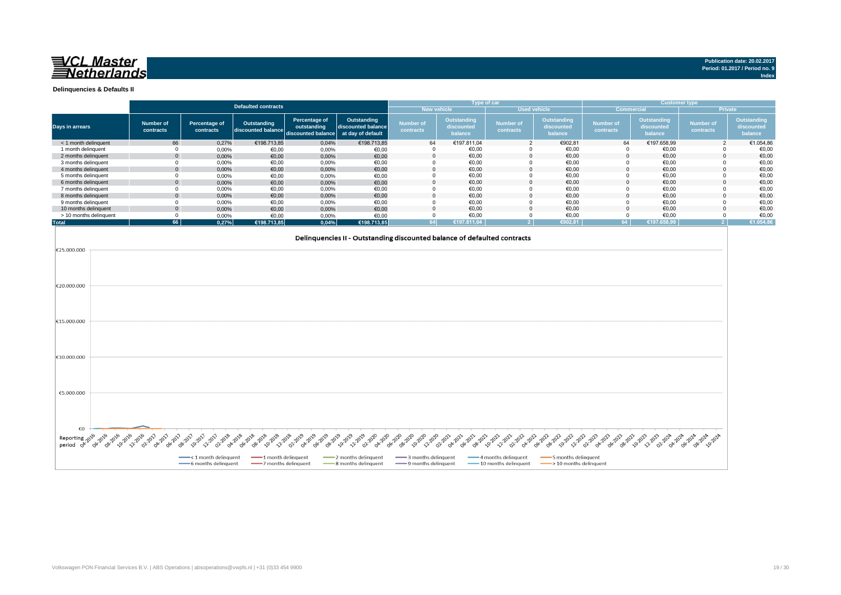

**Index**

**Delinquencies & Defaults II**

|                                                          | <b>Defaulted contracts</b>      |                                                        |                                                |                                                    |                                                        |                                                        | Type of car<br><b>Customer type</b>         |                                                       |                                              |                                                               |                               |                                             |                               |                                      |
|----------------------------------------------------------|---------------------------------|--------------------------------------------------------|------------------------------------------------|----------------------------------------------------|--------------------------------------------------------|--------------------------------------------------------|---------------------------------------------|-------------------------------------------------------|----------------------------------------------|---------------------------------------------------------------|-------------------------------|---------------------------------------------|-------------------------------|--------------------------------------|
|                                                          |                                 |                                                        |                                                |                                                    |                                                        |                                                        |                                             | New vehicle                                           | <b>Used vehicle</b>                          |                                                               | Commercial                    |                                             |                               | <b>Private</b>                       |
| Days in arrears                                          |                                 | <b>Number of</b><br>contracts                          | Percentage of<br>contracts                     | Outstanding<br>discounted balance                  | Percentage of<br>outstanding<br>discounted balance     | Outstanding<br>discounted balance<br>at day of default | <b>Number of</b><br>contracts               | Outstanding<br>discounted<br>balance                  | <b>Number of</b><br>contracts                | Outstanding<br>discounted<br>balance                          | <b>Number of</b><br>contracts | <b>Outstanding</b><br>discounted<br>balance | <b>Number of</b><br>contracts | Outstanding<br>discounted<br>balance |
| < 1 month delinquent                                     |                                 | 66                                                     | 0,27%                                          | €198.713,85                                        | 0,04%                                                  | €198.713,85                                            | 64                                          | €197.811,04                                           | $\overline{2}$                               | €902,81                                                       | 64                            | €197.658,99                                 |                               | €1.054,86                            |
| 1 month delinquent                                       |                                 | 0                                                      | 0,00%                                          | €0,00                                              | 0,00%                                                  | €0,00                                                  | $\Omega$                                    | €0,00                                                 | $\Omega$                                     | €0,00                                                         | $\Omega$                      | €0,00                                       | $\Omega$                      | €0,00                                |
| 2 months delinquent<br>3 months delinquent               |                                 | $\mathbf{0}$<br>0                                      | 0,00%                                          | €0,00                                              | 0,00%                                                  | €0,00                                                  | $\Omega$<br>$\Omega$                        | €0,00<br>€0,00                                        | $\Omega$<br>$\mathbf 0$                      | €0,00<br>€0,00                                                | $\Omega$<br>$\Omega$          | €0,00<br>€0,00                              | $\Omega$<br>$\Omega$          | €0,00<br>€0,00                       |
| 4 months delinquent                                      |                                 | $\Omega$                                               | 0,00%<br>0,00%                                 | €0,00<br>€0,00                                     | 0,00%<br>0,00%                                         | €0,00<br>€0,00                                         | $\Omega$                                    | €0,00                                                 | $\Omega$                                     | €0,00                                                         | $\Omega$                      | €0,00                                       | $\Omega$                      | €0,00                                |
| 5 months delinquent                                      |                                 | $\mathbf 0$                                            | 0,00%                                          | €0,00                                              | 0,00%                                                  | €0,00                                                  | $\overline{0}$                              | €0,00                                                 | $\mathbf 0$                                  | €0,00                                                         | $\Omega$                      | €0,00                                       | $\mathbf 0$                   | €0,00                                |
| 6 months delinquent                                      |                                 | $\mathbf{0}$                                           | 0,00%                                          | €0,00                                              | 0,00%                                                  | €0,00                                                  | $\Omega$                                    | €0,00                                                 | $\Omega$                                     | €0,00                                                         |                               | €0,00                                       | O                             | €0,00                                |
| 7 months delinquent                                      |                                 | $\mathbf 0$                                            | 0,00%                                          | €0,00                                              | 0,00%                                                  | €0,00                                                  | $\Omega$                                    | 60,00                                                 | $\Omega$                                     | €0,00                                                         | $\Omega$                      | €0,00                                       | $\Omega$                      | €0,00                                |
| 8 months delinquent                                      |                                 | $\mathbf{0}$                                           | 0,00%                                          | €0,00                                              | 0,00%                                                  | €0,00                                                  | $\Omega$                                    | €0,00                                                 | $\Omega$                                     | €0,00                                                         | $\Omega$                      | €0,00                                       | $\Omega$                      | €0,00                                |
| 9 months delinquent<br>10 months delinquent              |                                 | 0<br>$\Omega$                                          | 0,00%<br>0,00%                                 | €0,00<br>€0,00                                     | 0,00%                                                  | €0,00<br>€0,00                                         | $\Omega$<br>$\Omega$                        | €0,00<br>60,00                                        | $\Omega$<br>$\Omega$                         | €0,00<br>€0,00                                                | $\Omega$<br>$\Omega$          | €0,00<br>€0,00                              | $\Omega$<br>$\Omega$          | €0,00<br>€0,00                       |
| > 10 months delinquent                                   |                                 | $\mathbf 0$                                            | 0,00%                                          | €0,00                                              | 0,00%<br>0,00%                                         | €0,00                                                  | $\overline{0}$                              | €0,00                                                 | $\Omega$                                     | €0,00                                                         | $\Omega$                      | €0,00                                       | $\mathbf{0}$                  | €0,00                                |
| <b>Total</b>                                             |                                 | 66                                                     | 0,27%                                          | €198.713,85                                        | 0,04%                                                  | €198.713,85                                            | 64                                          | €197.811,04                                           | 2 <sup>7</sup>                               | €902.81                                                       | 64                            | €197.658.99                                 | 2 <sup>1</sup>                | €1.054.86                            |
| €20.000.000<br>€15.000.000                               |                                 |                                                        |                                                |                                                    |                                                        |                                                        |                                             |                                                       |                                              |                                                               |                               |                                             |                               |                                      |
| €10.000.000                                              |                                 |                                                        |                                                |                                                    |                                                        |                                                        |                                             |                                                       |                                              |                                                               |                               |                                             |                               |                                      |
| €5.000.000<br>€О<br>Reporting<br>period <sup>کلا</sup> ہ | <b>08-2016 -2016</b><br>OG-2016 | <b>22.2016</b><br><b>OA-2017</b><br>06-2017<br>02:2017 | 08-2017<br>10-2017<br>12:2017<br>O2:2018       | OA-2018<br>10-2018<br>12:2018<br>-62018<br>OB-2018 | 02:2019<br><b>04-2019</b><br>16-2019<br><b>Pe</b> zozo | 10-2019<br>12:2019<br>22:2020<br><b>42020</b>          | 06-2020<br>-8-2020<br>10-2020<br>122020     | <b>OB-2021</b><br>02:2021<br><b>14-2021</b><br>6-2021 | 04-2022<br>10-2021<br>122021<br>O22022       | -62222<br>OB-2022<br>10-2022<br>12:2022                       | 02:2023<br><b>OA-2023</b>     |                                             |                               |                                      |
|                                                          |                                 |                                                        | - < 1 month delinquent<br>-6 months delinquent | -1 month delinquent<br>-7 months delinquent        |                                                        | -2 months delinquent<br>-8 months delinquent           | 3 months delinquent<br>-9 months delinquent |                                                       | 4 months delinquent<br>-10 months delinquent | 5 months delinquent<br>$\longrightarrow$ 10 months delinquent |                               |                                             |                               |                                      |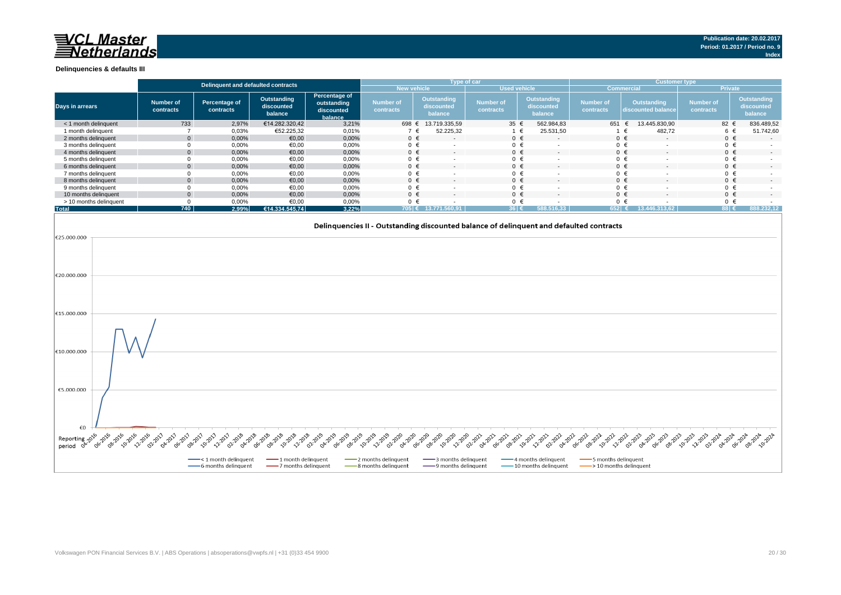## 司/CL Master **Vetherlands**

#### **Delinquencies & defaults III**

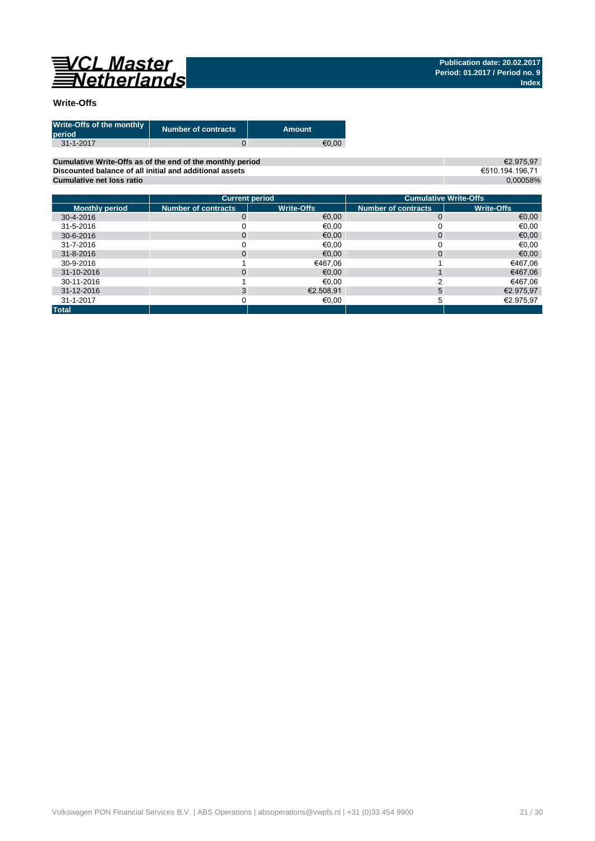

### **Write-Offs**

| Write-Offs of the monthly<br>period | <b>Number of contracts</b> | Amount |
|-------------------------------------|----------------------------|--------|
| $31 - 1 - 2017$                     |                            | €0.00  |

**Cumulative Write-Offs as of the end of the monthly period Discounted balance of all initial and additional assets Cumulative net loss ratio**

€2.975,97 €510.194.196,71 0,00058%

|                       |                            | <b>Current period</b> | <b>Cumulative Write-Offs</b> |                   |  |  |  |
|-----------------------|----------------------------|-----------------------|------------------------------|-------------------|--|--|--|
| <b>Monthly period</b> | <b>Number of contracts</b> | <b>Write-Offs</b>     | <b>Number of contracts</b>   | <b>Write-Offs</b> |  |  |  |
| 30-4-2016             | 0                          | €0,00                 | 0                            | €0,00             |  |  |  |
| 31-5-2016             |                            | €0.00                 |                              | €0,00             |  |  |  |
| 30-6-2016             | 0                          | €0,00                 | 0                            | €0,00             |  |  |  |
| 31-7-2016             |                            | €0.00                 |                              | €0,00             |  |  |  |
| 31-8-2016             | 0                          | €0,00                 | $\Omega$                     | €0,00             |  |  |  |
| 30-9-2016             |                            | €467.06               |                              | €467.06           |  |  |  |
| 31-10-2016            | 0                          | €0.00                 |                              | €467,06           |  |  |  |
| 30-11-2016            |                            | €0.00                 |                              | €467.06           |  |  |  |
| 31-12-2016            |                            | €2.508,91             | 5                            | €2.975,97         |  |  |  |
| 31-1-2017             |                            | €0.00                 |                              | €2.975,97         |  |  |  |
| <b>Total</b>          |                            |                       |                              |                   |  |  |  |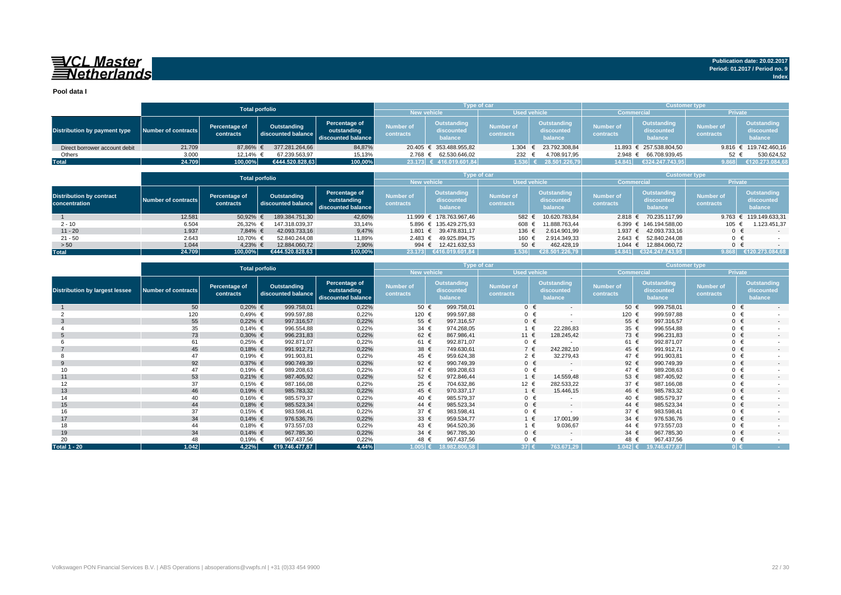## VCL Master<br>ENetherlands

**Pool data I**

|                               |                     | <b>Total porfolio</b>      |                                   |                                                    |                               | <b>Type of car</b>                   |                           |                                      | <b>Customer type</b>          |                                             |                               |                                             |  |
|-------------------------------|---------------------|----------------------------|-----------------------------------|----------------------------------------------------|-------------------------------|--------------------------------------|---------------------------|--------------------------------------|-------------------------------|---------------------------------------------|-------------------------------|---------------------------------------------|--|
|                               |                     |                            |                                   |                                                    |                               | <b>New vehicle</b>                   |                           | <b>Used vehicle</b>                  |                               | <b>Commercial</b>                           | <b>Private</b>                |                                             |  |
| Distribution by payment type  | Number of contracts | Percentage of<br>contracts | Outstanding<br>discounted balance | Percentage of<br>outstanding<br>discounted balance | <b>Number of</b><br>contracts | Outstanding<br>discounted<br>balance | Number of<br>contracts    | Outstanding<br>discounted<br>balance | <b>Number of</b><br>contracts | <b>Outstanding</b><br>discounted<br>balance | <b>Number of</b><br>contracts | <b>Outstanding</b><br>discounted<br>balance |  |
| Direct borrower account debit | 21.709              | 87.86% €                   | 377.281.264.66                    | 84,87%                                             |                               | 20.405 € 353.488.955.82              | 1.304                     | 23.792.308,84                        |                               | 11.893 € 257.538.804.50                     |                               | 9.816 € 119.742.460,16                      |  |
| Others                        | 3.000               | 12.14% €                   | 67.239.563.97                     | 15,13%                                             | $2.768 \t∈$                   | 62.530.646.02                        | 232                       | 4.708.917.95                         | $2.948 \text{ } \in$          | 66.708.939,45                               | 52                            | 530.624,52                                  |  |
| <b>Total</b>                  | 24.709              | 100,00%                    | €444.520.828.63                   | 100,00%                                            |                               | 23.173 € 416.019.601,84              | $1.536$ $\leftrightarrow$ | 28.501.226.79                        | 14.841                        | €324.247.743.95                             | 9.868                         | €120.273.084,68                             |  |

|                                                  |                     |                            | <b>Total porfolio</b>             |                                                    |                                     |                                      | Type of car                   |                                      | <b>Customer type</b>          |                                             |                               |                                      |  |
|--------------------------------------------------|---------------------|----------------------------|-----------------------------------|----------------------------------------------------|-------------------------------------|--------------------------------------|-------------------------------|--------------------------------------|-------------------------------|---------------------------------------------|-------------------------------|--------------------------------------|--|
|                                                  |                     |                            |                                   |                                                    |                                     | <b>New vehicle</b>                   | <b>Used vehicle</b>           |                                      |                               | <b>Commercial</b>                           |                               | <b>Private</b>                       |  |
| <b>Distribution by contract</b><br>concentration | Number of contracts | Percentage of<br>contracts | Outstanding<br>discounted balance | Percentage of<br>outstanding<br>discounted balance | Number of <sup>1</sup><br>contracts | Outstanding<br>discounted<br>balance | Number of<br><b>contracts</b> | Outstanding<br>discounted<br>balance | <b>Number of</b><br>contracts | <b>Outstanding</b><br>discounted<br>balance | <b>Number of</b><br>contracts | Outstanding<br>discounted<br>balance |  |
|                                                  | 12.581              | 50,92%                     | 189.384.751.30                    | 42,60%                                             |                                     | 11.999 € 178.763.967.46              | 582 €                         | 10.620.783.84                        |                               | 2.818 € 70.235.117,99                       |                               | 9.763 € 119.149.633,31               |  |
| $2 - 10$                                         | 6.504               | 26,32% €                   | 147.318.039.37                    | 33,14%                                             |                                     | 5.896 € 135.429.275.93               | 608 €                         | 11.888.763.44                        |                               | 6.399 € 146.194.588.00                      | 105 €                         | 1.123.451.37                         |  |
| $11 - 20$                                        | 1.937               | 7.84% €                    | 42.093.733.16                     | 9,47%                                              |                                     | 1.801 € 39.478.831.17                | 136 €                         | 2.614.901.99                         |                               | 1.937 € 42.093.733.16                       | $0 \in$                       | $\sim$                               |  |
| $21 - 50$                                        | 2.643               | 10,70% €                   | 52.840.244.08                     | 11,89%                                             | $2.483 \in$                         | 49.925.894.75                        | 160 €                         | 2.914.349.33                         |                               | 2.643 € 52.840.244,08                       |                               | $0 \in$                              |  |
| > 50                                             | 1.044               | 4,23% €                    | 12.884.060.72                     | 2,90%                                              |                                     | 994 € 12.421.632,53                  | 50 €                          | 462.428.19                           |                               | 1.044 € 12.884.060.72                       | $0 \in$                       |                                      |  |
| <b>Total</b>                                     | 24.709              | 100.00%                    | €444.520.828.63                   | 100,00%                                            |                                     | 23.173 €416.019.601.84               | 1.536                         | €28.501.226.79                       |                               | 14.841 €324.247.743.95                      | 9.868                         | €120.273.084.68                      |  |

|                                       |                            |                            | <b>Total porfolio</b>             |                                                    |                               |                                      | Type of car                   |                                             | <b>Customer type</b>          |                                             |                               |                                             |  |
|---------------------------------------|----------------------------|----------------------------|-----------------------------------|----------------------------------------------------|-------------------------------|--------------------------------------|-------------------------------|---------------------------------------------|-------------------------------|---------------------------------------------|-------------------------------|---------------------------------------------|--|
|                                       |                            |                            |                                   |                                                    | <b>New vehicle</b>            |                                      | <b>Used vehicle</b>           |                                             | <b>Commercial</b>             |                                             | <b>Private</b>                |                                             |  |
| <b>Distribution by largest lessee</b> | <b>Number of contracts</b> | Percentage of<br>contracts | Outstanding<br>discounted balance | Percentage of<br>outstanding<br>discounted balance | <b>Number of</b><br>contracts | Outstanding<br>discounted<br>balance | <b>Number of</b><br>contracts | <b>Outstanding</b><br>discounted<br>balance | <b>Number of</b><br>contracts | <b>Outstanding</b><br>discounted<br>balance | <b>Number of</b><br>contracts | <b>Outstanding</b><br>discounted<br>balance |  |
|                                       | 50                         | $0,20%$ €                  | 999.758,01                        | 0,22%                                              | 50 €                          | 999.758,01                           | $0 \in$                       | $\sim$                                      | 50 €                          | 999.758,01                                  | $0 \in$                       | $\sim$                                      |  |
|                                       | 120                        | $0,49%$ €                  | 999.597.88                        | 0,22%                                              | 120 €                         | 999.597,88                           | $0 \in$                       |                                             | 120 €                         | 999.597,88                                  | $0 \in$                       |                                             |  |
| $\mathbf{3}$                          | 55                         | $0,22%$ €                  | 997.316,57                        | 0,22%                                              | 55 €                          | 997.316,57                           | $0 \in$                       | $\overline{\phantom{a}}$                    | 55 €                          | 997.316.57                                  | $0 \in$                       | $\sim$                                      |  |
|                                       | 35                         | $0.14\%$ €                 | 996.554,88                        | 0,22%                                              | 34 $\in$                      | 974.268,05                           | 1 €                           | 22.286,83                                   | 35 €                          | 996.554.88                                  | $0 \in$                       |                                             |  |
| $\overline{5}$                        | 73                         | $0,30%$ €                  | 996.231,83                        | 0,22%                                              | 62 €                          | 867.986,41                           | 11 €                          | 128.245,42                                  | 73 €                          | 996.231,83                                  | $0 \in$                       | $\sim$                                      |  |
|                                       | 61                         | $0,25%$ €                  | 992.871,07                        | 0,22%                                              | 61 €                          | 992.871,07                           | $0 \in$                       | $\overline{a}$                              | 61 €                          | 992.871,07                                  | $0 \in$                       |                                             |  |
|                                       | 45                         | $0,18%$ €                  | 991.912,71                        | 0,22%                                              | 38 $\epsilon$                 | 749.630,61                           | 7 €                           | 242.282,10                                  | 45 €                          | 991.912,71                                  | $0 \in$                       | $\sim$                                      |  |
|                                       | 47                         | $0,19%$ €                  | 991.903,81                        | 0,22%                                              | 45 €                          | 959.624,38                           | $2 \in$                       | 32.279,43                                   | 47 €                          | 991.903,81                                  | $0 \in$                       |                                             |  |
| 9                                     | 92                         | $0,37%$ €                  | 990.749,39                        | 0,22%                                              | 92 €                          | 990.749,39                           | $0 \in$                       | $\overline{a}$                              | 92 €                          | 990.749,39                                  | $0 \in$                       | $\sim$                                      |  |
|                                       | 47                         | $0,19%$ €                  | 989.208,63                        | 0,22%                                              | 47 €                          | 989.208,63                           | $0 \in$                       |                                             | 47 €                          | 989.208,63                                  | $0 \in$                       |                                             |  |
| 11                                    | 53                         | $0,21%$ €                  | 987.405,92                        | 0,22%                                              | 52 €                          | 972.846,44                           | 1 €                           | 14.559,48                                   | 53 €                          | 987.405,92                                  | $0 \in$                       | $\sim$                                      |  |
| 12                                    | 37                         | $0,15%$ €                  | 987.166,08                        | 0,22%                                              | 25 €                          | 704.632,86                           | 12 €                          | 282.533,22                                  | 37 $\epsilon$                 | 987.166,08                                  | $0 \in$                       |                                             |  |
| 13                                    | 46                         | $0,19%$ €                  | 985.783,32                        | 0,22%                                              | 45 €                          | 970.337,17                           | $1 \in$                       | 15.446,15                                   | 46 €                          | 985.783.32                                  | $0 \in$                       | $\sim$                                      |  |
| 14                                    | 40                         | $0.16\%$ €                 | 985.579.37                        | 0,22%                                              | 40 €                          | 985.579,37                           | $0 \in$                       |                                             | 40 €                          | 985.579,37                                  | $0 \in$                       |                                             |  |
| 15                                    | 44                         | $0,18%$ €                  | 985.523,34                        | 0,22%                                              | 44 €                          | 985.523,34                           | $0 \in$                       | $\overline{a}$                              | 44 €                          | 985.523,34                                  | $0 \in$                       | $\sim$                                      |  |
| 16                                    | 37                         | $0,15%$ €                  | 983.598,41                        | 0,22%                                              | 37 $\epsilon$                 | 983.598,41                           | $0 \in$                       |                                             | $37 \in$                      | 983.598,41                                  | $0 \in$                       |                                             |  |
| 17                                    | 34                         | $0,14%$ €                  | 976.536,76                        | 0,22%                                              | 33 $\epsilon$                 | 959.534,77                           | $1 \in$                       | 17.001,99                                   | 34 $\in$                      | 976.536,76                                  | $0 \in$                       | $\sim$                                      |  |
| 18                                    | 44                         | $0,18%$ €                  | 973.557,03                        | 0,22%                                              | 43 €                          | 964.520,36                           | 1 €                           | 9.036,67                                    | 44 €                          | 973.557,03                                  | $0 \in$                       |                                             |  |
| 19                                    | 34                         | $0,14%$ €                  | 967.785,30                        | 0,22%                                              | $34 \text{ } \in$             | 967.785,30                           | $0 \in$                       | $\overline{a}$                              | $34 \text{ } \in$             | 967.785,30                                  | $0 \in$                       | $\sim$                                      |  |
| 20                                    | 48                         | $0,19%$ €                  | 967.437,56                        | 0,22%                                              | 48 €                          | 967.437,56                           | $0 \in$                       |                                             | 48 €                          | 967.437,56                                  | $0 \in$                       |                                             |  |
| <b>Total 1 - 20</b>                   | 1.042                      | 4,22%                      | €19.746.477,87                    | 4,44%                                              | 1.005 $\in$                   | 18.982.806.58                        | $37 \in$                      | 763.671,29                                  | $1.042$ €                     | 19.746.477,87                               | $0 \in$                       | <b>Contract</b>                             |  |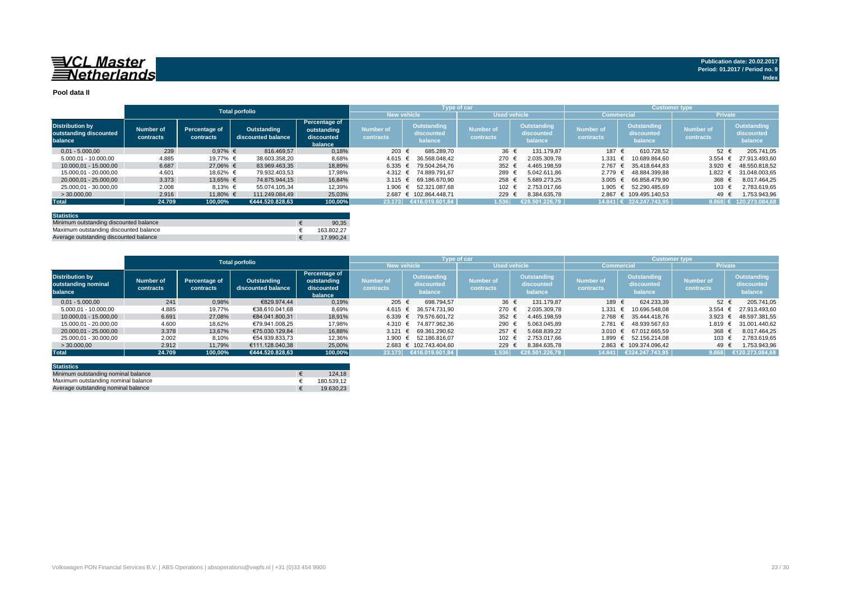## 

#### **Pool data II**

|                                                             |                               |                            | <b>Total porfolio</b>             |                                                       |                               |                                             | <b>Type of car</b>            |                                      | <b>Customer type</b>          |                                             |                               |                                      |  |  |
|-------------------------------------------------------------|-------------------------------|----------------------------|-----------------------------------|-------------------------------------------------------|-------------------------------|---------------------------------------------|-------------------------------|--------------------------------------|-------------------------------|---------------------------------------------|-------------------------------|--------------------------------------|--|--|
|                                                             |                               |                            |                                   |                                                       | New vehicle                   |                                             |                               | <b>Used vehicle</b>                  | <b>Commercial</b>             |                                             | <b>Private</b>                |                                      |  |  |
| <b>Distribution by</b><br>outstanding discounted<br>balance | <b>Number of</b><br>contracts | Percentage of<br>contracts | Outstanding<br>discounted balance | Percentage of<br>outstanding<br>discounted<br>balance | <b>Number of</b><br>contracts | <b>Outstanding</b><br>discounted<br>balance | <b>Number of</b><br>contracts | Outstanding<br>discounted<br>balance | <b>Number of</b><br>contracts | <b>Outstanding</b><br>discounted<br>balance | <b>Number of</b><br>contracts | Outstanding<br>discounted<br>balance |  |  |
| $0.01 - 5.000.00$                                           | 239                           | $0.97%$ €                  | 816,469.57                        | 0,18%                                                 | 203 €                         | 685.289.70                                  | $36 \in$                      | 131.179.87                           | 187 €                         | 610.728.52                                  | $52 \epsilon$                 | 205.741.05                           |  |  |
| 5.000.01 - 10.000.00                                        | 4.885                         | 19.77% €                   | 38.603.358.20                     | 8,68%                                                 | $4.615 \in$                   | 36.568.048,42                               | 270                           | 2.035.309.78                         | 1.331                         | 10.689.864.60                               | 3.554                         | 27.913.493.60                        |  |  |
| 10.000.01 - 15.000.00                                       | 6.687                         | 27,06% €                   | 83.969.463.35                     | 18,89%                                                | $6.335 \in$                   | 79.504.264.76                               | 352 $\epsilon$                | 4.465.198.59                         | $2.767 \text{ } \in$          | 35.418.644.83                               | 3.920                         | 48.550.818.52                        |  |  |
| 15.000.01 - 20.000.00                                       | 4.601                         | 18.62% €                   | 79.932.403.53                     | 17,98%                                                | $4.312 \text{ }€$             | 74.889.791.67                               | 289                           | 5.042.611.86                         | 2.779                         | 48.884.399.88                               | 1.822                         | 31.048.003.65                        |  |  |
| 20.000.01 - 25.000.00                                       | 3.373                         | 13,65% €                   | 74.875.944.15                     | 16.84%                                                |                               | $3.115 \text{ } \in \text{ } 69.186.670.90$ | 258 €                         | 5.689.273.25                         | 3.005 $\epsilon$              | 66.858.479.90                               | 368                           | 8.017.464.25                         |  |  |
| 25.000.01 - 30.000.00                                       | 2.008                         | $8.13%$ €                  | 55.074.105.34                     | 12,39%                                                | 1.906 $€$                     | 52.321.087.68                               | 102                           | 2.753.017.66                         | 1.905                         | 52.290.485.69                               | 103 €                         | 2.783.619.65                         |  |  |
| >30.000,00                                                  | 2.916                         | 11,80% €                   | 111.249.084.49                    | 25,03%                                                |                               | 2.687 € 102.864.448.71                      | 229                           | 8.384.635.78                         |                               | 2.867 € 109.495.140.53                      | 49 €                          | 1.753.943,96                         |  |  |
| <b>Total</b>                                                | 24.709                        | 100,00%                    | €444.520.828.63                   | 100,00%                                               | 23.173                        | €416.019.601.84                             | 1.536                         | €28.501.226.79                       |                               | $14.841 \in 324.247.743.95$                 | $9.868 \in$                   | 120.273.084,68                       |  |  |
|                                                             |                               |                            |                                   |                                                       |                               |                                             |                               |                                      |                               |                                             |                               |                                      |  |  |

| <b>Statistics</b>                      |            |
|----------------------------------------|------------|
| Minimum outstanding discounted balance | 90.35      |
| Maximum outstanding discounted balance | 163.802.27 |
| Average outstanding discounted balance | 17.990.24  |

|                                                          | <b>Total porfolio</b>         |                            |                                   |                                                              |                               | <b>Type of car</b>                   |                               |                                      | <b>Customer type</b>          |                                      |                               |                                      |  |
|----------------------------------------------------------|-------------------------------|----------------------------|-----------------------------------|--------------------------------------------------------------|-------------------------------|--------------------------------------|-------------------------------|--------------------------------------|-------------------------------|--------------------------------------|-------------------------------|--------------------------------------|--|
|                                                          |                               |                            |                                   |                                                              | <b>New vehicle</b>            |                                      |                               | <b>Used vehicle</b>                  | <b>Commercial</b>             |                                      | <b>Private</b>                |                                      |  |
| <b>Distribution by</b><br>outstanding nominal<br>balance | <b>Number of</b><br>contracts | Percentage of<br>contracts | Outstanding<br>discounted balance | <b>Percentage of</b><br>outstanding<br>discounted<br>balance | <b>Number of</b><br>contracts | Outstanding<br>discounted<br>balance | <b>Number of</b><br>contracts | Outstanding<br>discounted<br>balance | <b>Number of</b><br>contracts | Outstanding<br>discounted<br>balance | <b>Number of</b><br>contracts | Outstanding<br>discounted<br>balance |  |
| $0.01 - 5.000.00$                                        | 241                           | 0.98%                      | €829.974.44                       | 0,19%                                                        | 205 €                         | 698.794.57                           | $36 \epsilon$                 | 131.179.87                           | 189 €                         | 624.233.39                           | $52 +$                        | 205.741.05                           |  |
| $5.000,01 - 10.000,00$                                   | 4.885                         | 19,77%                     | €38.610.041.68                    | 8,69%                                                        | $4.615 \in$                   | 36.574.731.90                        | 270                           | 2.035.309.78                         | 1.331                         | 10.696.548.08                        | 3.554 $\in$                   | 27.913.493.60                        |  |
| 10.000.01 - 15.000.00                                    | 6.691                         | 27.08%                     | €84.041.800.31                    | 18.91%                                                       | 6.339 €                       | 79.576.601.72                        | $352 +$                       | 4.465.198.59                         | $2.768 \t∈$                   | 35.444.418.76                        | 3.923                         | 48.597.381.55                        |  |
| 15.000.01 - 20.000.00                                    | 4.600                         | 18.62%                     | €79.941.008.25                    | 17.98%                                                       | $4.310 \in$                   | 74.877.962.36                        | 290                           | 5.063.045.89                         | $2.781 \in$                   | 48.939.567.63                        | 1.819 €                       | 31.001.440.62                        |  |
| 20.000.01 - 25.000.00                                    | 3.378                         | 13,67%                     | €75.030.129.84                    | 16.88%                                                       | $3.121 \text{ }€$             | 69.361.290.62                        | 257                           | 5.668.839.22                         | 3.010 $\epsilon$              | 67.012.665.59                        | 368                           | 8.017.464.25                         |  |
| 25.000.01 - 30.000.00                                    | 2.002                         | 8,10%                      | €54.939.833.73                    | 12,36%                                                       | 1.900 €                       | 52.186.816.07                        | 102                           | 2.753.017.66                         | 1.899 €                       | 52.156.214.08                        | 103                           | 2.783.619.65                         |  |
| >30.000,00                                               | 2.912                         | 11.79%                     | €111.128.040.38                   | 25,00%                                                       |                               | 2.683 € 102.743.404.60               | 229                           | 8.384.635.78                         |                               | 2.863 € 109.374.096.42               | 49                            | 1.753.943.96                         |  |
| <b>Total</b>                                             | 24.709                        | 100.00%                    | €444.520.828.63                   | 100,00%                                                      | 23.173                        | €416.019.601.84                      | 1.536                         | €28.501.226.79                       | 14.841                        | €324.247.743,95                      | 9.868                         | €120.273.084.68                      |  |

| <b>Statistics</b>                   |            |
|-------------------------------------|------------|
| Minimum outstanding nominal balance | 124.18     |
| Maximum outstanding nominal balance | 180.539.12 |
| Average outstanding nominal balance | 19.630.23  |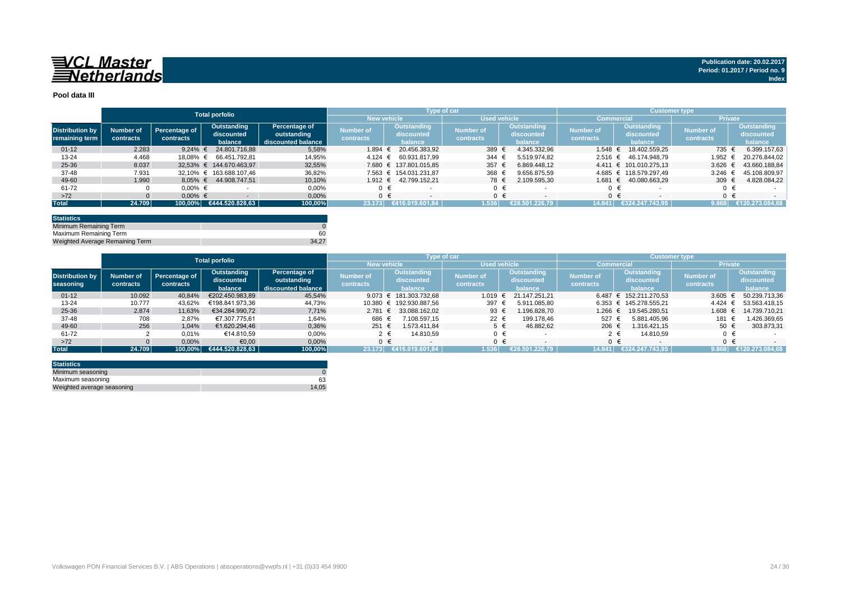

#### **Pool data III**

|                                          |                        |                            | <b>Total porfolio</b>                |                                                    |                               |         | Type of car                                 |                               |  |                                      | Customer type,                |         |                                      |                        |         |                                             |
|------------------------------------------|------------------------|----------------------------|--------------------------------------|----------------------------------------------------|-------------------------------|---------|---------------------------------------------|-------------------------------|--|--------------------------------------|-------------------------------|---------|--------------------------------------|------------------------|---------|---------------------------------------------|
|                                          |                        |                            |                                      |                                                    | <b>New vehicle</b>            |         |                                             | <b>Used vehicle</b>           |  |                                      | Commercia                     |         |                                      | <b>Private</b>         |         |                                             |
| <b>Distribution by</b><br>remaining term | Number of<br>contracts | Percentage of<br>contracts | Outstanding<br>discounted<br>balance | Percentage of<br>outstanding<br>discounted balance | <b>Number of</b><br>contracts |         | <b>Outstanding</b><br>discounted<br>balance | <b>Number of</b><br>contracts |  | Outstanding<br>discounted<br>balance | <b>Number of</b><br>contracts |         | Outstanding<br>discounted<br>balance | Number of<br>contracts |         | <b>Outstanding</b><br>discounted<br>balance |
| $01 - 12$                                | 2.283                  | 9.24% $\in$                | 24.801.716.88                        | 5,58%                                              | 1.894                         |         | 20.456.383.92                               | 389                           |  | 4.345.332.96                         | $1.548 \in$                   |         | 18.402.559.25                        | 735 €                  |         | 6.399.157.63                                |
| $13 - 24$                                | 4.468                  | 18.08% €                   | 66.451.792.81                        | 14,95%                                             | 4.124                         |         | 60.931.817.99                               | 344                           |  | 5.519.974.82                         | $2.516 \in$                   |         | 46.174.948.79                        | 1.952 €                |         | 20.276.844.02                               |
| 25-36                                    | 8.037                  |                            | 32.53% € 144.670.463.97              | 32,55%                                             | 7.680                         |         | € 137.801.015.85                            | 357                           |  | 6.869.448.12                         |                               |         | 4.411 € 101.010.275.13               | $3.626 \in$            |         | 43.660.188.84                               |
| 37-48                                    | 7.931                  |                            | 32.10% € 163.688.107.46              | 36,82%                                             |                               |         | 7.563 € 154.031.231.87                      | 368                           |  | 9.656.875.59                         |                               |         | 4.685 € 118.579.297,49               | 3.246 $\in$            |         | 45.108.809.97                               |
| 49-60                                    | 1.990                  | $8.05\%$ €                 | 44.908.747.51                        | 10,10%                                             | 1.912 €                       |         | 42.799.152.21                               | 78 €                          |  | 2.109.595.30                         | 1.681 €                       |         | 40.080.663.29                        | 309 $\epsilon$         |         | 4.828.084,22                                |
| 61-72                                    |                        | $0.00\%$ €                 |                                      | 0,00%                                              |                               |         |                                             | $0 \in$                       |  |                                      |                               |         |                                      |                        |         |                                             |
| $>72$                                    |                        | $0.00\%$ €                 |                                      | 0,00%                                              |                               | $0 \in$ |                                             | $0 \in$                       |  |                                      |                               | $0 \in$ |                                      |                        | $0 \in$ |                                             |
| <b>Total</b>                             | 24.709                 |                            | $\mid$ 100,00% €444.520.828,63       | 100,00%                                            | 23.173                        |         | €416.019.601.84                             | 1.536                         |  | €28.501.226.79                       | 14.841                        |         | €324.247.743.95                      | 9.868                  |         | €120.273.084.68                             |

| <b>Statistics</b>               |       |
|---------------------------------|-------|
| Minimum Remaining Term          |       |
| Maximum Remaining Term          | 60    |
| Weighted Average Remaining Term | 34.27 |

|                        |           |               | <b>Total porfolio</b> |                    |                    | Type of car      |                     |                |                   |                        | <b>Customer type</b> |                       |  |
|------------------------|-----------|---------------|-----------------------|--------------------|--------------------|------------------|---------------------|----------------|-------------------|------------------------|----------------------|-----------------------|--|
|                        |           |               |                       |                    | <b>New vehicle</b> |                  | <b>Used vehicle</b> |                | <b>Commercial</b> |                        | <b>Private</b>       |                       |  |
|                        |           |               | Outstanding           | Percentage of      |                    | Outstanding      |                     | Outstanding    | <b>Number of</b>  | <b>Outstanding</b>     |                      | Outstanding           |  |
| <b>Distribution by</b> | Number of | Percentage of | discounted            | outstanding        | Number of          | discounted       | <b>Number of</b>    | discounted     |                   | discounted             | <b>Number of</b>     | discounted            |  |
| seasoning              | contracts | contracts     | balance               | discounted balance | contracts          | balance          | contracts           | balance        | contracts         | balance                | contracts            | balance               |  |
| $01 - 12$              | 10.092    | 40,84%        | €202.450.983.89       | 45,54%             | 9.073              | € 181.303.732.68 | 1.019               | 21.147.251.21  |                   | 6.487 € 152.211.270.53 |                      | 3.605 € 50.239.713,36 |  |
| $13 - 24$              | 10.777    | 43.62%        | €198.841.973.36       | 44.73%             | 10.380             | € 192.930.887.56 | 397                 | 5.911.085.80   |                   | 6.353 € 145.278.555,21 | $4.424 \in$          | 53.563.418.15         |  |
| 25-36                  | 2.874     | 11.63%        | €34.284.990.72        | 7,71%              | $2.781 \in$        | 33.088.162.02    | 93 $\epsilon$       | 1.196.828.70   | 1.266 €           | 19.545.280.51          | $1.608 \in$          | 14.739.710.21         |  |
| 37-48                  | 708       | 2.87%         | €7.307.775.61         | 1.64%              | 686 €              | 7.108.597.15     | 22 €                | 199.178.46     | 527               | 5.881.405.96           | 181                  | 1.426.369.65          |  |
| 49-60                  | 256       | 1.04%         | €1.620.294.46         | 0,36%              | 251 €              | 1.573.411.84     | $5 \in$             | 46.882.62      | 206 €             | 1.316.421.15           | 50 $\epsilon$        | 303.873,31            |  |
| 61-72                  |           | 0,01%         | €14.810.59            | 0,00%              |                    | 14.810.59        | 0 €                 |                |                   | 14.810.59              | $\Omega$             |                       |  |
| $>72$                  |           | 0,00%         | €0,00                 | 0,00%              |                    |                  | ∩ €                 |                | $0 \in$           |                        | $\Omega$             |                       |  |
| <b>Total</b>           | 24.709    | 100.00%       | €444.520.828.63       | 100,00%            | 23.173             | (416.019.601.84⊎ | 1.536               | €28.501.226.79 | 14.841            | €324.247.743.95        | 9.868                | €120.273.084.68       |  |

| <b>Statistics</b>          |       |
|----------------------------|-------|
| Minimum seasoning          |       |
| Maximum seasoning          | 63    |
| Weighted average seasoning | 14.05 |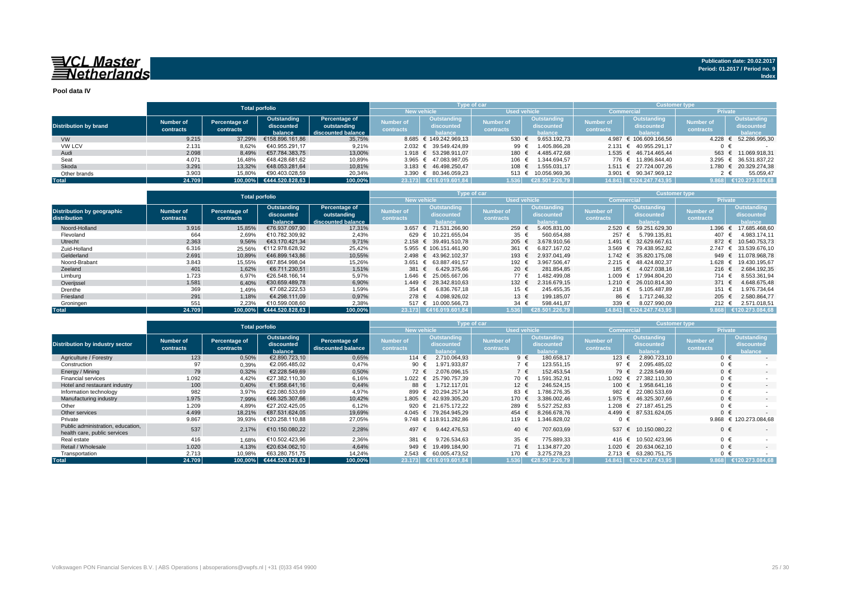## 

**Pool data IV**

|                              |           |               | <b>Total porfolio</b>   |                                           |                  | Type of car            |                  |                   |                               | <b>Customer type</b>   |                        |                     |  |  |
|------------------------------|-----------|---------------|-------------------------|-------------------------------------------|------------------|------------------------|------------------|-------------------|-------------------------------|------------------------|------------------------|---------------------|--|--|
|                              |           |               |                         | <b>Used vehicle</b><br><b>New vehicle</b> |                  |                        |                  | <b>Commercial</b> |                               | <b>Private</b>         |                        |                     |  |  |
|                              | Number of | Percentage of | Outstanding             | Percentage of                             | Number of        | Outstanding            | <b>Number of</b> | Outstanding       |                               | Outstanding            | Mumber of <sup>1</sup> | Outstanding         |  |  |
| <b>Distribution by brand</b> | contracts | contracts     | discounted              | outstanding                               |                  | discounted             | contracts        | discounted        | <b>Number of</b><br>contracts | discounted             | contracts              | discounted          |  |  |
|                              |           |               | balance                 | discounted balance                        | <b>contracts</b> | halance                |                  | balance           |                               | halance                |                        | <b>balance</b>      |  |  |
| <b>VW</b>                    | 9.215     | 37.29%        | €158.896.161,86         | 35,75%                                    |                  | 8.685 € 149.242.969.13 | 530 €            | 9.653.192.73      |                               | 4.987 € 106.609.166.56 | 4.228                  | 52.286.995,30       |  |  |
| <b>VW LCV</b>                | 2.131     | 8,62%         | €40.955.291.17          | 9,21%                                     |                  | 2.032 € 39.549.424.89  | 99 $\in$         | 1.405.866,28      |                               | 2.131 € 40.955.291.17  |                        |                     |  |  |
| Audi                         | 2.098     | 8,49%         | €57.784.383.75          | 13,00%                                    |                  | 1.918 € 53.298.911.07  | 180 €            | 4.485.472.68      |                               | 1.535 € 46.714.465.44  |                        | 563 € 11.069.918.31 |  |  |
| Seat                         | 4.071     | 16.48%        | €48.428.681.62          | 10,89%                                    |                  | 3.965 € 47.083.987.05  | 106 €            | 1.344.694.57      |                               | 776 € 11.896.844.40    | 3.295                  | € 36.531.837,22     |  |  |
| Skoda                        | 3.291     | 13.32%        | €48.053.281.64          | 10.81%                                    |                  | 3.183 € 46.498.250.47  | 108 €            | 1.555.031.17      |                               | 1.511 € 27.724.007.26  | 1.780                  | € 20.329.274,38     |  |  |
| Other brands                 | 3.903     | 15,80%        | €90.403.028.59          | 20.34%                                    |                  | 3.390 € 80.346.059.23  | 513 $\epsilon$   | 10.056.969.36     |                               | 3.901 € 90.347.969,12  |                        | 55.059.47           |  |  |
| <b>Total</b>                 | 24.709    |               | 100.00% €444.520.828.63 | 100,00%                                   |                  | 23.173 €416.019.601,84 | 1.536            | €28.501.226.79    |                               | 14.841 €324.247.743.95 | 9.868                  | €120.273.084,68     |  |  |

|                                                   |                        | <b>Total porfolio</b>      |                                      |                                                    |                               | <b>Type of car</b>                          |                               |                                                    | <b>Customer type</b>          |                                      |                               |                                             |  |  |
|---------------------------------------------------|------------------------|----------------------------|--------------------------------------|----------------------------------------------------|-------------------------------|---------------------------------------------|-------------------------------|----------------------------------------------------|-------------------------------|--------------------------------------|-------------------------------|---------------------------------------------|--|--|
|                                                   |                        |                            |                                      |                                                    |                               | New vehicle                                 | <b>Used vehicle</b>           |                                                    |                               | Commercia                            | <b>Private</b>                |                                             |  |  |
| <b>Distribution by geographic</b><br>distribution | Number of<br>contracts | Percentage of<br>contracts | Outstanding<br>discounted<br>balance | Percentage of<br>outstanding<br>discounted balance | <b>Number of</b><br>contracts | <b>Outstanding</b><br>discounted<br>balance | <b>Number of</b><br>contracts | <b>Outstanding</b><br>discounted<br><b>balance</b> | <b>Number of</b><br>contracts | Outstanding<br>discounted<br>balance | <b>Number of</b><br>contracts | <b>Outstanding</b><br>discounted<br>balance |  |  |
| Noord-Holland                                     | 3.916                  | 15,85%                     | €76.937.097.90                       | 17,31%                                             |                               | 3.657 € 71.531.266,90                       | 259                           | 5.405.831,00                                       | $2.520 \in$                   | 59.251.629,30                        | 1.396                         | 17.685.468,60                               |  |  |
| Flevoland                                         | 664                    | 2,69%                      | €10.782.309.92                       | 2,43%                                              | 629 €                         | 10.221.655.04                               | 35 $\epsilon$                 | 560.654,88                                         | 257 €                         | 5.799.135.81                         | 407 €                         | 4.983.174,11                                |  |  |
| Utrecht                                           | 2.363                  | 9,56%                      | €43.170.421.34                       | 9,71%                                              |                               | 2.158 € 39.491.510.78                       | $205 \epsilon$                | 3.678.910.56                                       | 1.491 €                       | 32.629.667.61                        | 872 €                         | 10.540.753.73                               |  |  |
| Zuid-Holland                                      | 6.316                  | 25,56%                     | €112.978.628.92                      | 25,42%                                             |                               | 5.955 € 106.151.461.90                      | 361                           | 6.827.167.02                                       |                               | 3.569 € 79.438.952.82                | 2.747                         | 33.539.676.10<br>€                          |  |  |
| Gelderland                                        | 2.691                  | 10,89%                     | €46.899.143.86                       | 10,55%                                             |                               | 2.498 € 43.962.102.37                       | 193 €                         | 2.937.041.49                                       | $1.742 \in$                   | 35.820.175.08                        | 949 €                         | 11.078.968.78                               |  |  |
| Noord-Brabant                                     | 3.843                  | 15,55%                     | €67.854.998.04                       | 15,26%                                             |                               | 3.651 € 63.887.491,57                       | 192 €                         | 3.967.506.47                                       | $2.215 \in$                   | 48.424.802.37                        | 1.628                         | 19.430.195.67<br>€                          |  |  |
| Zeeland                                           | 401                    | 1,62%                      | €6.711.230.51                        | 1,51%                                              | 381 €                         | 6.429.375.66                                | 20 €                          | 281.854.85                                         | 185 €                         | 4.027.038.16                         | 216 $\epsilon$                | 2.684.192,35                                |  |  |
| Limburg                                           | 1.723                  | 6,97%                      | €26.548.166.14                       | 5,97%                                              | 1.646 €                       | 25.065.667.06                               | 77 €                          | 1.482.499.08                                       | 1.009 €                       | 17.994.804.20                        | 714 €                         | 8.553.361.94                                |  |  |
| Overijssel                                        | 1.581                  | 6,40%                      | €30.659.489.78                       | 6,90%                                              |                               | 1.449 € 28.342.810.63                       | 132 €                         | 2.316.679.15                                       | $1.210 \t∈$                   | 26.010.814.30                        | 371 €                         | 4.648.675,48                                |  |  |
| Drenthe                                           | 369                    | 1,49%                      | €7.082.222.53                        | 1,59%                                              | 354 €                         | 6.836.767.18                                | 15 €                          | 245.455.35                                         | 218 €                         | 5.105.487.89                         | 151 €                         | 1.976.734,64                                |  |  |
| Friesland                                         | 291                    | 1,18%                      | €4.298.111.09                        | 0,97%                                              | 278 ∈                         | 4.098.926,02                                | 13 €                          | 199.185.07                                         |                               | 86 €<br>1.717.246.32                 | 205 $\epsilon$                | 2.580.864,77                                |  |  |
| Groningen                                         | 551                    | 2,23%                      | €10.599.008,60                       | 2,38%                                              | 517 €                         | 10.000.566,73                               | 34 €                          | 598.441,87                                         | 339                           | 8.027.990,09                         | 212 $\epsilon$                | 2.571.018,51                                |  |  |
| <b>Total</b>                                      | 24.709                 | $100.00\%$                 | €444.520.828.63                      | 100,00%                                            |                               | 0.23.173 €416.019.601.84                    | 1.536                         | €28.501.226.79                                     | 14.841                        | €324.247.743.95                      | 9.868                         | €120.273.084.68                             |  |  |

|                                                                   |                               | <b>Total porfolio</b>      |                                                                             |         |                                      |                                             | Type of car                   |                                      | <b>Customer type</b>          |                                                    |                                                                                                                                                                                                                                                                                                               |                 |  |  |
|-------------------------------------------------------------------|-------------------------------|----------------------------|-----------------------------------------------------------------------------|---------|--------------------------------------|---------------------------------------------|-------------------------------|--------------------------------------|-------------------------------|----------------------------------------------------|---------------------------------------------------------------------------------------------------------------------------------------------------------------------------------------------------------------------------------------------------------------------------------------------------------------|-----------------|--|--|
|                                                                   |                               |                            |                                                                             |         | <b>New vehicle</b>                   |                                             | Used vehicle                  |                                      | Commercia                     |                                                    | <b>Private</b><br>Outstanding<br><b>Number of</b><br>discounted<br>contracts<br>balance<br>$0 \in$<br>$\sim$<br>$0 \in$<br>$0 \in$<br>$\overline{\phantom{a}}$<br>$0 \in$<br>$0 \in$<br>$\sim$<br>$0 \in$<br>$0 \in$<br>$\overline{\phantom{a}}$<br>$0 \in$<br>$0 \in$<br>$\sim$<br>€ 120.273.084,68<br>9.868 |                 |  |  |
| <b>Distribution by industry sector</b>                            | <b>Number of</b><br>contracts | Percentage of<br>contracts | Outstanding<br>Percentage of<br>discounted<br>discounted balance<br>balance |         | <b>Number of</b><br><b>contracts</b> | <b>Outstanding</b><br>discounted<br>balance | <b>Number of</b><br>contracts | Outstanding<br>discounted<br>balance | <b>Number of</b><br>contracts | <b>Outstanding</b><br>discounted<br><b>palance</b> |                                                                                                                                                                                                                                                                                                               |                 |  |  |
| Agriculture / Forestry                                            | 123                           | 0,50%                      | €2.890.723.10                                                               | 0,65%   | 114 $\epsilon$                       | 2.710.064.93                                | $9 \in$                       | 180.658.17                           | 123 $\epsilon$                | 2.890.723.10                                       |                                                                                                                                                                                                                                                                                                               |                 |  |  |
| Construction                                                      |                               | 0,39%                      | €2.095.485.02                                                               | 0,47%   | 90                                   | 1.971.933,87                                | $7 \in$                       | 123.551,15                           | 97                            | 2.095.485.02                                       |                                                                                                                                                                                                                                                                                                               |                 |  |  |
| Energy / Mining                                                   | 79                            | 0,32%                      | €2.228.549.69                                                               | 0,50%   | 72 €                                 | 2.076.096,15                                | 7 €                           | 152.453,54                           | 79 €                          | 2.228.549.69                                       |                                                                                                                                                                                                                                                                                                               |                 |  |  |
| <b>Financial services</b>                                         | 1.092                         | 4.42%                      | €27.382.110.30                                                              | 6,16%   | 1.022 €                              | 25.790.757,39                               | 70 €                          | .591.352.91                          | 1.092 €                       | 27.382.110.30                                      |                                                                                                                                                                                                                                                                                                               |                 |  |  |
| Hotel and restaurant industry                                     | 100                           | 0,40%                      | €1.958.641.16                                                               | 0,44%   | 88                                   | 1.712.117.01<br>€                           | 12 €                          | 246.524.15                           | 100 €                         | 1.958.641.16                                       |                                                                                                                                                                                                                                                                                                               |                 |  |  |
| Information technology                                            | 982                           | 3,97%                      | €22.080.533,69                                                              | 4,97%   | 899                                  | 20.294.257.34<br>€                          | 83 €                          | .786.276.35                          | 982 €                         | 22.080.533.69                                      |                                                                                                                                                                                                                                                                                                               |                 |  |  |
| Manufacturing industry                                            | 1.975                         | 7,99%                      | €46.325.307.66                                                              | 10,42%  | 1.805 €                              | 42.939.305.20                               | 170 €                         | 3.386.002.46                         | $1.975 \in$                   | 46.325.307.66                                      |                                                                                                                                                                                                                                                                                                               |                 |  |  |
| Other                                                             | 1.209                         | 4,89%                      | €27.202.425,05                                                              | 6,12%   | 920                                  | $\epsilon$ 21.675.172.22                    | 289                           | 5.527.252.83                         | 1.208 €                       | 27.187.451.25                                      |                                                                                                                                                                                                                                                                                                               |                 |  |  |
| Other services                                                    | 4.499                         | 18,21%                     | €87.531.624.05                                                              | 19,69%  |                                      | 4.045 € 79.264.945.29                       | 454 €                         | 8.266.678.76                         | $4.499$ €                     | 87.531.624.05                                      |                                                                                                                                                                                                                                                                                                               |                 |  |  |
| Private                                                           | 9.867                         | 39,93%                     | €120.258.110,88                                                             | 27,05%  |                                      | 9.748 € 118.911.282,86                      | 119 €                         | .346.828,02                          | 0 €                           |                                                    |                                                                                                                                                                                                                                                                                                               |                 |  |  |
| Public administration, education,<br>health care, public services | 537                           | 2,17%                      | €10.150.080.22                                                              | 2,28%   | 497                                  | 9.442.476.53<br>€                           | 40 €                          | 707.603,69                           | 537 €                         | 10.150.080.22                                      | $0 \in$                                                                                                                                                                                                                                                                                                       | $\sim$          |  |  |
| Real estate                                                       | 416                           | 1,68%                      | €10.502.423.96                                                              | 2,36%   | 381                                  | 9.726.534.63<br>€                           | 35 $\epsilon$                 | 775.889.33                           | 416 €                         | 10.502.423.96                                      | $0 \in$                                                                                                                                                                                                                                                                                                       |                 |  |  |
| Retail / Wholesale                                                | 1.020                         | 4,13%                      | €20.634.062.10                                                              | 4.64%   | 949                                  | 19.499.184.90<br>$\epsilon$                 | 71 €                          | .134.877.20                          | 1.020 €                       | 20.634.062.10                                      | $0 \in$                                                                                                                                                                                                                                                                                                       | $\sim$          |  |  |
| Transportation                                                    | 2.713                         | 10,98%                     | €63.280.751.75                                                              | 14,24%  |                                      | 2.543 € 60.005.473,52                       | 170 €                         | 3.275.278.23                         | $2.713 \in$                   | 63.280.751.75                                      | $0 \in$                                                                                                                                                                                                                                                                                                       |                 |  |  |
| <b>Total</b>                                                      | 24.709                        | 100,00%                    | €444.520.828,63                                                             | 100,00% |                                      | 23.173 €416.019.601.84                      | 1.536                         | €28.501.226.79                       |                               | 14.841 €324.247.743.95                             | 9.868                                                                                                                                                                                                                                                                                                         | €120.273.084.68 |  |  |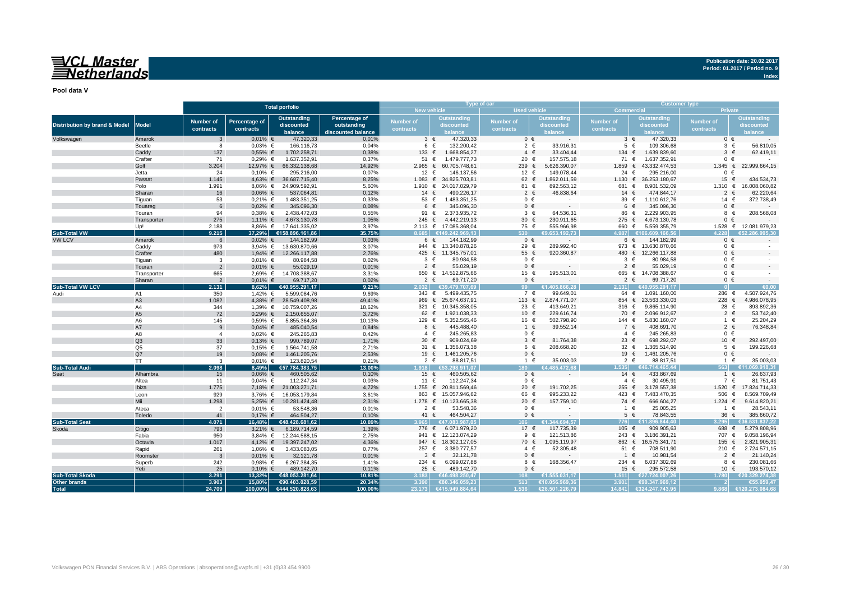## VCL Master<br>ENetherlands

**Publication date: 20.02.2017 Period: 01.2017 / Period no. 9**

**Index**

**Pool data V**

|                                          |                |                  |                     |                              |                    |                                 | Type of car                |                     |                             | <b>Customer type</b>      |                             |                             |                              |  |  |
|------------------------------------------|----------------|------------------|---------------------|------------------------------|--------------------|---------------------------------|----------------------------|---------------------|-----------------------------|---------------------------|-----------------------------|-----------------------------|------------------------------|--|--|
|                                          |                |                  |                     | <b>Total porfolio</b>        |                    | New vehicle                     |                            | <b>Used vehicle</b> |                             | <b>Commercial</b>         |                             | <b>Private</b>              |                              |  |  |
|                                          |                |                  |                     | <b>Outstanding</b>           | Percentage of      |                                 | <b>Outstanding</b>         |                     | <b>Outstanding</b>          |                           | <b>Outstanding</b>          |                             | <b>Outstanding</b>           |  |  |
| <b>Distribution by brand &amp; Model</b> | <b>Model</b>   | <b>Number of</b> | Percentage of       | discounted                   | outstanding        | Number of                       | discounted                 | Number of           | discounted                  | <b>Number of</b>          | discounted                  | <b>Number of</b>            | discounted                   |  |  |
|                                          |                | contracts        | contracts           | balance                      | discounted balance | contracts                       | palance                    | contracts           | balance                     | contracts                 | balance                     | contracts                   | palance                      |  |  |
| Volkswagen                               | Amarok         | 3                | $0,01\%$ €          | 47.320,33                    | 0,01%              |                                 | 47.320,33<br>$3 \in$       | $0 \in$             | $\sim$                      | $3 \in$                   | 47.320,33                   | $0 \in$                     |                              |  |  |
|                                          | Beetle         | 8                | $0,03%$ €           | 166.116,73                   | 0,04%              | 6                               | €<br>132.200,42            | $2 \in$             | 33.916,31                   | 5                         | $\epsilon$<br>109.306,68    | 3 €                         | 56.810,05                    |  |  |
|                                          | Caddy          | 137              | $0,55%$ €           | 1.702.258,71                 | 0,38%              | 133                             | 1.668.854,27<br>$\epsilon$ | $4 \in$             | 33.404,44                   | 134                       | 1.639.839,60<br>$\epsilon$  | $3 \in$                     | 62.419,11                    |  |  |
|                                          | Crafter        | 71               | $0,29%$ €           | 1.637.352,91                 | 0,37%              | 51 €                            | 1.479.777,73               | 20 €                | 157.575,18                  | 71 €                      | 1.637.352,91                | $0 \in$                     |                              |  |  |
|                                          | Golf           | 3.204            | 12,97% €            | 66.332.138,68                | 14,92%             | $2.965 \in$                     | 60.705.748,61              | 239 $\epsilon$      | 5.626.390,07                | 1.859                     | 43.332.474,53<br>€          | $1.345 \in$                 | 22.999.664,15                |  |  |
|                                          | Jetta          | 24               | $0.10\%$ €          | 295.216,00                   | 0,07%              | 12 €                            | 146.137,56                 | 12 €                | 149.078,44                  | 24                        | 295.216,00<br>€             | $0 \in$                     |                              |  |  |
|                                          | Passat         | 1.145            |                     | 4,63% € 36.687.715,40        | 8,25%              | 1.083 $∈$                       | 34.825.703,81              | 62 €                | 1.862.011,59                | 1.130                     | € 36.253.180,67             | 15 €                        | 434.534,73                   |  |  |
|                                          | Polo           | 1.991            |                     | 8,06% € 24.909.592,91        | 5,60%              | 1.910 $∈$                       | 24.017.029,79              | 81 €                | 892.563,12                  | 681                       | 8.901.532,09<br>$\epsilon$  | 1.310 $€$                   | 16.008.060,82                |  |  |
|                                          | Sharan         | 16               | $0,06%$ €           | 537.064,81                   | 0,12%              | 14 $\in$                        | 490.226.17                 | $2 \in$             | 46.838.64                   | 14                        | €<br>474.844,17             | $2 \in$                     | 62.220,64                    |  |  |
|                                          | Tiguan         | 53               | $0,21%$ €           | 1.483.351,25                 | 0,33%              | 53 $\epsilon$                   | 1.483.351,25               | $0 \in$             | $\sim$                      | 39                        | 1.110.612,76<br>€           | 14 €                        | 372.738,49                   |  |  |
|                                          | Touareg        | 6                | $0,02%$ €           | 345.096,30                   | 0,08%              | 6                               | €<br>345.096,30            | $0 \in$             |                             | 6                         | 345.096,30<br>$\epsilon$    | $0 \in$                     |                              |  |  |
|                                          | Touran         | 94               | $0,38%$ €           | 2.438.472,03                 | 0.55%              | 91 €                            | 2.373.935,72               | $3 \in$             | 64.536,31                   | 86                        | €<br>2.229.903,95           | 8 €                         | 208.568,08                   |  |  |
|                                          | Transporter    | 275              | $1,11\%$ €          | 4.673.130,78                 | 1,05%              | 245 $\in$                       | 4.442.219,13               | 30 $\epsilon$       | 230.911,65                  | $275 \epsilon$            | 4.673.130,78                | $0 \in$                     |                              |  |  |
|                                          | Up!            | 2.188            |                     | 8,86% € 17.641.335,02        | 3,97%              |                                 | 2.113 € 17.085.368,04      | 75 €                | 555.966,98                  | 660 €                     | 5.559.355,79                |                             | 1.528 € 12.081.979,23        |  |  |
| <b>Sub-Total VW</b>                      |                | 9.215            | 37,29%              | €158.896.161,86              | 35,75%             | 8.685                           | €149.242.969.13            | 530 l               | €9.653.192.73               | 1.987                     | €106.609.166.56             | 4.228                       | €52.286.995.30               |  |  |
| <b>VW LCV</b>                            | Amarok         | 6                | $0,02%$ €           | 144.182,99                   | 0,03%              |                                 | 6 €<br>144.182,99          | $0 \in$             |                             | 6 €                       | 144.182,99                  | $0 \in$                     |                              |  |  |
|                                          | Caddy          | 973              |                     | 3,94% € 13.630.870,66        | 3,07%              | 944 $\in$                       | 13.340.878,26              | 29 €                | 289.992,40                  | 973 $\epsilon$            | 13.630.870,66               | $0 \in$                     |                              |  |  |
|                                          | Crafter        | 480              | 1,94% €             | 12.266.117,88                | 2,76%              |                                 | 425 € 11.345.757,01        | 55 $\epsilon$       | 920.360,87                  | 480                       | 12.266.117,88<br>€          | $0 \in$                     |                              |  |  |
|                                          | Tiguan         | 3                | $0,01%$ €           | 80.984,58                    | 0,02%              | 3                               | €<br>80.984,58             | $0 \in$             | $\sim$                      | $3 \in$                   | 80.984,58                   | $0 \in$                     |                              |  |  |
|                                          | Touran         | 2                | $0.01\%$ €          | 55.029,19                    | 0,01%              |                                 | $2 \in$<br>55.029,19       | $0 \in$             |                             | $2 \in$                   | 55.029,19                   | $0 \in$                     |                              |  |  |
|                                          | Transporter    | 665              | 2,69% €             | 14.708.388,67                | 3,31%              |                                 | 650 € 14.512.875,66        | 15 €                | 195.513,01                  | 665 €                     | 14.708.388,67               | $0 \in$                     |                              |  |  |
|                                          | Sharan         | 2                | $0.01\%$ €          | 69.717,20                    | 0.02%              |                                 | $2 \in$<br>69.717.20       | $0 \in$             | $\sim$                      | $2 \in$                   | 69.717,20                   | $0 \in$                     |                              |  |  |
| <b>Sub-Total VW LCV</b>                  |                | 2.131            | 8,62%               | €40.955.291,17               | 9.21%              | 2.032                           | €39.479.707,69             | 99                  | €1.405.866.28               | 2.131                     | €40.955.291,17              | $\overline{0}$              | €0.00                        |  |  |
| Audi                                     | A1             | 350              | 1,42% €             | 5.599.084,76                 | 9,69%              | 343 $\epsilon$                  | 5.499.435,75               | 7 €                 | 99.649,01                   | 64 €                      | 1.091.160,00                | 286 €                       | 4.507.924,76                 |  |  |
|                                          | A <sub>3</sub> | 1.082            |                     | 4,38% € 28.549.408,98        | 49,41%             | 969                             | €<br>25.674.637.91         | 113 €               | 2.874.771,07                | 854 €                     | 23.563.330,03               | 228 €                       | 4.986.078,95                 |  |  |
|                                          | A4             | 344              |                     | 1,39% € 10.759.007,26        | 18,62%             | 321 €                           | 10.345.358,05              | 23 €                | 413.649,21                  | 316 €                     | 9.865.114,90                | 28 €                        | 893.892,36                   |  |  |
|                                          | A <sub>5</sub> | 72               | $0,29%$ €           | 2.150.655,07                 | 3,72%              | 62 $\epsilon$                   | 1.921.038,33               | 10 €                | 229.616,74                  | 70 €                      | 2.096.912,67                | $2 \in$                     | 53.742,40                    |  |  |
|                                          | A6             | 145              | $0,59%$ €           | 5.855.364,36                 | 10,13%             | 129 €                           | 5.352.565,46               | 16 €                | 502.798,90                  | 144 €                     | 5.830.160,07                | 1 €                         | 25.204,29                    |  |  |
|                                          | A7             | 9                | $0,04%$ €           | 485.040,54                   | 0,84%              |                                 | 8 €<br>445.488,40          | $1 \in$             | 39.552,14                   | 7 €                       | 408.691,70                  | $2 \in$                     | 76.348,84                    |  |  |
|                                          | A8             | $\overline{4}$   | $0,02%$ €           | 245.265,83                   | 0,42%              |                                 | $4 \in$<br>245.265,83      | $0 \in$             | $\overline{\phantom{a}}$    | $4 \in$                   | 245.265,83                  | $0 \in$                     |                              |  |  |
|                                          | Q <sub>3</sub> | 33               | $0,13%$ €           | 990.789,07                   | 1,71%              | 30 $\epsilon$                   | 909.024,69                 | $3 \in$             | 81.764,38                   | 23 $\epsilon$             | 698.292,07                  | 10 €                        | 292.497,00                   |  |  |
|                                          | Q <sub>5</sub> | 37               | $0,15%$ €           | 1.564.741,58                 | 2,71%              | 31 $\epsilon$                   | 1.356.073,38               | 6 €                 | 208.668,20                  | 32 €                      | 1.365.514,90                | $5 \in$                     | 199.226,68                   |  |  |
|                                          | Q7             | 19               | $0.08%$ €           | 1.461.205,76                 | 2,53%              | 19 €                            | 1.461.205,76               | $0 \in$             |                             | 19 €                      | 1.461.205,76                | $0 \in$                     |                              |  |  |
|                                          | <b>TT</b>      | 3                | $0,01\%$ €          | 123.820,54                   | 0,21%              |                                 | $2 \epsilon$<br>88.817,51  | 1 €                 | 35.003,03                   | $2 \epsilon$              | 88.817,51                   | 1 €                         | 35.003,03                    |  |  |
| <b>Sub-Total Audi</b>                    |                | 2.098            | 8,49%               | €57.784.383,75               | 13.00%             | .918                            | €53.298.911.07             | 180 I               | £4.485.472.68               | .535                      | €46.714.465.44              | 563                         | €11.069.918.31               |  |  |
| Seat                                     | Alhambra       | 15               | $0,06%$ €           | 460.505,62                   | 0,10%              | 15 €                            | 460.505,62                 | $0 \in$             |                             | 14 €                      | 433.867,69                  | $1 \in$                     | 26.637,93                    |  |  |
|                                          | Altea<br>Ibiza | 11               | $0,04%$ €           | 112.247,34                   | 0,03%              | 11 €                            | 112.247,34                 | $0 \in$             |                             | $4 \in$<br>255 $\epsilon$ | 30.495,91                   | $\overline{7}$<br>$1.520$ € | 81.751,43<br>€               |  |  |
|                                          |                | 1.775            |                     | 7,18% € 21.003.271,71        | 4,72%              | $1.755$ €                       | 20.811.569,46              | 20 €                | 191.702,25                  |                           | 3.178.557,38                |                             | 17.824.714,33                |  |  |
|                                          | Leon           | 929              |                     | 3,76% € 16.053.179,84        | 3,61%              |                                 | 863 € 15.057.946,62        | 66 €                | 995.233,22                  | 423 €                     | 7.483.470,35                | 506                         | 8.569.709,49<br>€            |  |  |
|                                          | Mii            | 1.298            | $5,25%$ €           | 10.281.424,48                | 2,31%              |                                 | 1.278 € 10.123.665,38      | 20 €                | 157.759,10                  | 74 €                      | 666.604,27                  | 1.224 €                     | 9.614.820,21                 |  |  |
|                                          | Ateca          | $\overline{2}$   | $0,01\%$ €          | 53.548,36                    | 0,01%              |                                 | $2 \in$<br>53.548,36       | $0 \in$             |                             | $1 \in$                   | 25.005,25                   | 1 €                         | 28.543,11                    |  |  |
|                                          | Toledo         | 41               | $0,17%$ €           | 464.504,27                   | 0,10%              | 41 €                            | 464.504,27                 | $0 \in$             |                             | $5 \in$                   | 78.843,55                   | 36 €                        | 385.660,72                   |  |  |
| <b>Sub-Total Seat</b>                    |                | 4.071            | 16,48%              | €48.428.681,62               | 10,89%             |                                 | €47.083.987.05             | 106                 | €1.344.694,57<br>117.735,39 | 776<br>105 €              | €11.896.844.40              | 3.295<br>688                | €36.531.837,22               |  |  |
| Skoda                                    | Citigo         | 793              | 3.21% $\in$         | 6.189.714,59                 | 1,39%              | 776 €                           | 6.071.979,20               | 17 €                |                             |                           | 909.905,63                  |                             | 5.279.808,96<br>€            |  |  |
|                                          | Fabia          | 950              | $3,84%$ €           | 12.244.588,15                | 2,75%              | 941 €                           | 12.123.074,29              | 9 €                 | 121.513,86                  | 243 €                     | 3.186.391,21                | 707 €<br>155 $\epsilon$     | 9.058.196,94                 |  |  |
|                                          | Octavia        | 1.017            |                     | 4,12% € 19.397.247,02        | 4,36%              | 257 €                           | 947 € 18.302.127,05        | 70 €<br>$4 \in$     | 1.095.119,97<br>52.305,48   | 862 €<br>51 €             | 16.575.341,71<br>708.511,90 | 210 €                       | 2.821.905,31<br>2.724.571,15 |  |  |
|                                          | Rapid          | 261              | 1,06% €             | 3.433.083,05                 | 0.77%              | $3 \in$                         | 3.380.777,57               | $0 \in$             |                             | $1 \in$                   | 10.981,54                   | $2 \in$                     |                              |  |  |
|                                          | Roomster       | $\overline{3}$   | $0,01\%$ €          | 32.121,78                    | 0,01%              |                                 | 32.121,78                  |                     |                             |                           | 6.037.302,69                |                             | 21.140,24<br>230.081,66      |  |  |
|                                          | Superb         | 242<br>25        | $0,98%$ €           | 6.267.384,35                 | 1,41%              | 234 $\epsilon$<br>25 $\epsilon$ | 6.099.027,88<br>489.142,70 | 8 €<br>$0 \in$      | 168.356,47                  | 234 $\epsilon$<br>15 €    | 295.572,58                  | 8 €<br>10 €                 | 193.570,12                   |  |  |
| <b>Sub-Total Skoda</b>                   | Yeti           | 3.291            | $0,10%$ €<br>13,32% | 489.142,70<br>€48.053.281,64 | 0,11%<br>10,81%    | 3.183                           | €46.498.250.47             | 108                 | €1.555.031.17               | 1.511                     | €27.724.007,26              | 1.780                       | €20.329.274,38               |  |  |
| <b>Other brands</b>                      |                | 3.903            | 15.80%              | €90.403.028.59               | 20.34%             | 3.390                           | €80.346.059.23             | 513                 | €10.056.969.36              | 3.901                     | €90.347.969.12              |                             | €55.059.47                   |  |  |
| <b>Total</b>                             |                | 24.709           | 100,00%             | €444.520.828,63              | 100,00%            | 23.173                          | €415.949.884,64            | 1.536               | €28.501.226,79              | 14.841                    | €324.247.743,95             | 9.868                       | €120.273.084,68              |  |  |
|                                          |                |                  |                     |                              |                    |                                 |                            |                     |                             |                           |                             |                             |                              |  |  |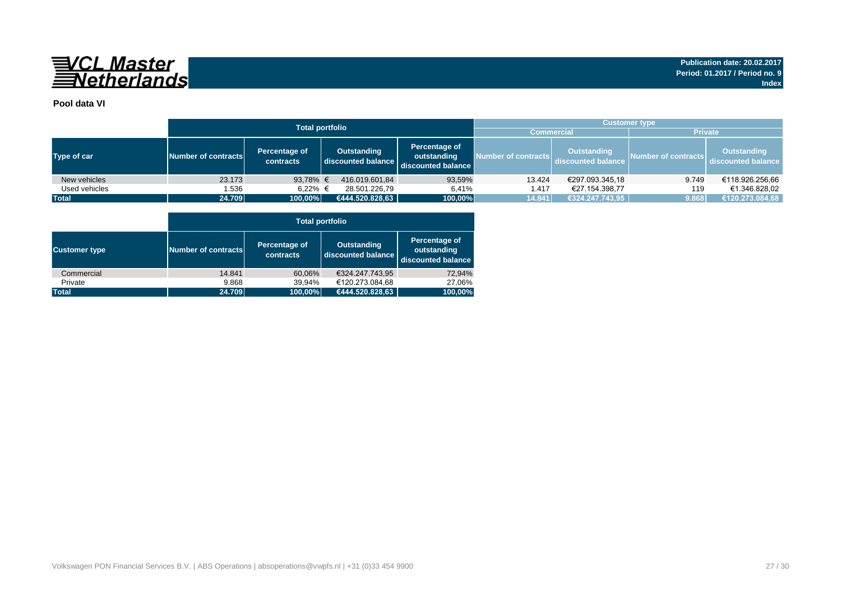

### **Pool data VI**

|               |                     |                            | <b>Total portfolio</b>            |                                                    | <b>Customer type</b> |                                          |                     |                                          |  |  |  |
|---------------|---------------------|----------------------------|-----------------------------------|----------------------------------------------------|----------------------|------------------------------------------|---------------------|------------------------------------------|--|--|--|
|               |                     |                            |                                   |                                                    | <b>Commercial</b>    |                                          | <b>Private</b>      |                                          |  |  |  |
| Type of car   | Number of contracts | Percentage of<br>contracts | Outstanding<br>discounted balance | Percentage of<br>outstanding<br>discounted balance | Number of contracts  | <b>Outstanding</b><br>discounted balance | Number of contracts | <b>Outstanding</b><br>discounted balance |  |  |  |
| New vehicles  | 23.173              | 93,78% $\epsilon$          | 416.019.601.84                    | 93,59%                                             | 13.424               | €297.093.345,18                          | 9.749               | €118.926.256,66                          |  |  |  |
| Used vehicles | 1.536               | 6.22% €                    | 28.501.226.79                     | 6.41%                                              | 1.417                | €27.154.398.77                           | 119                 | €1.346.828.02                            |  |  |  |
| <b>Total</b>  | 24.709              | 100,00%                    | €444.520.828,63                   | 100,00%                                            | 14.841               | €324.247.743,95                          | 9.868               | €120.273.084,68                          |  |  |  |

|                      |                     | <b>Total portfolio</b>     |                                          |                                                    |  |  |  |  |  |  |  |  |  |
|----------------------|---------------------|----------------------------|------------------------------------------|----------------------------------------------------|--|--|--|--|--|--|--|--|--|
| <b>Customer type</b> | Number of contracts | Percentage of<br>contracts | <b>Outstanding</b><br>discounted balance | Percentage of<br>outstanding<br>discounted balance |  |  |  |  |  |  |  |  |  |
| Commercial           | 14.841              | 60,06%                     | €324.247.743.95                          | 72,94%                                             |  |  |  |  |  |  |  |  |  |
| Private              | 9.868               | 39,94%                     | €120.273.084,68                          | 27,06%                                             |  |  |  |  |  |  |  |  |  |
| <b>Total</b>         | 24.709              | 100,00%                    | €444.520.828,63                          | 100,00%                                            |  |  |  |  |  |  |  |  |  |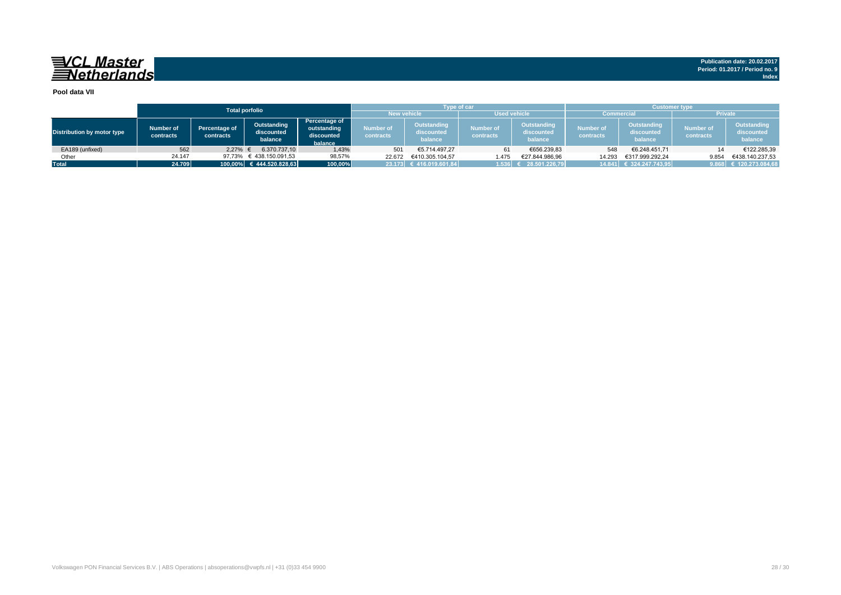## 

**Publication date: 20.02.2017 Period: 01.2017 / Period no. 9 Index**

#### **Pool data VII**

|                            |                        |                            | <b>Total porfolio</b>                |                                                       |                        | <b>Type of car</b>                          |                               |                                             | <b>Customer type</b>   |                                      |                               |                                             |  |  |
|----------------------------|------------------------|----------------------------|--------------------------------------|-------------------------------------------------------|------------------------|---------------------------------------------|-------------------------------|---------------------------------------------|------------------------|--------------------------------------|-------------------------------|---------------------------------------------|--|--|
|                            |                        |                            |                                      |                                                       | <b>New vehicle</b>     |                                             |                               | <b>Used vehicle</b>                         | <b>Commercial</b>      |                                      |                               | <b>Private</b>                              |  |  |
| Distribution by motor type | Number of<br>contracts | Percentage of<br>contracts | Outstanding<br>discounted<br>balance | Percentage of<br>outstanding<br>discounted<br>balance | Number of<br>contracts | <b>Outstanding</b><br>discounted<br>balance | <b>Number of</b><br>contracts | <b>Outstanding</b><br>discounted<br>balance | Number of<br>contracts | Outstanding<br>discounted<br>balance | <b>Number of</b><br>contracts | <b>Outstanding</b><br>discounted<br>balance |  |  |
| EA189 (unfixed)            | 562                    | 2.27%                      | 6.370.737.10                         | 1,43%                                                 | 501                    | €5.714.497.27                               | 61                            | €656.239,83                                 | 548                    | €6.248.451.71                        | 14                            | €122.285,39                                 |  |  |
| Other                      | 24.147                 | 97.73%                     | € 438.150.091,53                     | 98,57%                                                | 22.672                 | €410.305.104.57                             | 1.475                         | €27.844.986.96                              | 14.293                 | €317.999.292.24                      | 9.854                         | €438.140.237.53                             |  |  |
| <b>Total</b>               | 24.709                 |                            | $100,00\%$ € 444.520.828,63          | 100,00%                                               |                        | 23.173 € 416.019.601,84                     | 1.536                         | 28.501.226.79                               |                        | 14.841 € 324.247.743,95              |                               | 9.868 € 120.273.084,68                      |  |  |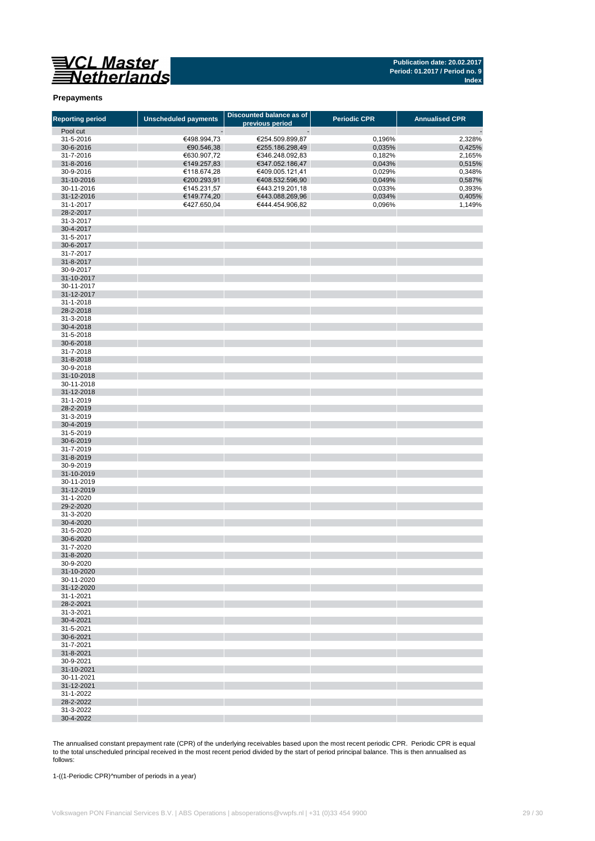

#### **Prepayments**

| <b>Reporting period</b> | <b>Unscheduled payments</b> | Discounted balance as of<br>previous period | <b>Periodic CPR</b> | <b>Annualised CPR</b> |
|-------------------------|-----------------------------|---------------------------------------------|---------------------|-----------------------|
| Pool cut                |                             |                                             |                     |                       |
| 31-5-2016               | €498.994,73                 | €254.509.899,87                             | 0,196%              | 2,328%                |
| 30-6-2016               | €90.546,38                  | €255.186.298,49                             | 0,035%              | 0,425%                |
| 31-7-2016               | €630.907,72                 | €346.248.092,83                             | 0,182%              | 2,165%                |
| 31-8-2016               | €149.257,83                 | €347.052.186,47                             | 0,043%              | 0,515%                |
| 30-9-2016               | €118.674,28                 | €409.005.121,41                             | 0,029%              | 0,348%                |
| 31-10-2016              | €200.293,91                 | €408.532.596,90                             | 0,049%              | 0,587%                |
|                         |                             |                                             |                     |                       |
| 30-11-2016              | €145.231,57                 | €443.219.201,18                             | 0,033%              | 0,393%                |
| 31-12-2016              | €149.774,20                 | €443.088.269,96                             | 0,034%              | 0,405%                |
| 31-1-2017<br>28-2-2017  | €427.650,04                 | €444.454.906,82                             | 0,096%              | 1,149%                |
| 31-3-2017               |                             |                                             |                     |                       |
| 30-4-2017               |                             |                                             |                     |                       |
| 31-5-2017               |                             |                                             |                     |                       |
| 30-6-2017               |                             |                                             |                     |                       |
| 31-7-2017               |                             |                                             |                     |                       |
| 31-8-2017               |                             |                                             |                     |                       |
| 30-9-2017               |                             |                                             |                     |                       |
| 31-10-2017              |                             |                                             |                     |                       |
| 30-11-2017              |                             |                                             |                     |                       |
| 31-12-2017              |                             |                                             |                     |                       |
| 31-1-2018               |                             |                                             |                     |                       |
| 28-2-2018               |                             |                                             |                     |                       |
| 31-3-2018               |                             |                                             |                     |                       |
| 30-4-2018               |                             |                                             |                     |                       |
| 31-5-2018               |                             |                                             |                     |                       |
| 30-6-2018               |                             |                                             |                     |                       |
| 31-7-2018               |                             |                                             |                     |                       |
| 31-8-2018               |                             |                                             |                     |                       |
| 30-9-2018               |                             |                                             |                     |                       |
| 31-10-2018              |                             |                                             |                     |                       |
| 30-11-2018              |                             |                                             |                     |                       |
| 31-12-2018              |                             |                                             |                     |                       |
| 31-1-2019               |                             |                                             |                     |                       |
| 28-2-2019               |                             |                                             |                     |                       |
| 31-3-2019               |                             |                                             |                     |                       |
| 30-4-2019               |                             |                                             |                     |                       |
| 31-5-2019               |                             |                                             |                     |                       |
| 30-6-2019               |                             |                                             |                     |                       |
| 31-7-2019               |                             |                                             |                     |                       |
| 31-8-2019               |                             |                                             |                     |                       |
| 30-9-2019               |                             |                                             |                     |                       |
| 31-10-2019              |                             |                                             |                     |                       |
| 30-11-2019              |                             |                                             |                     |                       |
| 31-12-2019              |                             |                                             |                     |                       |
| 31-1-2020               |                             |                                             |                     |                       |
| 29-2-2020               |                             |                                             |                     |                       |
| 31-3-2020               |                             |                                             |                     |                       |
| 30-4-2020               |                             |                                             |                     |                       |
| 31-5-2020               |                             |                                             |                     |                       |
| 30-6-2020               |                             |                                             |                     |                       |
| 31-7-2020               |                             |                                             |                     |                       |
| 31-8-2020               |                             |                                             |                     |                       |
| 30-9-2020               |                             |                                             |                     |                       |
| 31-10-2020              |                             |                                             |                     |                       |
| 30-11-2020              |                             |                                             |                     |                       |
| 31-12-2020              |                             |                                             |                     |                       |
| 31-1-2021               |                             |                                             |                     |                       |
| 28-2-2021               |                             |                                             |                     |                       |
| 31-3-2021               |                             |                                             |                     |                       |
| 30-4-2021               |                             |                                             |                     |                       |
| 31-5-2021               |                             |                                             |                     |                       |
| 30-6-2021               |                             |                                             |                     |                       |
| 31-7-2021               |                             |                                             |                     |                       |
| 31-8-2021               |                             |                                             |                     |                       |
| 30-9-2021               |                             |                                             |                     |                       |
| 31-10-2021              |                             |                                             |                     |                       |
| 30-11-2021              |                             |                                             |                     |                       |
| 31-12-2021              |                             |                                             |                     |                       |
| 31-1-2022               |                             |                                             |                     |                       |
| 28-2-2022               |                             |                                             |                     |                       |
| 31-3-2022               |                             |                                             |                     |                       |
| 30-4-2022               |                             |                                             |                     |                       |

The annualised constant prepayment rate (CPR) of the underlying receivables based upon the most recent periodic CPR. Periodic CPR is equal to the total unscheduled principal received in the most recent period divided by the start of period principal balance. This is then annualised as follows:

1-((1-Periodic CPR)^number of periods in a year)